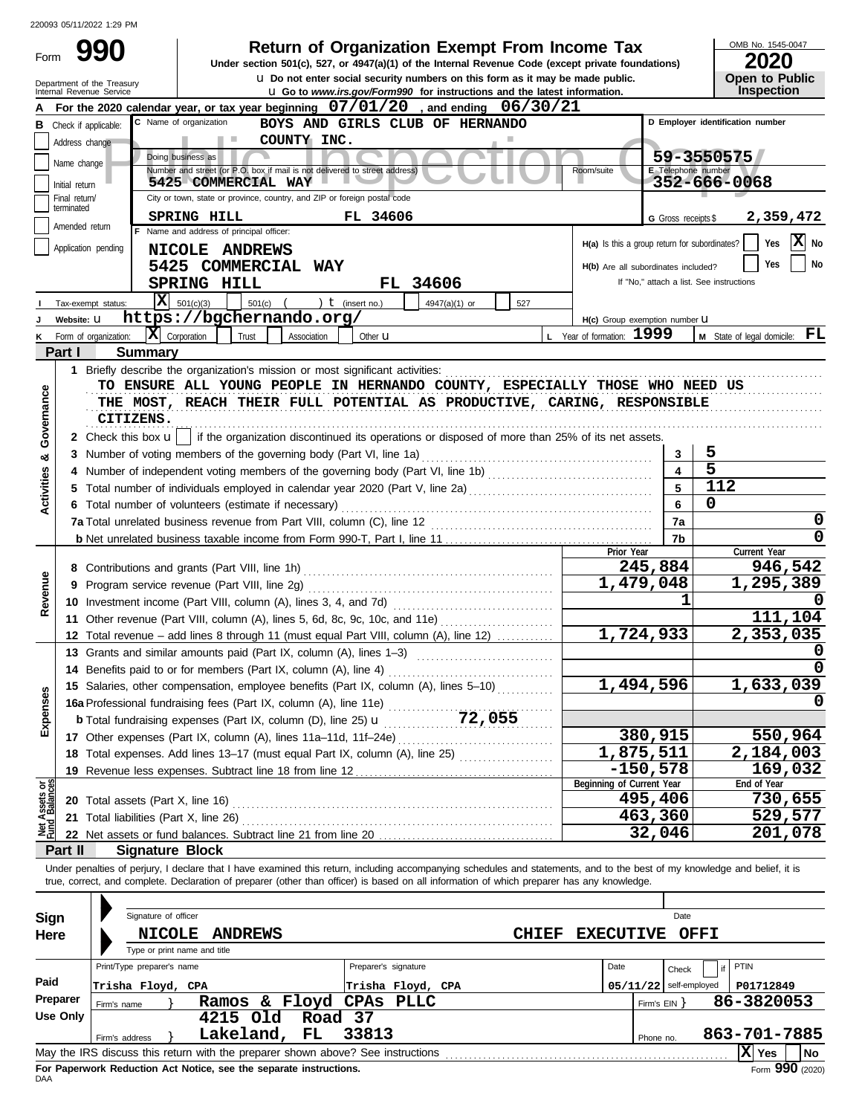| Form                           |                             | ZZUU93 U5/11/ZUZZ 1:29 PM<br>990                       | <b>Return of Organization Exempt From Income Tax</b>                                                                                                                                                                                                                                                                     |                                               |                              | OMB No. 1545-0047<br>2020                |
|--------------------------------|-----------------------------|--------------------------------------------------------|--------------------------------------------------------------------------------------------------------------------------------------------------------------------------------------------------------------------------------------------------------------------------------------------------------------------------|-----------------------------------------------|------------------------------|------------------------------------------|
|                                |                             |                                                        | Under section 501(c), 527, or 4947(a)(1) of the Internal Revenue Code (except private foundations)<br><b>u</b> Do not enter social security numbers on this form as it may be made public.                                                                                                                               |                                               |                              | <b>Open to Public</b>                    |
|                                |                             | Department of the Treasury<br>Internal Revenue Service | <b>u</b> Go to www.irs.gov/Form990 for instructions and the latest information.                                                                                                                                                                                                                                          |                                               |                              | Inspection                               |
|                                |                             |                                                        | For the 2020 calendar year, or tax year beginning $07/01/20$ , and ending $06/30/21$                                                                                                                                                                                                                                     |                                               |                              |                                          |
| В                              |                             | Check if applicable:                                   | C Name of organization<br>BOYS AND GIRLS CLUB OF HERNANDO                                                                                                                                                                                                                                                                |                                               |                              | D Employer identification number         |
|                                | Address change              |                                                        | COUNTY INC.<br><b>COLLEGE</b><br>Doing business as                                                                                                                                                                                                                                                                       |                                               |                              | 59-3550575                               |
|                                | Name change                 |                                                        | Number and street (or P.O. box if mail is not delivered to street address)                                                                                                                                                                                                                                               | Room/suite                                    | E Telephone number           |                                          |
|                                | Initial return              |                                                        | 5425 COMMERCIAL WAY                                                                                                                                                                                                                                                                                                      |                                               |                              | 352-666-0068                             |
|                                | Final return/<br>terminated |                                                        | City or town, state or province, country, and ZIP or foreign postal code                                                                                                                                                                                                                                                 |                                               |                              |                                          |
|                                | Amended return              |                                                        | SPRING HILL<br>FL 34606<br>F Name and address of principal officer:                                                                                                                                                                                                                                                      |                                               | G Gross receipts \$          | 2,359,472                                |
|                                |                             | Application pending                                    |                                                                                                                                                                                                                                                                                                                          | H(a) Is this a group return for subordinates? |                              | X No<br>Yes                              |
|                                |                             |                                                        | NICOLE ANDREWS<br>5425 COMMERCIAL WAY                                                                                                                                                                                                                                                                                    | H(b) Are all subordinates included?           |                              | No<br>Yes                                |
|                                |                             |                                                        | SPRING HILL<br>FL 34606                                                                                                                                                                                                                                                                                                  |                                               |                              | If "No," attach a list. See instructions |
|                                |                             | Tax-exempt status:                                     | $X = 501(c)(3)$<br>) $t$ (insert no.)<br>$501(c)$ (<br>4947(a)(1) or<br>527                                                                                                                                                                                                                                              |                                               |                              |                                          |
|                                | Website: U                  |                                                        | https://bgchernando.org/                                                                                                                                                                                                                                                                                                 | H(c) Group exemption number <b>U</b>          |                              |                                          |
|                                |                             | $ \mathbf{X} $ Corporation<br>Form of organization:    | Trust<br>Association<br>Other <b>u</b>                                                                                                                                                                                                                                                                                   | L Year of formation: 1999                     |                              | $M$ State of legal domicile: $FL$        |
|                                | Part I                      | <b>Summary</b>                                         |                                                                                                                                                                                                                                                                                                                          |                                               |                              |                                          |
|                                |                             |                                                        | 1 Briefly describe the organization's mission or most significant activities:                                                                                                                                                                                                                                            |                                               |                              |                                          |
| Governance                     |                             | CITIZENS.                                              | TO ENSURE ALL YOUNG PEOPLE IN HERNANDO COUNTY, ESPECIALLY THOSE WHO NEED US<br>THE MOST, REACH THEIR FULL POTENTIAL AS PRODUCTIVE, CARING, RESPONSIBLE                                                                                                                                                                   |                                               |                              |                                          |
|                                |                             |                                                        | 2 Check this box <b>u</b>   if the organization discontinued its operations or disposed of more than 25% of its net assets.                                                                                                                                                                                              |                                               |                              | 5                                        |
| œ                              |                             |                                                        | 3 Number of voting members of the governing body (Part VI, line 1a)                                                                                                                                                                                                                                                      |                                               | 3<br>$\overline{\mathbf{4}}$ | $\overline{5}$                           |
| Activities                     |                             |                                                        |                                                                                                                                                                                                                                                                                                                          |                                               | 5                            | 112                                      |
|                                |                             |                                                        |                                                                                                                                                                                                                                                                                                                          | 6                                             | 0                            |                                          |
|                                |                             |                                                        | 6 Total number of volunteers (estimate if necessary)                                                                                                                                                                                                                                                                     |                                               | 7a                           | 0                                        |
|                                |                             |                                                        |                                                                                                                                                                                                                                                                                                                          |                                               | 7b                           |                                          |
|                                |                             |                                                        |                                                                                                                                                                                                                                                                                                                          | Prior Year                                    |                              | Current Year                             |
|                                |                             |                                                        |                                                                                                                                                                                                                                                                                                                          |                                               | 245,884                      | 946,542                                  |
|                                |                             |                                                        |                                                                                                                                                                                                                                                                                                                          | 1,479,048                                     |                              | 1,295,389                                |
| Revenue                        |                             |                                                        |                                                                                                                                                                                                                                                                                                                          |                                               |                              |                                          |
|                                |                             |                                                        | 11 Other revenue (Part VIII, column (A), lines 5, 6d, 8c, 9c, 10c, and 11e)                                                                                                                                                                                                                                              |                                               |                              | 111,104                                  |
|                                |                             |                                                        | 12 Total revenue - add lines 8 through 11 (must equal Part VIII, column (A), line 12)                                                                                                                                                                                                                                    | 1,724,933                                     |                              | 2,353,035                                |
|                                |                             |                                                        | 13 Grants and similar amounts paid (Part IX, column (A), lines 1–3)                                                                                                                                                                                                                                                      |                                               |                              | 0                                        |
|                                |                             |                                                        |                                                                                                                                                                                                                                                                                                                          | 1,494,596                                     |                              | 1,633,039                                |
| Expenses                       |                             |                                                        | 15 Salaries, other compensation, employee benefits (Part IX, column (A), lines 5-10)                                                                                                                                                                                                                                     |                                               |                              |                                          |
|                                |                             |                                                        |                                                                                                                                                                                                                                                                                                                          |                                               |                              |                                          |
|                                |                             |                                                        |                                                                                                                                                                                                                                                                                                                          |                                               | 380,915                      | 550,964                                  |
|                                |                             |                                                        | 18 Total expenses. Add lines 13-17 (must equal Part IX, column (A), line 25)                                                                                                                                                                                                                                             | 1,875,511                                     |                              | 2,184,003                                |
|                                |                             |                                                        |                                                                                                                                                                                                                                                                                                                          |                                               | $-150,578$                   | 169,032                                  |
|                                |                             |                                                        |                                                                                                                                                                                                                                                                                                                          | Beginning of Current Year                     |                              | End of Year                              |
| Net Assets or<br>Fund Balances |                             | <b>20</b> Total assets (Part X, line 16)               |                                                                                                                                                                                                                                                                                                                          |                                               | 495,406                      | 730,655                                  |
|                                |                             | 21 Total liabilities (Part X, line 26)                 |                                                                                                                                                                                                                                                                                                                          |                                               | 463,360                      | 529,577                                  |
|                                |                             |                                                        |                                                                                                                                                                                                                                                                                                                          |                                               | 32,046                       | 201,078                                  |
|                                | Part II                     | <b>Signature Block</b>                                 |                                                                                                                                                                                                                                                                                                                          |                                               |                              |                                          |
|                                |                             |                                                        | Under penalties of perjury, I declare that I have examined this return, including accompanying schedules and statements, and to the best of my knowledge and belief, it is<br>true, correct, and complete. Declaration of preparer (other than officer) is based on all information of which preparer has any knowledge. |                                               |                              |                                          |
| Sign                           |                             | Signature of officer                                   |                                                                                                                                                                                                                                                                                                                          |                                               | Date                         |                                          |
| Here                           |                             | <b>NICOLE</b>                                          | <b>ANDREWS</b><br><b>CHIEF</b>                                                                                                                                                                                                                                                                                           | <b>EXECUTIVE</b>                              |                              | <b>OFFI</b>                              |
|                                |                             | Type or print name and title                           |                                                                                                                                                                                                                                                                                                                          |                                               |                              |                                          |
|                                |                             | Print/Type preparer's name                             | Preparer's signature                                                                                                                                                                                                                                                                                                     | Date                                          | Check                        | PTIN                                     |
| Paid                           |                             | Trisha Floyd, CPA                                      | Trisha Floyd, CPA                                                                                                                                                                                                                                                                                                        |                                               | $05/11/22$ self-employed     | P01712849                                |
|                                | Preparer                    | Firm's name                                            | Ramos & Floyd CPAs PLLC                                                                                                                                                                                                                                                                                                  |                                               | Firm's $EIN$ }               | 86-3820053                               |
|                                | <b>Use Only</b>             |                                                        | 4215 Old<br>Road 37                                                                                                                                                                                                                                                                                                      |                                               |                              |                                          |
|                                |                             | Firm's address                                         | Lakeland,<br>${\bf FL}$<br>33813                                                                                                                                                                                                                                                                                         |                                               | Phone no.                    | 863-701-7885                             |
|                                |                             |                                                        |                                                                                                                                                                                                                                                                                                                          |                                               |                              | $ X $ Yes<br>No l                        |

| Sign<br>Here | Signature of officer<br><b>NICOLE</b><br><b>ANDREWS</b><br>Type or print name and title |                                           | <b>CHIEF</b> | <b>EXECUTIVE</b> | Date<br>OFFI                      |                   |
|--------------|-----------------------------------------------------------------------------------------|-------------------------------------------|--------------|------------------|-----------------------------------|-------------------|
| Paid         | Print/Type preparer's name<br>Trisha Floyd, CPA                                         | Preparer's signature<br>Trisha Floyd, CPA |              | Date             | Check<br>$05/11/22$ self-employed | PTIN<br>P01712849 |
| Preparer     | Ramos<br>Firm's name                                                                    | & Floyd CPAs PLLC                         |              |                  | Firm's $EIN$                      | 86-3820053        |
| Use Only     | 4215 Old<br>Road 37                                                                     |                                           |              |                  |                                   |                   |
|              | Lakeland,<br>FL.<br>Firm's address                                                      | 33813                                     |              | Phone no.        |                                   | 863-701-7885      |
|              | May the IRS discuss this return with the preparer shown above? See instructions         |                                           |              |                  |                                   | $ X $ Yes<br>No   |
|              |                                                                                         |                                           |              |                  |                                   | ---               |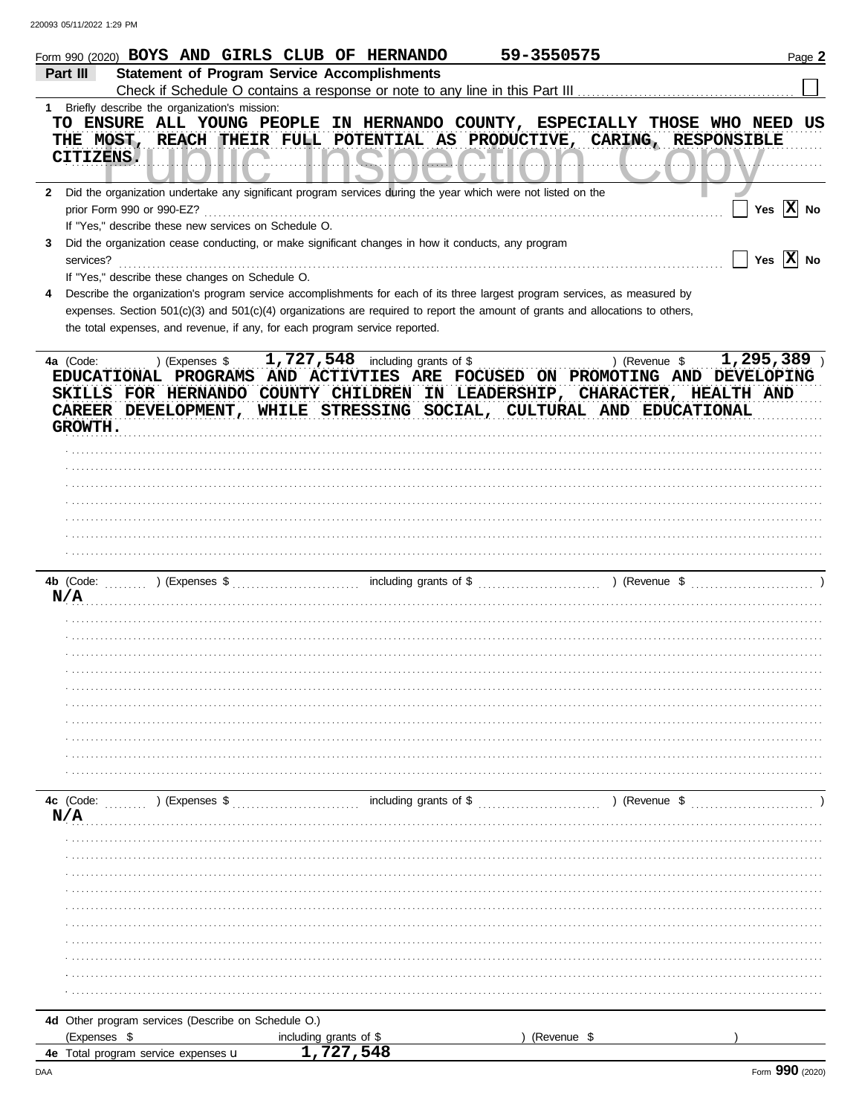|           | Form 990 (2020) BOYS AND GIRLS CLUB OF HERNANDO                                                                                                                                                                                                                           |                                                     | 59-3550575                     |                                                                        | Page 2                     |
|-----------|---------------------------------------------------------------------------------------------------------------------------------------------------------------------------------------------------------------------------------------------------------------------------|-----------------------------------------------------|--------------------------------|------------------------------------------------------------------------|----------------------------|
| Part III  |                                                                                                                                                                                                                                                                           | <b>Statement of Program Service Accomplishments</b> |                                |                                                                        |                            |
|           |                                                                                                                                                                                                                                                                           |                                                     |                                |                                                                        |                            |
|           | 1 Briefly describe the organization's mission:                                                                                                                                                                                                                            |                                                     |                                |                                                                        |                            |
|           | TO ENSURE ALL YOUNG PEOPLE IN HERNANDO COUNTY, ESPECIALLY THOSE WHO NEED US                                                                                                                                                                                               |                                                     |                                |                                                                        |                            |
|           | THE MOST, REACH THEIR FULL POTENTIAL AS PRODUCTIVE, CARING, RESPONSIBLE                                                                                                                                                                                                   |                                                     |                                |                                                                        |                            |
|           | CITIZENS.                                                                                                                                                                                                                                                                 |                                                     |                                |                                                                        |                            |
|           |                                                                                                                                                                                                                                                                           |                                                     |                                |                                                                        |                            |
|           | 2 Did the organization undertake any significant program services during the year which were not listed on the                                                                                                                                                            |                                                     |                                |                                                                        |                            |
|           | prior Form 990 or 990-EZ?                                                                                                                                                                                                                                                 |                                                     |                                |                                                                        | Yes $\overline{X}$ No      |
|           | If "Yes," describe these new services on Schedule O.                                                                                                                                                                                                                      |                                                     |                                |                                                                        |                            |
| 3         | Did the organization cease conducting, or make significant changes in how it conducts, any program                                                                                                                                                                        |                                                     |                                |                                                                        |                            |
| services? |                                                                                                                                                                                                                                                                           |                                                     |                                |                                                                        | Yes $\overline{X}$ No      |
|           | If "Yes," describe these changes on Schedule O.                                                                                                                                                                                                                           |                                                     |                                |                                                                        |                            |
|           |                                                                                                                                                                                                                                                                           |                                                     |                                |                                                                        |                            |
|           | Describe the organization's program service accomplishments for each of its three largest program services, as measured by                                                                                                                                                |                                                     |                                |                                                                        |                            |
|           | expenses. Section 501(c)(3) and 501(c)(4) organizations are required to report the amount of grants and allocations to others,                                                                                                                                            |                                                     |                                |                                                                        |                            |
|           | the total expenses, and revenue, if any, for each program service reported.                                                                                                                                                                                               |                                                     |                                |                                                                        |                            |
|           |                                                                                                                                                                                                                                                                           |                                                     |                                |                                                                        |                            |
| 4a (Code: | ) (Expenses \$                                                                                                                                                                                                                                                            | 1,727,548 including grants of \$                    |                                | ) (Revenue \$                                                          | $\overline{1,}$ 295, 389 ) |
|           | EDUCATIONAL PROGRAMS AND ACTIVTIES ARE FOCUSED ON PROMOTING AND DEVELOPING                                                                                                                                                                                                |                                                     |                                |                                                                        |                            |
|           | SKILLS FOR HERNANDO COUNTY CHILDREN IN LEADERSHIP, CHARACTER, HEALTH AND                                                                                                                                                                                                  |                                                     |                                |                                                                        |                            |
|           | CAREER DEVELOPMENT, WHILE STRESSING SOCIAL, CULTURAL AND EDUCATIONAL                                                                                                                                                                                                      |                                                     |                                |                                                                        |                            |
| GROWTH.   |                                                                                                                                                                                                                                                                           |                                                     |                                |                                                                        |                            |
|           |                                                                                                                                                                                                                                                                           |                                                     |                                |                                                                        |                            |
|           |                                                                                                                                                                                                                                                                           |                                                     |                                |                                                                        |                            |
|           |                                                                                                                                                                                                                                                                           |                                                     |                                |                                                                        |                            |
|           |                                                                                                                                                                                                                                                                           |                                                     |                                |                                                                        |                            |
|           |                                                                                                                                                                                                                                                                           |                                                     |                                |                                                                        |                            |
|           |                                                                                                                                                                                                                                                                           |                                                     |                                |                                                                        |                            |
|           |                                                                                                                                                                                                                                                                           |                                                     |                                |                                                                        |                            |
|           |                                                                                                                                                                                                                                                                           |                                                     |                                |                                                                        |                            |
| 4b (Code: | ) (Expenses $\frac{1}{2}$ (Expenses $\frac{1}{2}$ (Expenses $\frac{1}{2}$ (Expenses $\frac{1}{2}$ (Expenses $\frac{1}{2}$ (Expenses $\frac{1}{2}$ (Expenses $\frac{1}{2}$ (Expenses $\frac{1}{2}$ (Expenses $\frac{1}{2}$ (Expenses $\frac{1}{2}$ (Expenses $\frac{1}{2}$ |                                                     |                                | ) (Revenue $\frac{1}{2}$ (Revenue $\frac{1}{2}$ (Revenue $\frac{1}{2}$ |                            |
| N/A       |                                                                                                                                                                                                                                                                           |                                                     |                                |                                                                        |                            |
|           |                                                                                                                                                                                                                                                                           |                                                     |                                |                                                                        |                            |
|           |                                                                                                                                                                                                                                                                           |                                                     |                                |                                                                        |                            |
|           |                                                                                                                                                                                                                                                                           |                                                     |                                |                                                                        |                            |
|           |                                                                                                                                                                                                                                                                           |                                                     |                                |                                                                        |                            |
|           |                                                                                                                                                                                                                                                                           |                                                     |                                |                                                                        |                            |
|           |                                                                                                                                                                                                                                                                           |                                                     |                                |                                                                        |                            |
|           |                                                                                                                                                                                                                                                                           |                                                     |                                |                                                                        |                            |
|           |                                                                                                                                                                                                                                                                           |                                                     |                                |                                                                        |                            |
|           |                                                                                                                                                                                                                                                                           |                                                     |                                |                                                                        |                            |
|           |                                                                                                                                                                                                                                                                           |                                                     |                                |                                                                        |                            |
|           |                                                                                                                                                                                                                                                                           |                                                     |                                |                                                                        |                            |
|           |                                                                                                                                                                                                                                                                           |                                                     |                                |                                                                        |                            |
| 4c (Code: | ) (Expenses \$                                                                                                                                                                                                                                                            |                                                     | including grants of $\$\ldots$ | ) (Revenue \$                                                          |                            |
| N/A       |                                                                                                                                                                                                                                                                           |                                                     |                                |                                                                        |                            |
|           |                                                                                                                                                                                                                                                                           |                                                     |                                |                                                                        |                            |
|           |                                                                                                                                                                                                                                                                           |                                                     |                                |                                                                        |                            |
|           |                                                                                                                                                                                                                                                                           |                                                     |                                |                                                                        |                            |
|           |                                                                                                                                                                                                                                                                           |                                                     |                                |                                                                        |                            |
|           |                                                                                                                                                                                                                                                                           |                                                     |                                |                                                                        |                            |
|           |                                                                                                                                                                                                                                                                           |                                                     |                                |                                                                        |                            |
|           |                                                                                                                                                                                                                                                                           |                                                     |                                |                                                                        |                            |
|           |                                                                                                                                                                                                                                                                           |                                                     |                                |                                                                        |                            |
|           |                                                                                                                                                                                                                                                                           |                                                     |                                |                                                                        |                            |
|           |                                                                                                                                                                                                                                                                           |                                                     |                                |                                                                        |                            |
|           |                                                                                                                                                                                                                                                                           |                                                     |                                |                                                                        |                            |
|           |                                                                                                                                                                                                                                                                           |                                                     |                                |                                                                        |                            |
|           | 4d Other program services (Describe on Schedule O.)                                                                                                                                                                                                                       |                                                     |                                |                                                                        |                            |
|           | (Expenses \$                                                                                                                                                                                                                                                              | including grants of \$<br>1,727,548                 | (Revenue \$                    |                                                                        |                            |
|           | 4e Total program service expenses u                                                                                                                                                                                                                                       |                                                     |                                |                                                                        |                            |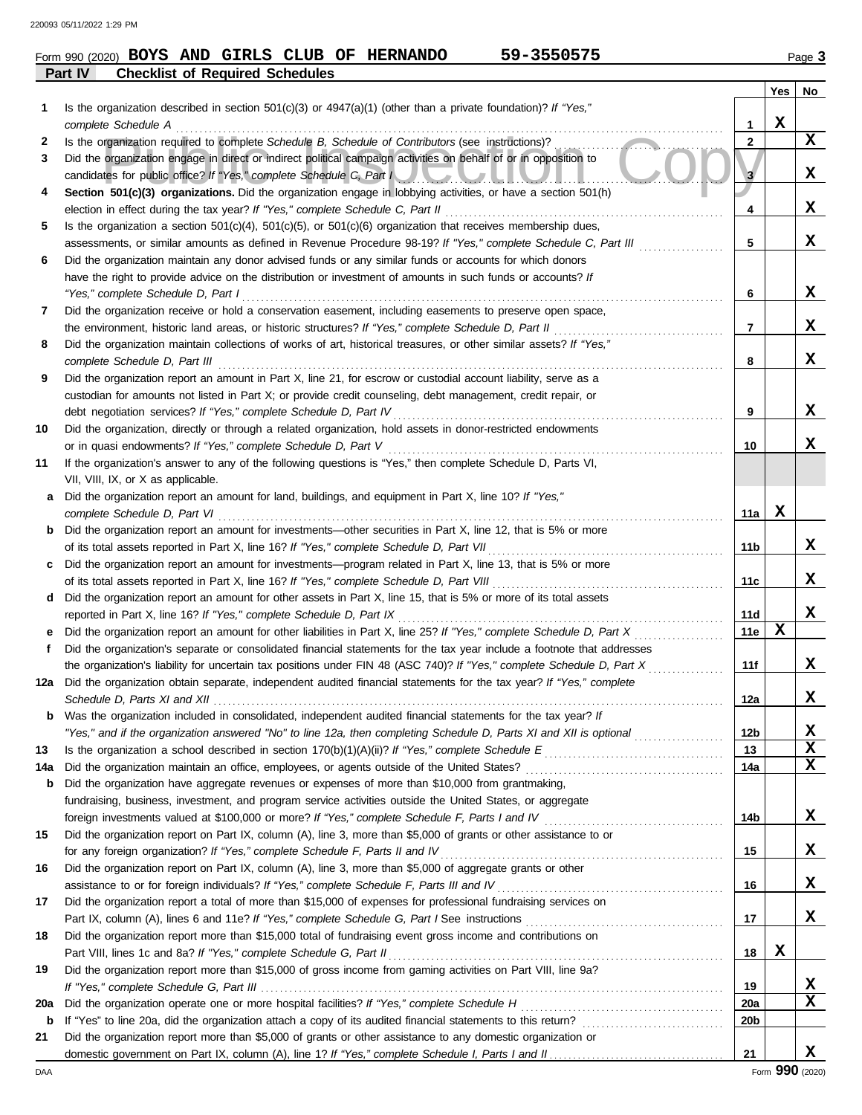| Form 990 (2020) |  | <b>BOYS AND GIRLS CLUB OF</b>          |  | HERNANDO | 59-3550575 | Page $3$ |
|-----------------|--|----------------------------------------|--|----------|------------|----------|
| Part IV         |  | <b>Checklist of Required Schedules</b> |  |          |            |          |

|          |                                                                                                                                                                                         |                 | Yes | No               |
|----------|-----------------------------------------------------------------------------------------------------------------------------------------------------------------------------------------|-----------------|-----|------------------|
| 1        | Is the organization described in section $501(c)(3)$ or $4947(a)(1)$ (other than a private foundation)? If "Yes,"                                                                       |                 |     |                  |
|          | complete Schedule A                                                                                                                                                                     | 1               | X   |                  |
| 2        | Is the organization required to complete Schedule B, Schedule of Contributors (see instructions)?                                                                                       | 2               |     | $\mathbf x$      |
| 3        | Did the organization engage in direct or indirect political campaign activities on behalf of or in opposition to<br>candidates for public office? If "Yes," complete Schedule C, Part I | 3               |     | x                |
| 4        | Section 501(c)(3) organizations. Did the organization engage in lobbying activities, or have a section 501(h)                                                                           |                 |     |                  |
|          | election in effect during the tax year? If "Yes," complete Schedule C, Part II                                                                                                          | 4               |     | X                |
| 5        | Is the organization a section $501(c)(4)$ , $501(c)(5)$ , or $501(c)(6)$ organization that receives membership dues,                                                                    |                 |     |                  |
|          | assessments, or similar amounts as defined in Revenue Procedure 98-19? If "Yes," complete Schedule C, Part III                                                                          | 5               |     | x                |
| 6        | Did the organization maintain any donor advised funds or any similar funds or accounts for which donors                                                                                 |                 |     |                  |
|          | have the right to provide advice on the distribution or investment of amounts in such funds or accounts? If                                                                             |                 |     |                  |
|          | "Yes," complete Schedule D, Part I                                                                                                                                                      | 6               |     | x                |
| 7        | Did the organization receive or hold a conservation easement, including easements to preserve open space,                                                                               |                 |     |                  |
|          | the environment, historic land areas, or historic structures? If "Yes," complete Schedule D, Part II                                                                                    | 7               |     | x                |
| 8        | Did the organization maintain collections of works of art, historical treasures, or other similar assets? If "Yes,"                                                                     |                 |     |                  |
|          | complete Schedule D, Part III                                                                                                                                                           | 8               |     | x                |
| 9        | Did the organization report an amount in Part X, line 21, for escrow or custodial account liability, serve as a                                                                         |                 |     |                  |
|          | custodian for amounts not listed in Part X; or provide credit counseling, debt management, credit repair, or                                                                            |                 |     | x                |
|          | debt negotiation services? If "Yes," complete Schedule D, Part IV                                                                                                                       | 9               |     |                  |
| 10       | Did the organization, directly or through a related organization, hold assets in donor-restricted endowments                                                                            | 10              |     | x                |
| 11       | or in quasi endowments? If "Yes," complete Schedule D, Part V<br>If the organization's answer to any of the following questions is "Yes," then complete Schedule D, Parts VI,           |                 |     |                  |
|          | VII, VIII, IX, or X as applicable.                                                                                                                                                      |                 |     |                  |
| a        | Did the organization report an amount for land, buildings, and equipment in Part X, line 10? If "Yes,"                                                                                  |                 |     |                  |
|          | complete Schedule D, Part VI                                                                                                                                                            | 11a             | x   |                  |
| b        | Did the organization report an amount for investments—other securities in Part X, line 12, that is 5% or more                                                                           |                 |     |                  |
|          | of its total assets reported in Part X, line 16? If "Yes," complete Schedule D, Part VII                                                                                                | 11b             |     | X                |
| c.       | Did the organization report an amount for investments—program related in Part X, line 13, that is 5% or more                                                                            |                 |     |                  |
|          |                                                                                                                                                                                         | 11c             |     | x                |
| d        | Did the organization report an amount for other assets in Part X, line 15, that is 5% or more of its total assets                                                                       |                 |     |                  |
|          | reported in Part X, line 16? If "Yes," complete Schedule D, Part IX                                                                                                                     | 11d             |     | x                |
|          | Did the organization report an amount for other liabilities in Part X, line 25? If "Yes," complete Schedule D, Part X                                                                   | <b>11e</b>      | X   |                  |
| f        | Did the organization's separate or consolidated financial statements for the tax year include a footnote that addresses                                                                 |                 |     |                  |
|          | the organization's liability for uncertain tax positions under FIN 48 (ASC 740)? If "Yes," complete Schedule D, Part X                                                                  | 11f             |     | x                |
| 12a      | Did the organization obtain separate, independent audited financial statements for the tax year? If "Yes," complete                                                                     |                 |     |                  |
|          |                                                                                                                                                                                         | 12a             |     | x                |
|          | Was the organization included in consolidated, independent audited financial statements for the tax year? If                                                                            |                 |     |                  |
|          | "Yes," and if the organization answered "No" to line 12a, then completing Schedule D, Parts XI and XII is optional                                                                      | 12 <sub>b</sub> |     | x<br>$\mathbf x$ |
| 13       |                                                                                                                                                                                         | 13              |     | $\mathbf x$      |
| 14a<br>b | Did the organization have aggregate revenues or expenses of more than \$10,000 from grantmaking,                                                                                        | 14a             |     |                  |
|          | fundraising, business, investment, and program service activities outside the United States, or aggregate                                                                               |                 |     |                  |
|          |                                                                                                                                                                                         | 14b             |     | X                |
| 15       | Did the organization report on Part IX, column (A), line 3, more than \$5,000 of grants or other assistance to or                                                                       |                 |     |                  |
|          | for any foreign organization? If "Yes," complete Schedule F, Parts II and IV                                                                                                            | 15              |     | x                |
| 16       | Did the organization report on Part IX, column (A), line 3, more than \$5,000 of aggregate grants or other                                                                              |                 |     |                  |
|          | assistance to or for foreign individuals? If "Yes," complete Schedule F, Parts III and IV [[[[[[[[[[[[[[[[[[[                                                                           | 16              |     | X                |
| 17       | Did the organization report a total of more than \$15,000 of expenses for professional fundraising services on                                                                          |                 |     |                  |
|          |                                                                                                                                                                                         | 17              |     | X                |
| 18       | Did the organization report more than \$15,000 total of fundraising event gross income and contributions on                                                                             |                 |     |                  |
|          |                                                                                                                                                                                         | 18              | X   |                  |
| 19       | Did the organization report more than \$15,000 of gross income from gaming activities on Part VIII, line 9a?                                                                            |                 |     |                  |
|          |                                                                                                                                                                                         | 19              |     | х                |
| 20a      | Did the organization operate one or more hospital facilities? If "Yes," complete Schedule H                                                                                             | 20a             |     | X                |
| b        |                                                                                                                                                                                         | 20 <sub>b</sub> |     |                  |
| 21       | Did the organization report more than \$5,000 of grants or other assistance to any domestic organization or                                                                             |                 |     |                  |
|          |                                                                                                                                                                                         | 21              |     | x                |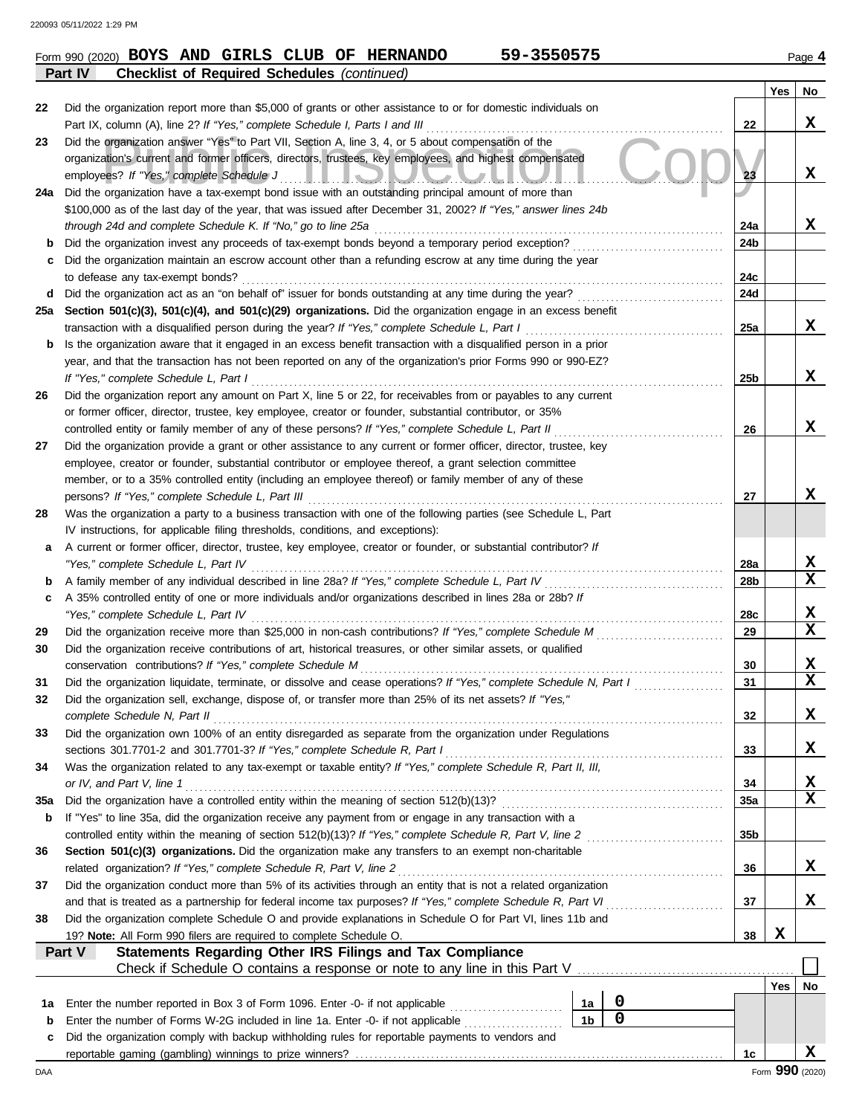|             | 59-3550575<br>Form 990 (2020) BOYS AND GIRLS CLUB OF HERNANDO                                                                                                                    |                 |     | Page 4                  |
|-------------|----------------------------------------------------------------------------------------------------------------------------------------------------------------------------------|-----------------|-----|-------------------------|
|             | <b>Checklist of Required Schedules (continued)</b><br>Part IV                                                                                                                    |                 |     |                         |
|             |                                                                                                                                                                                  |                 | Yes | No                      |
| 22          | Did the organization report more than \$5,000 of grants or other assistance to or for domestic individuals on                                                                    |                 |     |                         |
|             | Part IX, column (A), line 2? If "Yes," complete Schedule I, Parts I and III                                                                                                      | 22              |     | X                       |
| 23          | Did the organization answer "Yes" to Part VII, Section A, line 3, 4, or 5 about compensation of the                                                                              |                 |     |                         |
|             | organization's current and former officers, directors, trustees, key employees, and highest compensated                                                                          | 23              |     | X                       |
|             | employees? If "Yes," complete Schedule J<br><u>I IONUMIN</u><br>Did the organization have a tax-exempt bond issue with an outstanding principal amount of more than              |                 |     |                         |
| 24a         | \$100,000 as of the last day of the year, that was issued after December 31, 2002? If "Yes," answer lines 24b                                                                    |                 |     |                         |
|             | through 24d and complete Schedule K. If "No," go to line 25a                                                                                                                     | 24a             |     | X                       |
| b           | Did the organization invest any proceeds of tax-exempt bonds beyond a temporary period exception?                                                                                | 24b             |     |                         |
| с           | Did the organization maintain an escrow account other than a refunding escrow at any time during the year                                                                        |                 |     |                         |
|             | to defease any tax-exempt bonds?                                                                                                                                                 | 24c             |     |                         |
| d           | Did the organization act as an "on behalf of" issuer for bonds outstanding at any time during the year?                                                                          | 24d             |     |                         |
| 25a         | Section 501(c)(3), 501(c)(4), and 501(c)(29) organizations. Did the organization engage in an excess benefit                                                                     |                 |     |                         |
|             | transaction with a disqualified person during the year? If "Yes," complete Schedule L, Part I                                                                                    | 25a             |     | X                       |
| b           | Is the organization aware that it engaged in an excess benefit transaction with a disqualified person in a prior                                                                 |                 |     |                         |
|             | year, and that the transaction has not been reported on any of the organization's prior Forms 990 or 990-EZ?                                                                     |                 |     |                         |
|             | If "Yes," complete Schedule L, Part I                                                                                                                                            | 25 <sub>b</sub> |     | X                       |
| 26          | Did the organization report any amount on Part X, line 5 or 22, for receivables from or payables to any current                                                                  |                 |     |                         |
|             | or former officer, director, trustee, key employee, creator or founder, substantial contributor, or 35%                                                                          |                 |     |                         |
|             | controlled entity or family member of any of these persons? If "Yes," complete Schedule L, Part II                                                                               | 26              |     | X                       |
| 27          | Did the organization provide a grant or other assistance to any current or former officer, director, trustee, key                                                                |                 |     |                         |
|             | employee, creator or founder, substantial contributor or employee thereof, a grant selection committee                                                                           |                 |     |                         |
|             | member, or to a 35% controlled entity (including an employee thereof) or family member of any of these                                                                           |                 |     |                         |
|             | persons? If "Yes," complete Schedule L, Part III                                                                                                                                 | 27              |     | X                       |
| 28          | Was the organization a party to a business transaction with one of the following parties (see Schedule L, Part                                                                   |                 |     |                         |
|             | IV instructions, for applicable filing thresholds, conditions, and exceptions):                                                                                                  |                 |     |                         |
| a           | A current or former officer, director, trustee, key employee, creator or founder, or substantial contributor? If                                                                 |                 |     |                         |
|             | "Yes," complete Schedule L, Part IV<br>A family member of any individual described in line 28a? If "Yes," complete Schedule L, Part IV                                           | 28a             |     | X<br>$\mathbf x$        |
| b           | A 35% controlled entity of one or more individuals and/or organizations described in lines 28a or 28b? If                                                                        | 28b             |     |                         |
| c           | "Yes," complete Schedule L, Part IV                                                                                                                                              | 28c             |     | X                       |
| 29          | Did the organization receive more than \$25,000 in non-cash contributions? If "Yes," complete Schedule M                                                                         | 29              |     | $\mathbf x$             |
| 30          | Did the organization receive contributions of art, historical treasures, or other similar assets, or qualified                                                                   |                 |     |                         |
|             | conservation contributions? If "Yes," complete Schedule M                                                                                                                        | 30              |     | X                       |
| 31          | Did the organization liquidate, terminate, or dissolve and cease operations? If "Yes," complete Schedule N, Part I                                                               | 31              |     | $\overline{\mathbf{x}}$ |
| 32          | Did the organization sell, exchange, dispose of, or transfer more than 25% of its net assets? If "Yes,"                                                                          |                 |     |                         |
|             | complete Schedule N, Part II                                                                                                                                                     | 32              |     | X                       |
| 33          | Did the organization own 100% of an entity disregarded as separate from the organization under Regulations                                                                       |                 |     |                         |
|             | sections 301.7701-2 and 301.7701-3? If "Yes," complete Schedule R, Part I                                                                                                        | 33              |     | X                       |
| 34          | Was the organization related to any tax-exempt or taxable entity? If "Yes," complete Schedule R, Part II, III,                                                                   |                 |     |                         |
|             | or IV, and Part V, line 1                                                                                                                                                        | 34              |     | х                       |
| 35a         | Did the organization have a controlled entity within the meaning of section 512(b)(13)?                                                                                          | 35a             |     | $\mathbf x$             |
| b           | If "Yes" to line 35a, did the organization receive any payment from or engage in any transaction with a                                                                          |                 |     |                         |
|             | controlled entity within the meaning of section 512(b)(13)? If "Yes," complete Schedule R, Part V, line 2                                                                        | 35 <sub>b</sub> |     |                         |
| 36          | Section 501(c)(3) organizations. Did the organization make any transfers to an exempt non-charitable                                                                             |                 |     |                         |
|             | related organization? If "Yes," complete Schedule R, Part V, line 2                                                                                                              | 36              |     | X                       |
| 37          | Did the organization conduct more than 5% of its activities through an entity that is not a related organization                                                                 |                 |     |                         |
|             | and that is treated as a partnership for federal income tax purposes? If "Yes," complete Schedule R, Part VI                                                                     | 37              |     | X                       |
| 38          | Did the organization complete Schedule O and provide explanations in Schedule O for Part VI, lines 11b and<br>19? Note: All Form 990 filers are required to complete Schedule O. | 38              | X   |                         |
|             | Statements Regarding Other IRS Filings and Tax Compliance<br>Part V                                                                                                              |                 |     |                         |
|             | Check if Schedule O contains a response or note to any line in this Part V                                                                                                       |                 |     |                         |
|             |                                                                                                                                                                                  |                 | Yes | No                      |
| 1a          | $\boldsymbol{0}$<br>Enter the number reported in Box 3 of Form 1096. Enter -0- if not applicable<br>1a                                                                           |                 |     |                         |
| $\mathbf b$ | $\overline{0}$<br>1 <sub>b</sub><br>Enter the number of Forms W-2G included in line 1a. Enter -0- if not applicable                                                              |                 |     |                         |
| c           | Did the organization comply with backup withholding rules for reportable payments to vendors and                                                                                 |                 |     |                         |
|             |                                                                                                                                                                                  | 1c              |     | X                       |
| DAA         |                                                                                                                                                                                  |                 |     | Form 990 (2020)         |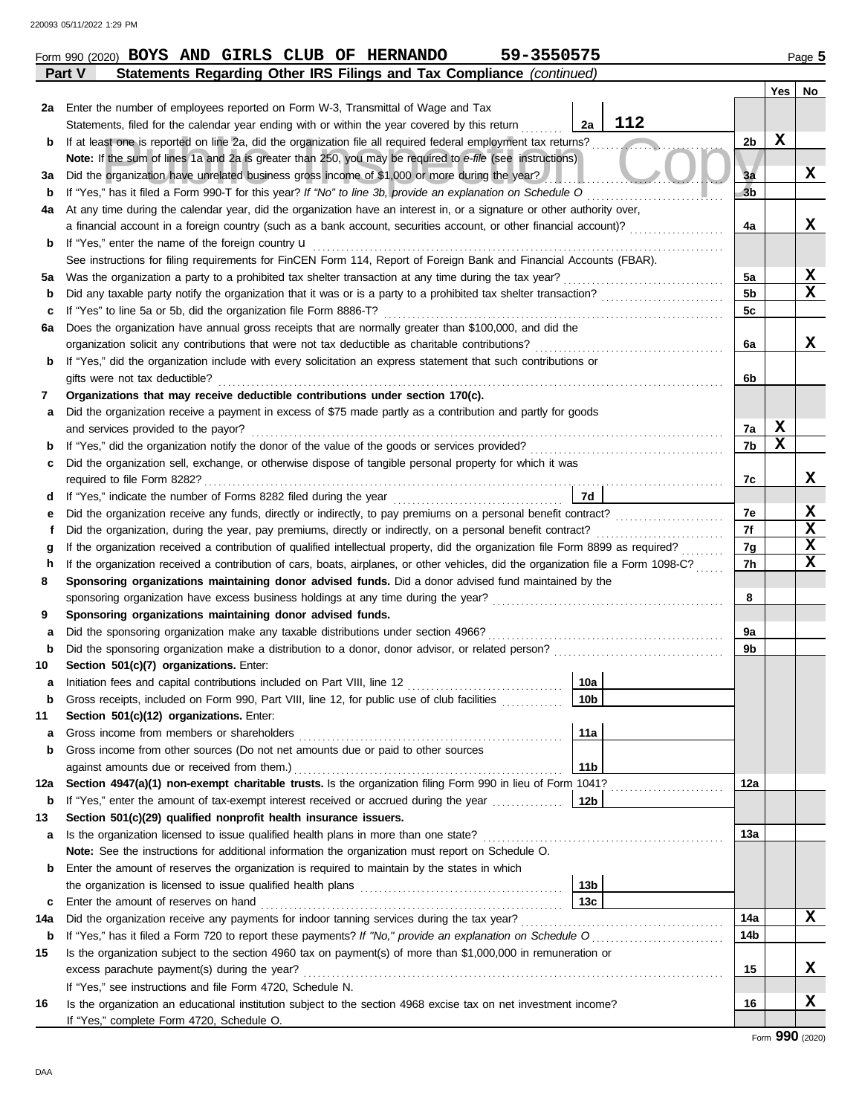Г

|     | Statements, filed for the calendar year ending with or within the year covered by this return                                      | 2a              | 112 |                |             |                 |
|-----|------------------------------------------------------------------------------------------------------------------------------------|-----------------|-----|----------------|-------------|-----------------|
| b   | If at least one is reported on line 2a, did the organization file all required federal employment tax returns?                     |                 |     | 2 <sub>b</sub> | $\mathbf x$ |                 |
|     | Note: If the sum of lines 1a and 2a is greater than 250, you may be required to e-file (see instructions)                          |                 |     |                |             |                 |
| За  | Did the organization have unrelated business gross income of \$1,000 or more during the year?                                      |                 |     | 3a             |             | X               |
| b   | If "Yes," has it filed a Form 990-T for this year? If "No" to line 3b, provide an explanation on Schedule O                        |                 |     | 3 <sub>b</sub> |             |                 |
| 4a  | At any time during the calendar year, did the organization have an interest in, or a signature or other authority over,            |                 |     |                |             |                 |
|     | a financial account in a foreign country (such as a bank account, securities account, or other financial account)?                 |                 |     | 4a             |             | X               |
| b   | If "Yes," enter the name of the foreign country <b>u</b>                                                                           |                 |     |                |             |                 |
|     | See instructions for filing requirements for FinCEN Form 114, Report of Foreign Bank and Financial Accounts (FBAR).                |                 |     |                |             |                 |
| 5a  | Was the organization a party to a prohibited tax shelter transaction at any time during the tax year?                              |                 |     | 5a             |             | X               |
| b   | Did any taxable party notify the organization that it was or is a party to a prohibited tax shelter transaction?                   |                 |     | 5b             |             | $\mathbf x$     |
| с   | If "Yes" to line 5a or 5b, did the organization file Form 8886-T?                                                                  |                 |     | 5c             |             |                 |
| 6а  | Does the organization have annual gross receipts that are normally greater than \$100,000, and did the                             |                 |     |                |             |                 |
|     | organization solicit any contributions that were not tax deductible as charitable contributions?                                   |                 |     | 6a             |             | X               |
| b   | If "Yes," did the organization include with every solicitation an express statement that such contributions or                     |                 |     |                |             |                 |
|     | gifts were not tax deductible?                                                                                                     |                 |     | 6b             |             |                 |
| 7   | Organizations that may receive deductible contributions under section 170(c).                                                      |                 |     |                |             |                 |
| а   | Did the organization receive a payment in excess of \$75 made partly as a contribution and partly for goods                        |                 |     |                |             |                 |
|     | and services provided to the payor?                                                                                                |                 |     | 7a             | X           |                 |
| b   |                                                                                                                                    |                 |     | 7b             | $\mathbf x$ |                 |
| с   | Did the organization sell, exchange, or otherwise dispose of tangible personal property for which it was                           |                 |     |                |             |                 |
|     | required to file Form 8282?                                                                                                        |                 |     | 7c             |             | X               |
| d   |                                                                                                                                    | 7d              |     |                |             |                 |
| е   | Did the organization receive any funds, directly or indirectly, to pay premiums on a personal benefit contract?                    |                 |     | 7e             |             | X               |
|     | Did the organization, during the year, pay premiums, directly or indirectly, on a personal benefit contract?                       |                 |     | 7f             |             | X               |
| g   | If the organization received a contribution of qualified intellectual property, did the organization file Form 8899 as required?   |                 |     | 7g             |             | X               |
| h   | If the organization received a contribution of cars, boats, airplanes, or other vehicles, did the organization file a Form 1098-C? |                 |     | 7h             |             | $\mathbf x$     |
| 8   | Sponsoring organizations maintaining donor advised funds. Did a donor advised fund maintained by the                               |                 |     |                |             |                 |
|     | sponsoring organization have excess business holdings at any time during the year?                                                 |                 |     | 8              |             |                 |
| 9   | Sponsoring organizations maintaining donor advised funds.                                                                          |                 |     |                |             |                 |
| a   | Did the sponsoring organization make any taxable distributions under section 4966?                                                 |                 |     | 9a             |             |                 |
| b   | Did the sponsoring organization make a distribution to a donor, donor advisor, or related person?                                  |                 |     | 9b             |             |                 |
| 10  | Section 501(c)(7) organizations. Enter:                                                                                            |                 |     |                |             |                 |
| а   | Initiation fees and capital contributions included on Part VIII, line 12                                                           | 10a             |     |                |             |                 |
| b   | Gross receipts, included on Form 990, Part VIII, line 12, for public use of club facilities                                        | 10 <sub>b</sub> |     |                |             |                 |
| 11  | Section 501(c)(12) organizations. Enter:                                                                                           |                 |     |                |             |                 |
| а   | Gross income from members or shareholders                                                                                          | 11a             |     |                |             |                 |
|     | Gross income from other sources (Do not net amounts due or paid to other sources                                                   |                 |     |                |             |                 |
|     | against amounts due or received from them.)                                                                                        | 11b             |     |                |             |                 |
| 12a | Section 4947(a)(1) non-exempt charitable trusts. Is the organization filing Form 990 in lieu of Form 1041?                         |                 |     | 12a            |             |                 |
| b   | If "Yes," enter the amount of tax-exempt interest received or accrued during the year [                                            | l 12b           |     |                |             |                 |
| 13  | Section 501(c)(29) qualified nonprofit health insurance issuers.                                                                   |                 |     |                |             |                 |
| a   | Is the organization licensed to issue qualified health plans in more than one state?                                               |                 |     | 13a            |             |                 |
|     | Note: See the instructions for additional information the organization must report on Schedule O.                                  |                 |     |                |             |                 |
| b   | Enter the amount of reserves the organization is required to maintain by the states in which                                       |                 |     |                |             |                 |
|     |                                                                                                                                    | 13 <sub>b</sub> |     |                |             |                 |
| c   | Enter the amount of reserves on hand                                                                                               | 13 <sub>c</sub> |     |                |             |                 |
| 14a | Did the organization receive any payments for indoor tanning services during the tax year?                                         |                 |     | 14a            |             | X               |
| b   | If "Yes," has it filed a Form 720 to report these payments? If "No," provide an explanation on Schedule O                          |                 |     | 14b            |             |                 |
| 15  | Is the organization subject to the section 4960 tax on payment(s) of more than \$1,000,000 in remuneration or                      |                 |     |                |             |                 |
|     | excess parachute payment(s) during the year?                                                                                       |                 |     | 15             |             | X               |
|     | If "Yes," see instructions and file Form 4720, Schedule N.                                                                         |                 |     |                |             |                 |
| 16  | Is the organization an educational institution subject to the section 4968 excise tax on net investment income?                    |                 |     | 16             |             | X               |
|     | If "Yes," complete Form 4720, Schedule O.                                                                                          |                 |     |                |             |                 |
|     |                                                                                                                                    |                 |     |                |             | Form 990 (2020) |

 $\overline{\phantom{a}}$ 

 $\overline{\phantom{a}}$ 

**Part V Statements Regarding Other IRS Filings and Tax Compliance** *(continued)*

**2a** Enter the number of employees reported on Form W-3, Transmittal of Wage and Tax

**Form 990 (2020) BOYS AND GIRLS CLUB OF HERNANDO** 59-3550575 Page 5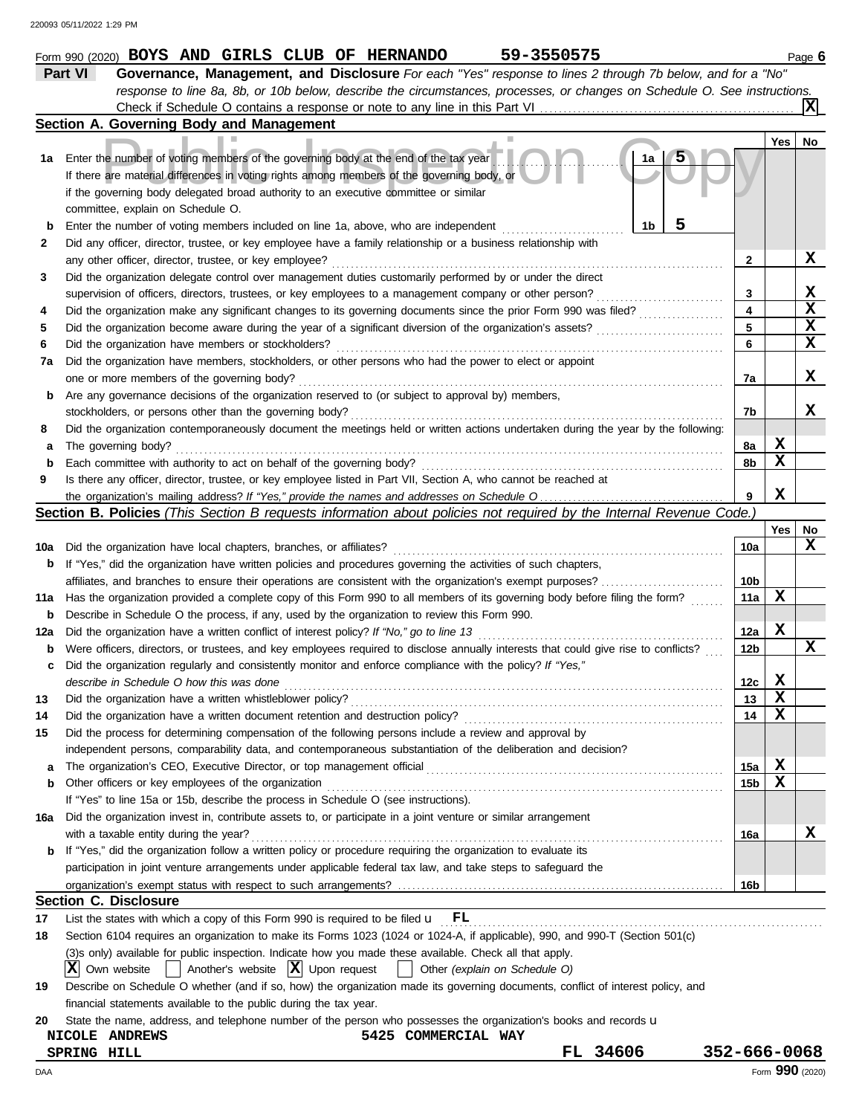|     | 59-3550575<br>Form 990 (2020) BOYS AND GIRLS CLUB OF HERNANDO                                                                       |                 |             | Page 6                  |
|-----|-------------------------------------------------------------------------------------------------------------------------------------|-----------------|-------------|-------------------------|
|     | Governance, Management, and Disclosure For each "Yes" response to lines 2 through 7b below, and for a "No"<br>Part VI               |                 |             |                         |
|     | response to line 8a, 8b, or 10b below, describe the circumstances, processes, or changes on Schedule O. See instructions.           |                 |             |                         |
|     |                                                                                                                                     |                 |             |                         |
|     | Section A. Governing Body and Management                                                                                            |                 |             |                         |
|     |                                                                                                                                     |                 | Yes         | No                      |
| 1a  | Enter the number of voting members of the governing body at the end of the tax year<br>1a                                           |                 |             |                         |
|     | If there are material differences in voting rights among members of the governing body, or                                          |                 |             |                         |
|     | if the governing body delegated broad authority to an executive committee or similar                                                |                 |             |                         |
|     | committee, explain on Schedule O.                                                                                                   |                 |             |                         |
| b   | 5<br>1b<br>Enter the number of voting members included on line 1a, above, who are independent                                       |                 |             |                         |
| 2   | Did any officer, director, trustee, or key employee have a family relationship or a business relationship with                      |                 |             |                         |
|     | any other officer, director, trustee, or key employee?                                                                              | 2               |             | X                       |
| 3   | Did the organization delegate control over management duties customarily performed by or under the direct                           |                 |             |                         |
|     | supervision of officers, directors, trustees, or key employees to a management company or other person?                             | 3               |             | X                       |
| 4   | Did the organization make any significant changes to its governing documents since the prior Form 990 was filed?                    | 4               |             | $\overline{\mathbf{x}}$ |
| 5   | Did the organization become aware during the year of a significant diversion of the organization's assets?                          | 5               |             | $\overline{\mathbf{x}}$ |
| 6   | Did the organization have members or stockholders?                                                                                  | 6               |             | $\overline{\mathbf{x}}$ |
| 7a  | Did the organization have members, stockholders, or other persons who had the power to elect or appoint                             |                 |             |                         |
|     | one or more members of the governing body?                                                                                          | 7a              |             | X                       |
| b   | Are any governance decisions of the organization reserved to (or subject to approval by) members,                                   |                 |             |                         |
|     | stockholders, or persons other than the governing body?                                                                             | 7b              |             | x                       |
| 8   | Did the organization contemporaneously document the meetings held or written actions undertaken during the year by the following:   |                 |             |                         |
| а   | The governing body?                                                                                                                 | 8а              | X           |                         |
| b   | Each committee with authority to act on behalf of the governing body?                                                               | 8b              | X           |                         |
| 9   | Is there any officer, director, trustee, or key employee listed in Part VII, Section A, who cannot be reached at                    |                 |             |                         |
|     |                                                                                                                                     | 9               | $\mathbf x$ |                         |
|     | Section B. Policies (This Section B requests information about policies not required by the Internal Revenue Code.)                 |                 |             |                         |
|     |                                                                                                                                     |                 | <b>Yes</b>  | No                      |
| 10a | Did the organization have local chapters, branches, or affiliates?                                                                  | 10a             |             | X                       |
| b   | If "Yes," did the organization have written policies and procedures governing the activities of such chapters,                      |                 |             |                         |
|     |                                                                                                                                     | 10 <sub>b</sub> |             |                         |
| 11a | Has the organization provided a complete copy of this Form 990 to all members of its governing body before filing the form?         | 11a             | X           |                         |
| b   | Describe in Schedule O the process, if any, used by the organization to review this Form 990.                                       |                 |             |                         |
| 12a | Did the organization have a written conflict of interest policy? If "No," go to line 13                                             | 12a             | X           |                         |
| b   | Were officers, directors, or trustees, and key employees required to disclose annually interests that could give rise to conflicts? | 12 <sub>b</sub> |             | X                       |
| с   | Did the organization regularly and consistently monitor and enforce compliance with the policy? If "Yes,"                           |                 |             |                         |
|     | describe in Schedule O how this was done                                                                                            | 12c             | X           |                         |
| 13  | Did the organization have a written whistleblower policy?                                                                           | 13              | х           |                         |
| 14  | Did the organization have a written document retention and destruction policy?                                                      | 14              | X           |                         |
| 15  | Did the process for determining compensation of the following persons include a review and approval by                              |                 |             |                         |
|     | independent persons, comparability data, and contemporaneous substantiation of the deliberation and decision?                       |                 |             |                         |
| a   | The organization's CEO, Executive Director, or top management official                                                              | 15a             | X           |                         |
| b   | Other officers or key employees of the organization                                                                                 | 15b             | X           |                         |
|     | If "Yes" to line 15a or 15b, describe the process in Schedule O (see instructions).                                                 |                 |             |                         |
| 16a | Did the organization invest in, contribute assets to, or participate in a joint venture or similar arrangement                      |                 |             |                         |
|     | with a taxable entity during the year?                                                                                              | 16a             |             | X                       |
| b   | If "Yes," did the organization follow a written policy or procedure requiring the organization to evaluate its                      |                 |             |                         |
|     | participation in joint venture arrangements under applicable federal tax law, and take steps to safeguard the                       |                 |             |                         |
|     |                                                                                                                                     | 16b             |             |                         |
|     | <b>Section C. Disclosure</b>                                                                                                        |                 |             |                         |
| 17  | List the states with which a copy of this Form 990 is required to be filed $\mathbf{u}$ $\mathbf{FL}$                               |                 |             |                         |
| 18  | Section 6104 requires an organization to make its Forms 1023 (1024 or 1024-A, if applicable), 990, and 990-T (Section 501(c)        |                 |             |                         |
|     | (3)s only) available for public inspection. Indicate how you made these available. Check all that apply.                            |                 |             |                         |
|     | Another's website $ \mathbf{X} $ Upon request<br> X <br>Own website<br>Other (explain on Schedule O)                                |                 |             |                         |
| 19  | Describe on Schedule O whether (and if so, how) the organization made its governing documents, conflict of interest policy, and     |                 |             |                         |
|     | financial statements available to the public during the tax year.                                                                   |                 |             |                         |
| 20  | State the name, address, and telephone number of the person who possesses the organization's books and records u                    |                 |             |                         |
|     | 5425 COMMERCIAL WAY<br>NICOLE ANDREWS                                                                                               |                 |             |                         |
|     | FL 34606<br>352-666-0068<br>SPRING HILL                                                                                             |                 |             |                         |

DAA Form **990** (2020)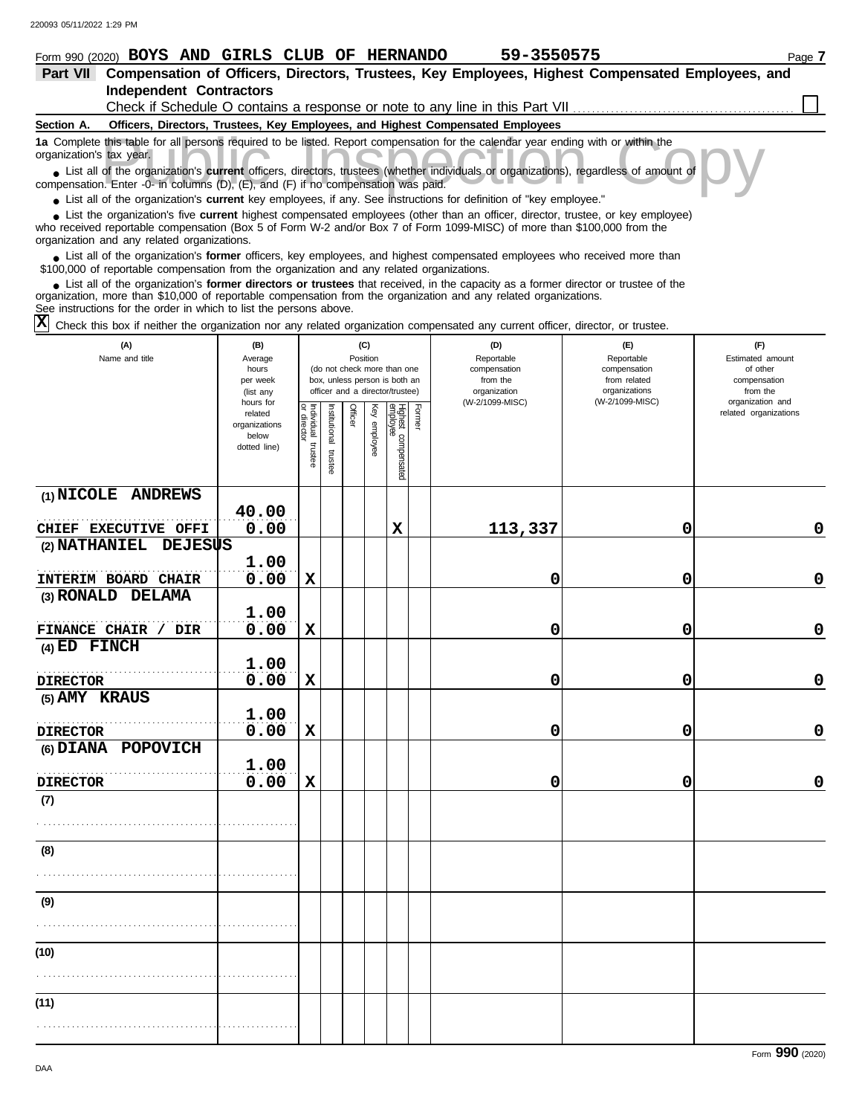## **Form 990 (2020) BOYS AND GIRLS CLUB OF HERNANDO** 59-3550575 Page 7

| <b>Part VII</b>          | Compensation of Officers, Directors, Trustees, Key Employees, Highest Compensated Employees, and                                                                                                                            |  |
|--------------------------|-----------------------------------------------------------------------------------------------------------------------------------------------------------------------------------------------------------------------------|--|
|                          | <b>Independent Contractors</b>                                                                                                                                                                                              |  |
|                          | Check if Schedule O contains a response or note to any line in this Part VII                                                                                                                                                |  |
| Section A.               | Officers, Directors, Trustees, Key Employees, and Highest Compensated Employees                                                                                                                                             |  |
| organization's tax year. | 1a Complete this table for all persons required to be listed. Report compensation for the calendar year ending with or within the                                                                                           |  |
|                          | • List all of the organization's current officers, directors, trustees (whether individuals or organizations), regardless of amount of<br>compensation. Enter -0- in columns (D), (E), and (F) if no compensation was paid. |  |
|                          |                                                                                                                                                                                                                             |  |

● List all of the organization's **current** key employees, if any. See instructions for definition of "key employee."

who received reportable compensation (Box 5 of Form W-2 and/or Box 7 of Form 1099-MISC) of more than \$100,000 from the organization and any related organizations. ■ List the organization's five **current** highest compensated employees (other than an officer, director, trustee, or key employee)<br> **•** Preceived reportable compensation (Box 5 of Form W.2 and/or Box 7 of Form 1000 MISC)

■ List all of the organization's **former** officers, key employees, and highest compensated employees who received more than<br> **•** 00,000 of reportable compensation from the ergonization and any related ergonizations \$100,000 of reportable compensation from the organization and any related organizations.

■ List all of the organization's **former directors or trustees** that received, in the capacity as a former director or trustee of the<br>paization, more than \$10,000 of reportable compensation from the organization and any r organization, more than \$10,000 of reportable compensation from the organization and any related organizations.

See instructions for the order in which to list the persons above.

 $\overline{X}$  Check this box if neither the organization nor any related organization compensated any current officer, director, or trustee.

| (A)<br>Name and title                 | (B)<br>Average<br>hours<br>per week<br>(list any               |                                   | (C)<br>Position<br>(do not check more than one<br>box, unless person is both an<br>officer and a director/trustee) |         |              |                                 |        | (D)<br>Reportable<br>compensation<br>from the<br>organization | (E)<br>Reportable<br>compensation<br>from related<br>organizations<br>(W-2/1099-MISC) | (F)<br>Estimated amount<br>of other<br>compensation<br>from the<br>organization and |  |  |
|---------------------------------------|----------------------------------------------------------------|-----------------------------------|--------------------------------------------------------------------------------------------------------------------|---------|--------------|---------------------------------|--------|---------------------------------------------------------------|---------------------------------------------------------------------------------------|-------------------------------------------------------------------------------------|--|--|
|                                       | hours for<br>related<br>organizations<br>below<br>dotted line) | Individual trustee<br>or director | Institutional trustee                                                                                              | Officer | Key employee | Highest compensated<br>employee | Former | (W-2/1099-MISC)                                               |                                                                                       | related organizations                                                               |  |  |
| (1) NICOLE ANDREWS                    | 40.00                                                          |                                   |                                                                                                                    |         |              |                                 |        |                                                               |                                                                                       |                                                                                     |  |  |
| CHIEF EXECUTIVE OFFI                  | 0.00                                                           |                                   |                                                                                                                    |         |              | $\mathbf x$                     |        | 113,337                                                       | 0                                                                                     | $\mathbf 0$                                                                         |  |  |
| (2) NATHANIEL<br><b>DEJESUS</b>       |                                                                |                                   |                                                                                                                    |         |              |                                 |        |                                                               |                                                                                       |                                                                                     |  |  |
|                                       | 1.00                                                           |                                   |                                                                                                                    |         |              |                                 |        |                                                               |                                                                                       |                                                                                     |  |  |
| INTERIM BOARD CHAIR                   | 0.00                                                           | $\mathbf x$                       |                                                                                                                    |         |              |                                 |        | 0                                                             | 0                                                                                     | $\mathbf 0$                                                                         |  |  |
| (3) RONALD DELAMA                     |                                                                |                                   |                                                                                                                    |         |              |                                 |        |                                                               |                                                                                       |                                                                                     |  |  |
|                                       | 1.00                                                           |                                   |                                                                                                                    |         |              |                                 |        |                                                               |                                                                                       | $\mathbf 0$                                                                         |  |  |
| FINANCE CHAIR / DIR<br>$(4)$ ED FINCH | 0.00                                                           | $\mathbf x$                       |                                                                                                                    |         |              |                                 |        | 0                                                             | 0                                                                                     |                                                                                     |  |  |
|                                       | 1.00                                                           |                                   |                                                                                                                    |         |              |                                 |        |                                                               |                                                                                       |                                                                                     |  |  |
| <b>DIRECTOR</b>                       | 0.00                                                           | $\mathbf x$                       |                                                                                                                    |         |              |                                 |        | 0                                                             | 0                                                                                     | $\mathbf 0$                                                                         |  |  |
| (5) AMY KRAUS                         |                                                                |                                   |                                                                                                                    |         |              |                                 |        |                                                               |                                                                                       |                                                                                     |  |  |
|                                       | 1.00                                                           |                                   |                                                                                                                    |         |              |                                 |        |                                                               |                                                                                       |                                                                                     |  |  |
| <b>DIRECTOR</b>                       | 0.00                                                           | $\mathbf x$                       |                                                                                                                    |         |              |                                 |        | 0                                                             | 0                                                                                     | $\mathbf 0$                                                                         |  |  |
| (6) DIANA POPOVICH                    |                                                                |                                   |                                                                                                                    |         |              |                                 |        |                                                               |                                                                                       |                                                                                     |  |  |
|                                       | 1.00                                                           |                                   |                                                                                                                    |         |              |                                 |        |                                                               |                                                                                       |                                                                                     |  |  |
| <b>DIRECTOR</b>                       | 0.00                                                           | $\mathbf x$                       |                                                                                                                    |         |              |                                 |        | 0                                                             | 0                                                                                     | $\mathbf 0$                                                                         |  |  |
| (7)                                   |                                                                |                                   |                                                                                                                    |         |              |                                 |        |                                                               |                                                                                       |                                                                                     |  |  |
|                                       |                                                                |                                   |                                                                                                                    |         |              |                                 |        |                                                               |                                                                                       |                                                                                     |  |  |
| (8)                                   |                                                                |                                   |                                                                                                                    |         |              |                                 |        |                                                               |                                                                                       |                                                                                     |  |  |
|                                       |                                                                |                                   |                                                                                                                    |         |              |                                 |        |                                                               |                                                                                       |                                                                                     |  |  |
| (9)                                   |                                                                |                                   |                                                                                                                    |         |              |                                 |        |                                                               |                                                                                       |                                                                                     |  |  |
|                                       |                                                                |                                   |                                                                                                                    |         |              |                                 |        |                                                               |                                                                                       |                                                                                     |  |  |
| (10)                                  |                                                                |                                   |                                                                                                                    |         |              |                                 |        |                                                               |                                                                                       |                                                                                     |  |  |
|                                       |                                                                |                                   |                                                                                                                    |         |              |                                 |        |                                                               |                                                                                       |                                                                                     |  |  |
|                                       |                                                                |                                   |                                                                                                                    |         |              |                                 |        |                                                               |                                                                                       |                                                                                     |  |  |
| (11)                                  |                                                                |                                   |                                                                                                                    |         |              |                                 |        |                                                               |                                                                                       |                                                                                     |  |  |
|                                       |                                                                |                                   |                                                                                                                    |         |              |                                 |        |                                                               |                                                                                       |                                                                                     |  |  |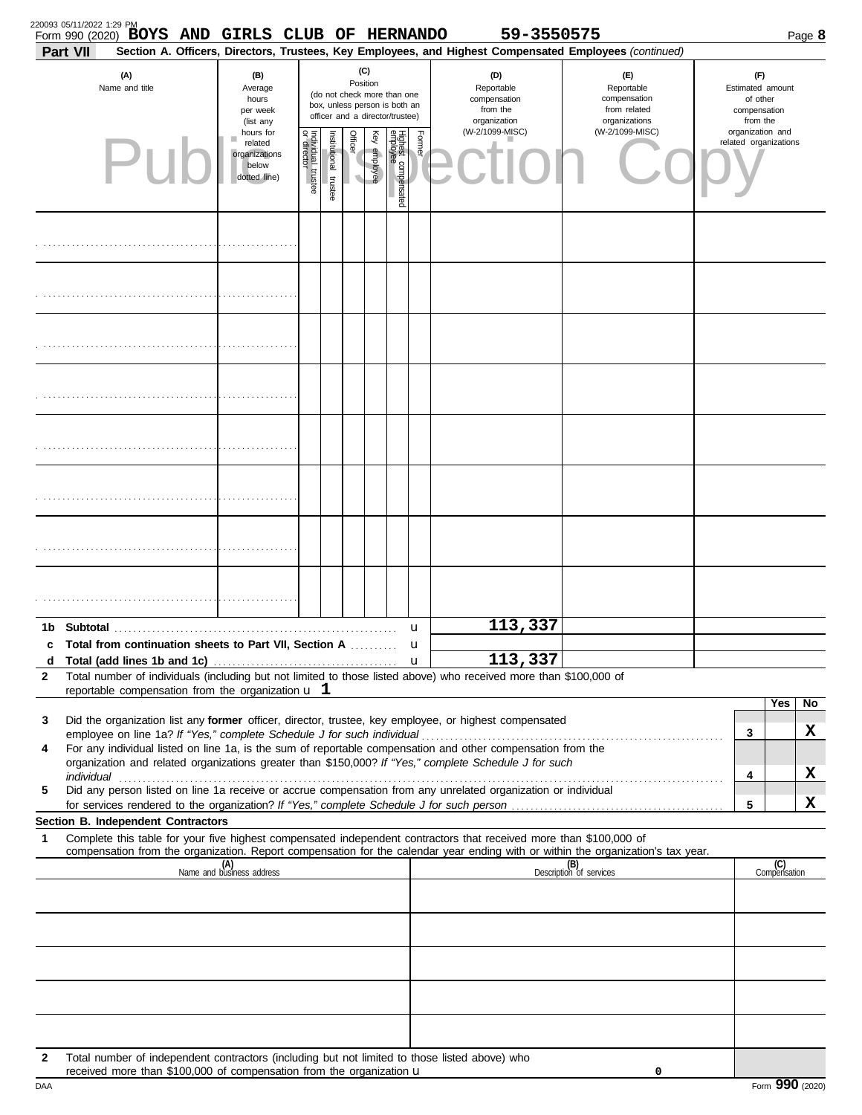| 220093 05/11/2022 1:29 PM | Form 990 (2020) BOYS AND GIRLS CLUB OF HERNANDO                                                                |                                                                |                                   |                       |                                                                                                                    |              |                                 |        | 59-3550575                                                                                                                                                              |                                                                                                                                                                    |                                                                 | Page 8                |
|---------------------------|----------------------------------------------------------------------------------------------------------------|----------------------------------------------------------------|-----------------------------------|-----------------------|--------------------------------------------------------------------------------------------------------------------|--------------|---------------------------------|--------|-------------------------------------------------------------------------------------------------------------------------------------------------------------------------|--------------------------------------------------------------------------------------------------------------------------------------------------------------------|-----------------------------------------------------------------|-----------------------|
| <b>Part VII</b>           | (A)<br>Name and title                                                                                          | (B)<br>Average<br>hours<br>per week<br>(list any               |                                   |                       | (C)<br>Position<br>(do not check more than one<br>box, unless person is both an<br>officer and a director/trustee) |              |                                 |        | Section A. Officers, Directors, Trustees, Key Employees, and Highest Compensated Employees (continued)<br>(D)<br>Reportable<br>compensation<br>from the<br>organization | (E)<br>Reportable<br>compensation<br>from related<br>organizations                                                                                                 | (F)<br>Estimated amount<br>of other<br>compensation<br>from the |                       |
|                           |                                                                                                                | hours for<br>related<br>organizations<br>below<br>dotted line) | Individual trustee<br>or director | Institutional trustee | Officer                                                                                                            | Key employee | Highest compensated<br>employee | Former | (W-2/1099-MISC)                                                                                                                                                         | (W-2/1099-MISC)                                                                                                                                                    | organization and                                                | related organizations |
|                           |                                                                                                                |                                                                |                                   |                       |                                                                                                                    |              |                                 |        |                                                                                                                                                                         |                                                                                                                                                                    |                                                                 |                       |
|                           |                                                                                                                |                                                                |                                   |                       |                                                                                                                    |              |                                 |        |                                                                                                                                                                         |                                                                                                                                                                    |                                                                 |                       |
|                           |                                                                                                                |                                                                |                                   |                       |                                                                                                                    |              |                                 |        |                                                                                                                                                                         |                                                                                                                                                                    |                                                                 |                       |
|                           |                                                                                                                |                                                                |                                   |                       |                                                                                                                    |              |                                 |        |                                                                                                                                                                         |                                                                                                                                                                    |                                                                 |                       |
|                           |                                                                                                                |                                                                |                                   |                       |                                                                                                                    |              |                                 |        |                                                                                                                                                                         |                                                                                                                                                                    |                                                                 |                       |
|                           |                                                                                                                |                                                                |                                   |                       |                                                                                                                    |              |                                 |        |                                                                                                                                                                         |                                                                                                                                                                    |                                                                 |                       |
|                           |                                                                                                                |                                                                |                                   |                       |                                                                                                                    |              |                                 |        |                                                                                                                                                                         |                                                                                                                                                                    |                                                                 |                       |
|                           |                                                                                                                |                                                                |                                   |                       |                                                                                                                    |              |                                 |        |                                                                                                                                                                         |                                                                                                                                                                    |                                                                 |                       |
|                           | c Total from continuation sheets to Part VII, Section A                                                        |                                                                |                                   |                       |                                                                                                                    |              |                                 | u<br>u | 113,337                                                                                                                                                                 |                                                                                                                                                                    |                                                                 |                       |
| d                         |                                                                                                                |                                                                |                                   |                       |                                                                                                                    |              |                                 |        | 113,337                                                                                                                                                                 |                                                                                                                                                                    |                                                                 |                       |
| 2                         | reportable compensation from the organization $\mathbf u$ 1                                                    |                                                                |                                   |                       |                                                                                                                    |              |                                 |        | Total number of individuals (including but not limited to those listed above) who received more than \$100,000 of                                                       |                                                                                                                                                                    |                                                                 |                       |
|                           |                                                                                                                |                                                                |                                   |                       |                                                                                                                    |              |                                 |        |                                                                                                                                                                         |                                                                                                                                                                    |                                                                 | Yes<br>No             |
| 3                         |                                                                                                                |                                                                |                                   |                       |                                                                                                                    |              |                                 |        | Did the organization list any former officer, director, trustee, key employee, or highest compensated                                                                   |                                                                                                                                                                    | 3                                                               | х                     |
| 4                         |                                                                                                                |                                                                |                                   |                       |                                                                                                                    |              |                                 |        | For any individual listed on line 1a, is the sum of reportable compensation and other compensation from the                                                             |                                                                                                                                                                    |                                                                 |                       |
|                           | individual communications and individual contracts are all the set of the set of the set of the set of the set |                                                                |                                   |                       |                                                                                                                    |              |                                 |        | organization and related organizations greater than \$150,000? If "Yes," complete Schedule J for such                                                                   |                                                                                                                                                                    | 4                                                               | X                     |
| 5                         |                                                                                                                |                                                                |                                   |                       |                                                                                                                    |              |                                 |        | Did any person listed on line 1a receive or accrue compensation from any unrelated organization or individual                                                           |                                                                                                                                                                    |                                                                 |                       |
|                           | Section B. Independent Contractors                                                                             |                                                                |                                   |                       |                                                                                                                    |              |                                 |        |                                                                                                                                                                         |                                                                                                                                                                    | 5                                                               | X                     |
| 1                         |                                                                                                                |                                                                |                                   |                       |                                                                                                                    |              |                                 |        | Complete this table for your five highest compensated independent contractors that received more than \$100,000 of                                                      |                                                                                                                                                                    |                                                                 |                       |
|                           |                                                                                                                | (A)<br>Name and business address                               |                                   |                       |                                                                                                                    |              |                                 |        |                                                                                                                                                                         | compensation from the organization. Report compensation for the calendar year ending with or within the organization's tax year.<br>(B)<br>Description of services |                                                                 | (C)                   |
|                           |                                                                                                                |                                                                |                                   |                       |                                                                                                                    |              |                                 |        |                                                                                                                                                                         |                                                                                                                                                                    |                                                                 | Compensation          |
|                           |                                                                                                                |                                                                |                                   |                       |                                                                                                                    |              |                                 |        |                                                                                                                                                                         |                                                                                                                                                                    |                                                                 |                       |
|                           |                                                                                                                |                                                                |                                   |                       |                                                                                                                    |              |                                 |        |                                                                                                                                                                         |                                                                                                                                                                    |                                                                 |                       |
|                           |                                                                                                                |                                                                |                                   |                       |                                                                                                                    |              |                                 |        |                                                                                                                                                                         |                                                                                                                                                                    |                                                                 |                       |
| $\mathbf{2}$              | Total number of independent contractors (including but not limited to those listed above) who                  |                                                                |                                   |                       |                                                                                                                    |              |                                 |        |                                                                                                                                                                         |                                                                                                                                                                    |                                                                 |                       |
|                           | received more than \$100,000 of compensation from the organization $\mathbf u$                                 |                                                                |                                   |                       |                                                                                                                    |              |                                 |        |                                                                                                                                                                         | 0                                                                                                                                                                  |                                                                 |                       |

|  | I | ٠ | ., |
|--|---|---|----|
|  |   |   |    |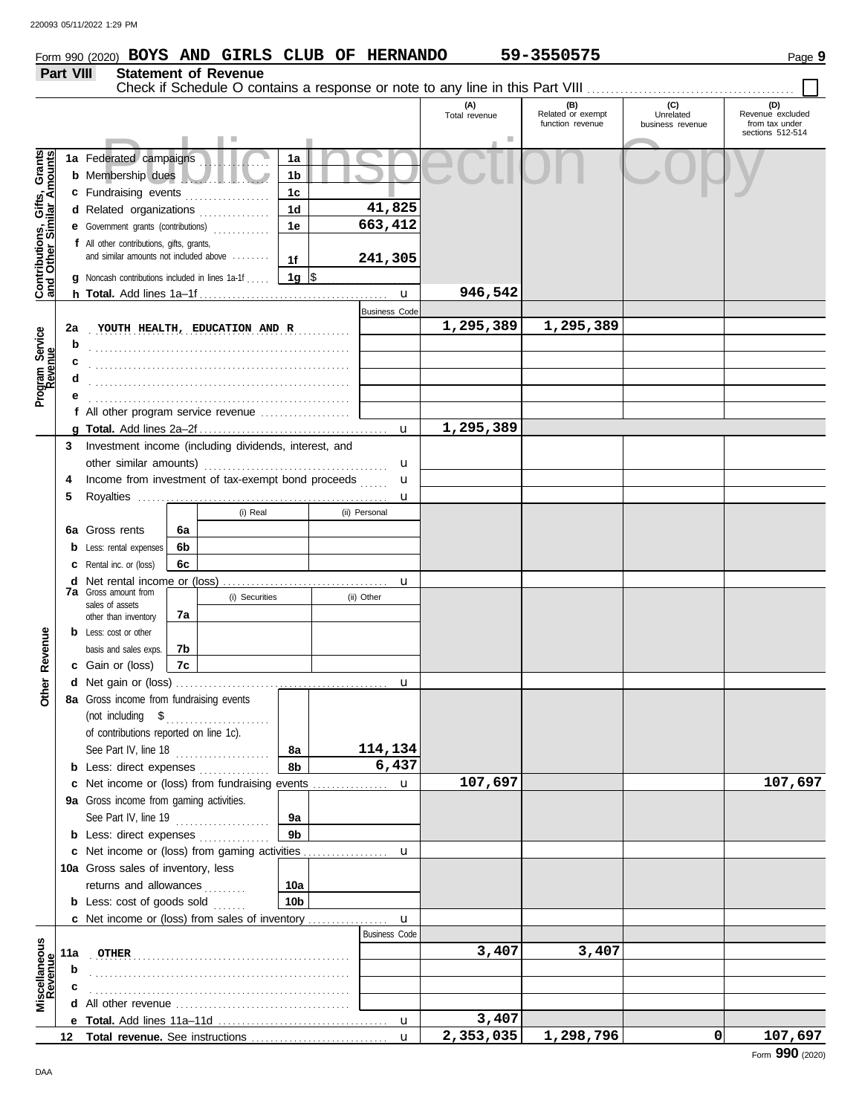#### **Form 990 (2020) BOYS AND GIRLS CLUB OF HERNANDO** 59-3550575 Page 9 **Part VIII Statement of Revenue** Check if Schedule O contains a response or note to any line in this Part VIII **(A) (B) (C) (D)** Total revenue Related or exempt Unrelated Revenue excluded<br>
function revenue business revenue from tax under function revenue | business revenue | from tax under sections 512-514 Public Inspection Copy Contributions, Gifts, Grants **Contributions, Gifts, Grants and Other Similar Amounts 1a 1a** Federated campaigns **. . . . . . . . . . . . 1b b** Membership dues . . . . . . . . . . . . . . . . . . . **1c c** Fundraising events **. . . . . . . . . . . . . .** . . **41,825 1d d** Related organizations . . . . . . . . . . . . . **663,412 1e e** Government grants (contributions) . . . . . . . . . . . . **f** All other contributions, gifts, grants, and similar amounts not included above ....... **241,305 1f 1g g** Noncash contributions included in lines 1a-1f . . . . .  $\frac{\$}{\$}$ **946,542** u **h Total.** Add lines 1a–1f . . . . . . . . . . . . . . . . . . . . . . . . . . . . . . . . . . . . . . . . Business Code **2a** YOUTH HEALTH, EDUCATION AND R **1,295,389 1,295,389** Program Service<br>Revenue **Program Service b** . . . . . . . . . . . . . . . . . . . . . . . . . . . . . . . . . . . . . . . . . . . . . . . . . . . . . . . **c** . . . . . . . . . . . . . . . . . . . . . . . . . . . . . . . . . . . . . . . . . . . . . . . . . . . . . . . **d** . . . . . . . . . . . . . . . . . . . . . . . . . . . . . . . . . . . . . . . . . . . . . . . . . . . . . . . **e** . . . . . . . . . . . . . . . . . . . . . . . . . . . . . . . . . . . . . . . . . . . . . . . . . . . . . . . **f** All other program service revenue . . . . . . . . . . . . . . . . . . . **1,295,389 g Total.** Add lines 2a–2f . . . . . . . . . . . . . . . . . . . . . . . . . . . . . . . . . . . . . . . . u **3** Investment income (including dividends, interest, and other similar amounts) . . . . . . . . . . . . . . . . . . . . . . . . . . . . . . . . . . . . . . . u u **4** Income from investment of tax-exempt bond proceeds ...... **5** Royalties . . . . . . . . . . . . . . . . . . . . . . . . . . . . . . . . . . . . . . . . . . . . . . . . . . . . . u (i) Real (ii) Personal **6a 6a** Gross rents **6b b** Less: rental expenses **6c c** Rental inc. or (loss) **d** Net rental income or (loss) . . . . . . . . . . . . . . . . . . . . . . . . . . . . . . . . . . . u **7a** Gross amount from (i) Securities (ii) Other sales of assets **7a** other than inventory evenue **b** Less: cost or other **Other Revenue** basis and sales exps.<br> $\sum_{n=1}^{\infty}$ **7b** л **7c c** Gain or (loss)

| œ                        |                 | <b>c</b> Gain or (ioss)   $IC$                |                 |  |                      |           |           |   |         |
|--------------------------|-----------------|-----------------------------------------------|-----------------|--|----------------------|-----------|-----------|---|---------|
|                          |                 |                                               |                 |  |                      |           |           |   |         |
| Other                    |                 | 8a Gross income from fundraising events       |                 |  |                      |           |           |   |         |
|                          |                 |                                               |                 |  |                      |           |           |   |         |
|                          |                 | of contributions reported on line 1c).        |                 |  |                      |           |           |   |         |
|                          |                 | See Part IV, line 18                          | 8а              |  | 114,134              |           |           |   |         |
|                          |                 | <b>b</b> Less: direct expenses <i>minimum</i> | 8b              |  | 6,437                |           |           |   |         |
|                          |                 |                                               |                 |  |                      | 107,697   |           |   | 107,697 |
|                          |                 | 9a Gross income from gaming activities.       |                 |  |                      |           |           |   |         |
|                          |                 | See Part IV, line 19<br>.                     | 9a              |  |                      |           |           |   |         |
|                          | b               | Less: direct expenses                         | 9 <sub>b</sub>  |  |                      |           |           |   |         |
|                          |                 | Net income or (loss) from gaming activities   |                 |  | u                    |           |           |   |         |
|                          |                 | 10a Gross sales of inventory, less            |                 |  |                      |           |           |   |         |
|                          |                 | returns and allowances                        | 10a             |  |                      |           |           |   |         |
|                          |                 | <b>b</b> Less: cost of goods sold             | 10 <sub>b</sub> |  |                      |           |           |   |         |
|                          |                 |                                               |                 |  |                      |           |           |   |         |
|                          |                 |                                               |                 |  | <b>Business Code</b> |           |           |   |         |
| Miscellaneous<br>Revenue | 11a             | OTHER                                         |                 |  |                      | 3,407     | 3,407     |   |         |
|                          | b               |                                               |                 |  |                      |           |           |   |         |
|                          |                 |                                               |                 |  |                      |           |           |   |         |
|                          |                 |                                               |                 |  |                      |           |           |   |         |
|                          | е               |                                               |                 |  |                      | 3,407     |           |   |         |
|                          | 12 <sup>°</sup> |                                               |                 |  | $\mathbf{u}$         | 2,353,035 | 1,298,796 | 0 | 107,697 |
|                          |                 |                                               |                 |  |                      |           |           |   |         |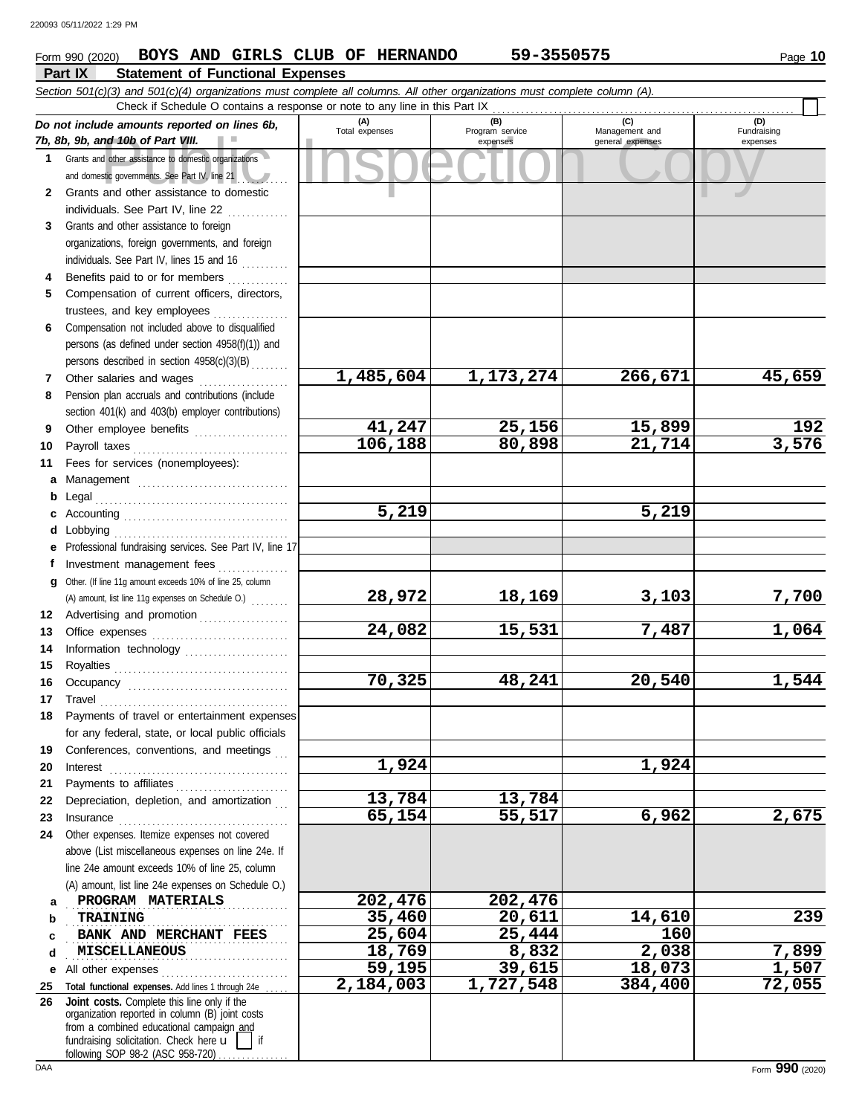## **Part IX Statement of Functional Expenses Form 990 (2020) BOYS AND GIRLS CLUB OF HERNANDO** 59-3550575 Page 10

|     | Section 501(c)(3) and 501(c)(4) organizations must complete all columns. All other organizations must complete column (A).<br>Check if Schedule O contains a response or note to any line in this Part IX                           |                       |                             |                                    |                         |
|-----|-------------------------------------------------------------------------------------------------------------------------------------------------------------------------------------------------------------------------------------|-----------------------|-----------------------------|------------------------------------|-------------------------|
|     | Do not include amounts reported on lines 6b,                                                                                                                                                                                        | (A)<br>Total expenses | (B)                         | (C)                                | (D)                     |
|     | 7b, 8b, 9b, and 10b of Part VIII.                                                                                                                                                                                                   |                       | Program service<br>expenses | Management and<br>general expenses | Fundraising<br>expenses |
|     | 1 Grants and other assistance to domestic organizations<br>and domestic governments. See Part IV, line 21                                                                                                                           |                       |                             |                                    |                         |
| 2   | Grants and other assistance to domestic                                                                                                                                                                                             |                       |                             |                                    |                         |
|     | individuals. See Part IV, line 22                                                                                                                                                                                                   |                       |                             |                                    |                         |
| 3   | Grants and other assistance to foreign                                                                                                                                                                                              |                       |                             |                                    |                         |
|     | organizations, foreign governments, and foreign                                                                                                                                                                                     |                       |                             |                                    |                         |
|     | individuals. See Part IV, lines 15 and 16                                                                                                                                                                                           |                       |                             |                                    |                         |
| 4   | Benefits paid to or for members                                                                                                                                                                                                     |                       |                             |                                    |                         |
| 5.  | Compensation of current officers, directors,                                                                                                                                                                                        |                       |                             |                                    |                         |
|     | trustees, and key employees                                                                                                                                                                                                         |                       |                             |                                    |                         |
| 6   | Compensation not included above to disqualified                                                                                                                                                                                     |                       |                             |                                    |                         |
|     | persons (as defined under section 4958(f)(1)) and                                                                                                                                                                                   |                       |                             |                                    |                         |
|     | persons described in section 4958(c)(3)(B)                                                                                                                                                                                          |                       |                             |                                    |                         |
| 7   | Other salaries and wages                                                                                                                                                                                                            | 1,485,604             | 1,173,274                   | 266,671                            | 45,659                  |
| 8   | Pension plan accruals and contributions (include                                                                                                                                                                                    |                       |                             |                                    |                         |
|     | section 401(k) and 403(b) employer contributions)                                                                                                                                                                                   |                       |                             |                                    |                         |
| 9   | Other employee benefits                                                                                                                                                                                                             | 41,247                | 25,156                      | 15,899                             | 192                     |
| 10  | Payroll taxes                                                                                                                                                                                                                       | 106, 188              | 80,898                      | $\overline{21,714}$                | 3,576                   |
| 11  | Fees for services (nonemployees):                                                                                                                                                                                                   |                       |                             |                                    |                         |
| a   |                                                                                                                                                                                                                                     |                       |                             |                                    |                         |
| b   | Legal                                                                                                                                                                                                                               |                       |                             |                                    |                         |
| c   |                                                                                                                                                                                                                                     | 5,219                 |                             | 5,219                              |                         |
| d   | Lobbying                                                                                                                                                                                                                            |                       |                             |                                    |                         |
| е   | Professional fundraising services. See Part IV, line 17                                                                                                                                                                             |                       |                             |                                    |                         |
| f   | Investment management fees                                                                                                                                                                                                          |                       |                             |                                    |                         |
| q   | Other. (If line 11g amount exceeds 10% of line 25, column                                                                                                                                                                           |                       |                             |                                    |                         |
|     | (A) amount, list line 11g expenses on Schedule O.)                                                                                                                                                                                  | 28,972                | 18,169                      | 3,103                              | 7,700                   |
| 12  | Advertising and promotion                                                                                                                                                                                                           |                       |                             |                                    |                         |
| 13  |                                                                                                                                                                                                                                     | 24,082                | 15,531                      | 7,487                              | 1,064                   |
| 14  | Information technology                                                                                                                                                                                                              |                       |                             |                                    |                         |
| 15  |                                                                                                                                                                                                                                     | 70,325                | 48,241                      | 20,540                             | 1,544                   |
| 16  |                                                                                                                                                                                                                                     |                       |                             |                                    |                         |
| 17  | Travel<br>Payments of travel or entertainment expenses                                                                                                                                                                              |                       |                             |                                    |                         |
|     | for any federal, state, or local public officials                                                                                                                                                                                   |                       |                             |                                    |                         |
| 19  | Conferences, conventions, and meetings                                                                                                                                                                                              |                       |                             |                                    |                         |
| 20  | Interest                                                                                                                                                                                                                            | 1,924                 |                             | 1,924                              |                         |
| 21  |                                                                                                                                                                                                                                     |                       |                             |                                    |                         |
| 22  | Depreciation, depletion, and amortization                                                                                                                                                                                           | 13,784                | 13,784                      |                                    |                         |
| 23  | Insurance <b>continuous</b> contains a series of the series of the series of the series of the series of the series of the series of the series of the series of the series of the series of the series of the series of the series | 65,154                | 55,517                      | 6,962                              | 2,675                   |
| 24  | Other expenses. Itemize expenses not covered                                                                                                                                                                                        |                       |                             |                                    |                         |
|     | above (List miscellaneous expenses on line 24e. If                                                                                                                                                                                  |                       |                             |                                    |                         |
|     | line 24e amount exceeds 10% of line 25, column                                                                                                                                                                                      |                       |                             |                                    |                         |
|     | (A) amount, list line 24e expenses on Schedule O.)                                                                                                                                                                                  |                       |                             |                                    |                         |
| a   | PROGRAM MATERIALS                                                                                                                                                                                                                   | 202,476               | 202,476                     |                                    |                         |
| b   | <b>TRAINING</b>                                                                                                                                                                                                                     | 35,460                | 20,611                      | 14,610                             | 239                     |
| c   | BANK AND MERCHANT FEES                                                                                                                                                                                                              | 25,604                | 25,444                      | 160                                |                         |
| d   | MISCELLANEOUS                                                                                                                                                                                                                       | 18,769                | 8,832                       | 2,038                              | 7,899                   |
| е   | All other expenses<br>.                                                                                                                                                                                                             | 59,195                | 39,615                      | 18,073                             | 1,507                   |
| 25  | Total functional expenses. Add lines 1 through 24e                                                                                                                                                                                  | 2,184,003             | 1,727,548                   | 384,400                            | 72,055                  |
| 26  | Joint costs. Complete this line only if the<br>organization reported in column (B) joint costs                                                                                                                                      |                       |                             |                                    |                         |
|     | from a combined educational campaign and                                                                                                                                                                                            |                       |                             |                                    |                         |
|     | fundraising solicitation. Check here u<br>if                                                                                                                                                                                        |                       |                             |                                    |                         |
| DAA | following SOP 98-2 (ASC 958-720)                                                                                                                                                                                                    |                       |                             |                                    | Form 990 (2020)         |
|     |                                                                                                                                                                                                                                     |                       |                             |                                    |                         |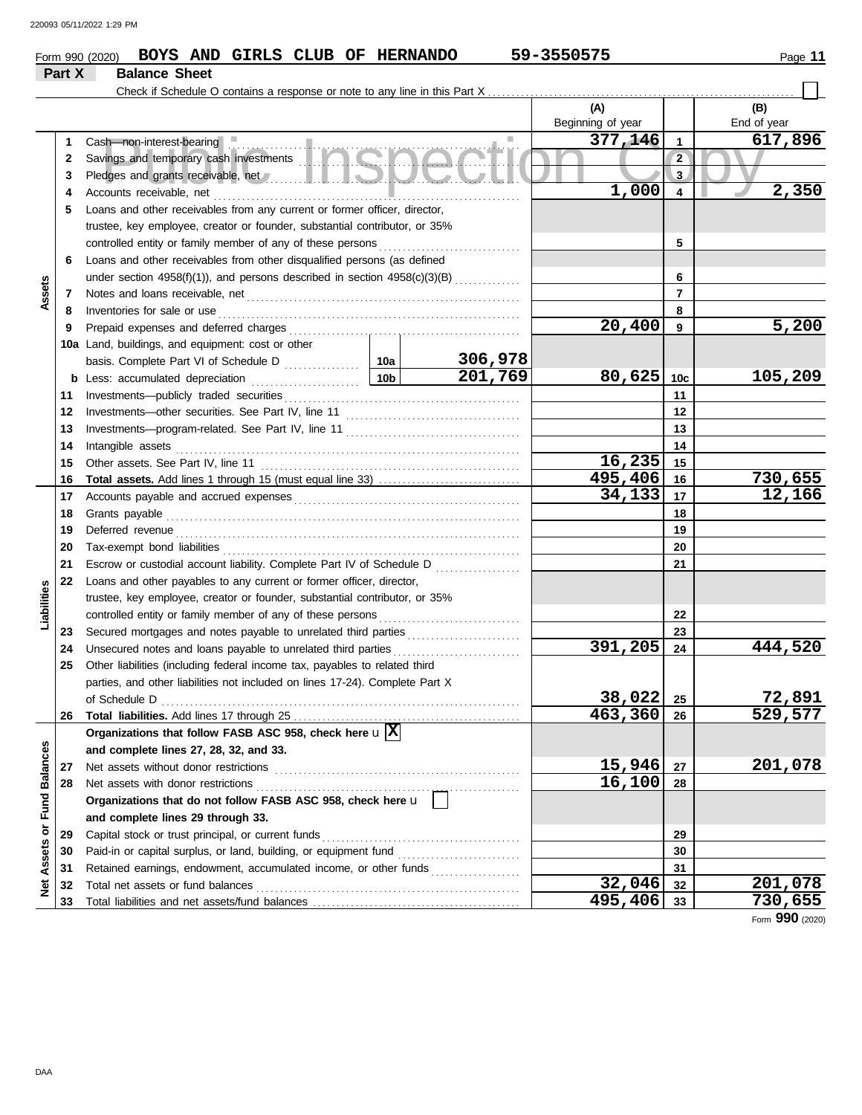### **Form 990 (2020) BOYS AND GIRLS CLUB OF HERNANDO** 59-3550575 Page 11 **Part X Balance Sheet**

|                      |          | Check if Schedule O contains a response or note to any line in this Part X                                                                                                                                                     |                 |         |                          |                 |                    |
|----------------------|----------|--------------------------------------------------------------------------------------------------------------------------------------------------------------------------------------------------------------------------------|-----------------|---------|--------------------------|-----------------|--------------------|
|                      |          |                                                                                                                                                                                                                                |                 |         | (A)<br>Beginning of year |                 | (B)<br>End of year |
|                      | 1        |                                                                                                                                                                                                                                |                 |         | 377,146                  | $\mathbf{1}$    | 617,896            |
|                      | 2        |                                                                                                                                                                                                                                |                 |         |                          | $\overline{2}$  |                    |
|                      | 3        | Pledges and grants receivable, net // www.all.com/ and all and all and all and all and all and all and all and all and all and all and all and all and all and all and all and all and all and all and all and all and all and |                 |         | 3                        |                 |                    |
|                      | 4        | Accounts receivable, net                                                                                                                                                                                                       |                 | 1,000   | 4                        | 2,350           |                    |
|                      | 5        | Loans and other receivables from any current or former officer, director,                                                                                                                                                      |                 |         |                          |                 |                    |
|                      |          | trustee, key employee, creator or founder, substantial contributor, or 35%                                                                                                                                                     |                 |         |                          |                 |                    |
|                      |          | controlled entity or family member of any of these persons                                                                                                                                                                     |                 |         |                          | 5               |                    |
|                      | 6        | Loans and other receivables from other disqualified persons (as defined                                                                                                                                                        |                 |         |                          |                 |                    |
|                      |          | under section 4958(f)(1)), and persons described in section 4958(c)(3)(B)                                                                                                                                                      |                 |         |                          | 6               |                    |
| Assets               | 7        |                                                                                                                                                                                                                                |                 |         |                          | $\overline{7}$  |                    |
|                      | 8        | Inventories for sale or use                                                                                                                                                                                                    |                 |         |                          | 8               |                    |
|                      | 9        | Prepaid expenses and deferred charges                                                                                                                                                                                          |                 |         | 20,400                   | 9               | 5,200              |
|                      |          | 10a Land, buildings, and equipment: cost or other                                                                                                                                                                              |                 |         |                          |                 |                    |
|                      |          | basis. Complete Part VI of Schedule D                                                                                                                                                                                          | 10a             | 306,978 |                          |                 |                    |
|                      | b        | Less: accumulated depreciation                                                                                                                                                                                                 | 10 <sub>b</sub> | 201,769 | 80,625                   | 10 <sub>c</sub> | 105,209            |
|                      | 11       | Investments-publicly traded securities                                                                                                                                                                                         |                 |         |                          | 11              |                    |
|                      | 12       |                                                                                                                                                                                                                                |                 |         | 12                       |                 |                    |
|                      | 13       |                                                                                                                                                                                                                                |                 |         | 13                       |                 |                    |
|                      | 14       | Intangible assets                                                                                                                                                                                                              |                 | 14      |                          |                 |                    |
|                      | 15       | Other assets. See Part IV, line 11                                                                                                                                                                                             | 16,235          | 15      |                          |                 |                    |
|                      | 16       |                                                                                                                                                                                                                                |                 |         | 495,406                  | 16              | 730,655            |
|                      | 17       |                                                                                                                                                                                                                                |                 |         | 34,133                   | 17              | 12,166             |
|                      | 18       | Grants payable                                                                                                                                                                                                                 |                 |         |                          | 18              |                    |
|                      | 19       | Deferred revenue                                                                                                                                                                                                               |                 |         | 19                       |                 |                    |
|                      | 20       | Tax-exempt bond liabilities                                                                                                                                                                                                    |                 |         |                          | 20              |                    |
|                      | 21       | Escrow or custodial account liability. Complete Part IV of Schedule D                                                                                                                                                          |                 | .       |                          | 21              |                    |
|                      | 22       | Loans and other payables to any current or former officer, director,                                                                                                                                                           |                 |         |                          |                 |                    |
| Liabilities          |          | trustee, key employee, creator or founder, substantial contributor, or 35%                                                                                                                                                     |                 |         |                          |                 |                    |
|                      |          | controlled entity or family member of any of these persons                                                                                                                                                                     |                 |         |                          | 22              |                    |
|                      | 23       |                                                                                                                                                                                                                                |                 |         |                          | 23              |                    |
|                      | 24       | Unsecured notes and loans payable to unrelated third parties                                                                                                                                                                   |                 |         | 391,205                  | 24              | 444,520            |
|                      | 25       | Other liabilities (including federal income tax, payables to related third                                                                                                                                                     |                 |         |                          |                 |                    |
|                      |          | parties, and other liabilities not included on lines 17-24). Complete Part X                                                                                                                                                   |                 |         |                          |                 |                    |
|                      |          |                                                                                                                                                                                                                                |                 |         | 38,022                   | 25              | 72,891             |
|                      |          | 26 Total liabilities. Add lines 17 through 25                                                                                                                                                                                  |                 |         | 463,360                  | 26              | 529,577            |
|                      |          | Organizations that follow FASB ASC 958, check here $\mathbf{u} \mathbf{X} $                                                                                                                                                    |                 |         |                          |                 |                    |
|                      |          | and complete lines 27, 28, 32, and 33.                                                                                                                                                                                         |                 |         |                          |                 |                    |
|                      | 27       | Net assets without donor restrictions                                                                                                                                                                                          |                 |         | 15,946<br>16,100         | 27              | 201,078            |
|                      | 28       | Net assets with donor restrictions                                                                                                                                                                                             |                 |         |                          | 28              |                    |
| <b>Fund Balances</b> |          | Organizations that do not follow FASB ASC 958, check here u                                                                                                                                                                    |                 |         |                          |                 |                    |
| $\overline{\sigma}$  |          | and complete lines 29 through 33.                                                                                                                                                                                              |                 |         |                          |                 |                    |
|                      | 29       | Capital stock or trust principal, or current funds                                                                                                                                                                             |                 |         | 29                       |                 |                    |
| Assets               | 30       |                                                                                                                                                                                                                                |                 |         |                          | 30              |                    |
|                      | 31       | Retained earnings, endowment, accumulated income, or other funds<br>Total net assets or fund balances                                                                                                                          |                 |         | 32,046                   | 31<br>32        | 201,078            |
| ğ                    | 32<br>33 |                                                                                                                                                                                                                                |                 |         | 495,406                  | 33              | 730,655            |
|                      |          |                                                                                                                                                                                                                                |                 |         |                          |                 |                    |

Form **990** (2020)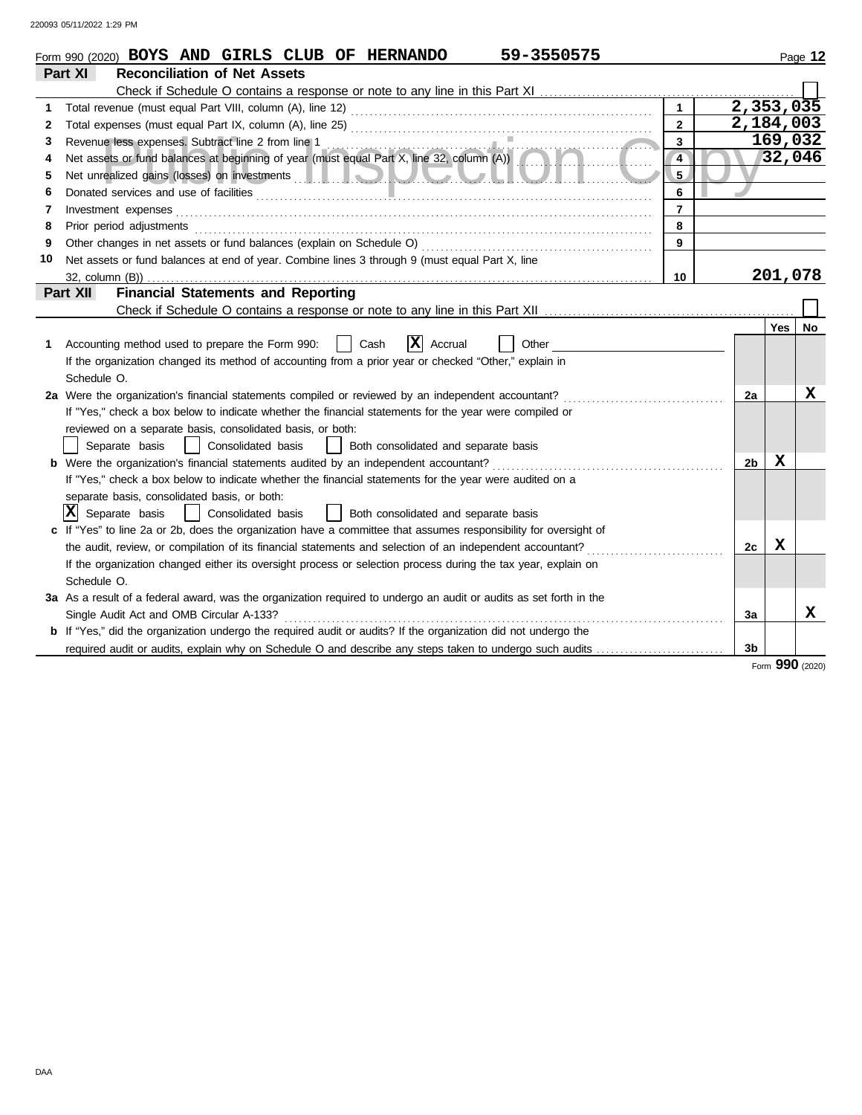|              | 59-3550575<br>Form 990 (2020) BOYS AND GIRLS CLUB OF HERNANDO                                                                                   |                |                        |         | Page 12 |
|--------------|-------------------------------------------------------------------------------------------------------------------------------------------------|----------------|------------------------|---------|---------|
|              | Part XI<br><b>Reconciliation of Net Assets</b>                                                                                                  |                |                        |         |         |
|              |                                                                                                                                                 |                |                        |         |         |
| 1            |                                                                                                                                                 |                | $\overline{2,353,035}$ |         |         |
| $\mathbf{2}$ |                                                                                                                                                 | $\overline{2}$ | 2,184,003              |         |         |
| 3            |                                                                                                                                                 | 3              |                        | 169,032 |         |
| 4            | Revenue less expenses. Subtract line 2 from line 1<br>Net assets or fund balances at beginning of year (must equal Part X, line 32, column (A)) | $\overline{4}$ |                        |         | 32,046  |
| 5            | Net unrealized gains (losses) on investments entertainments and the state of the state of the state of the state of                             | 5 <sub>1</sub> |                        |         |         |
| 6            |                                                                                                                                                 | 6              |                        |         |         |
| 7            | Investment expenses                                                                                                                             | 7              |                        |         |         |
| 8            | Prior period adjustments                                                                                                                        | 8              |                        |         |         |
| 9            | Other changes in net assets or fund balances (explain on Schedule O)                                                                            | 9              |                        |         |         |
| 10           | Net assets or fund balances at end of year. Combine lines 3 through 9 (must equal Part X, line                                                  |                |                        |         |         |
|              | 32, column (B))                                                                                                                                 | 10             |                        | 201,078 |         |
|              | <b>Financial Statements and Reporting</b><br>Part XII                                                                                           |                |                        |         |         |
|              |                                                                                                                                                 |                |                        |         |         |
|              |                                                                                                                                                 |                |                        | Yes     | No      |
| 1            | $ \mathbf{X} $ Accrual<br>Cash<br>Accounting method used to prepare the Form 990:<br>Other                                                      |                |                        |         |         |
|              | If the organization changed its method of accounting from a prior year or checked "Other," explain in                                           |                |                        |         |         |
|              | Schedule O.                                                                                                                                     |                |                        |         |         |
|              | 2a Were the organization's financial statements compiled or reviewed by an independent accountant?                                              |                | 2a                     |         | х       |
|              | If "Yes," check a box below to indicate whether the financial statements for the year were compiled or                                          |                |                        |         |         |
|              | reviewed on a separate basis, consolidated basis, or both:                                                                                      |                |                        |         |         |
|              | Consolidated basis<br>Separate basis<br>Both consolidated and separate basis                                                                    |                |                        |         |         |
|              | <b>b</b> Were the organization's financial statements audited by an independent accountant?                                                     |                | 2 <sub>b</sub>         | x       |         |
|              | If "Yes," check a box below to indicate whether the financial statements for the year were audited on a                                         |                |                        |         |         |
|              | separate basis, consolidated basis, or both:                                                                                                    |                |                        |         |         |
|              | $ X $ Separate basis<br>Consolidated basis<br>  Both consolidated and separate basis<br>$\blacksquare$                                          |                |                        |         |         |
|              | If "Yes" to line 2a or 2b, does the organization have a committee that assumes responsibility for oversight of                                  |                |                        |         |         |
|              | the audit, review, or compilation of its financial statements and selection of an independent accountant?                                       |                | 2c                     | X       |         |
|              | If the organization changed either its oversight process or selection process during the tax year, explain on                                   |                |                        |         |         |
|              | Schedule O.                                                                                                                                     |                |                        |         |         |
|              | 3a As a result of a federal award, was the organization required to undergo an audit or audits as set forth in the                              |                |                        |         |         |
|              | Single Audit Act and OMB Circular A-133?                                                                                                        |                | 3a                     |         | x       |
|              | <b>b</b> If "Yes," did the organization undergo the required audit or audits? If the organization did not undergo the                           |                |                        |         |         |
|              |                                                                                                                                                 |                | 3 <sub>b</sub>         |         |         |

Form **990** (2020)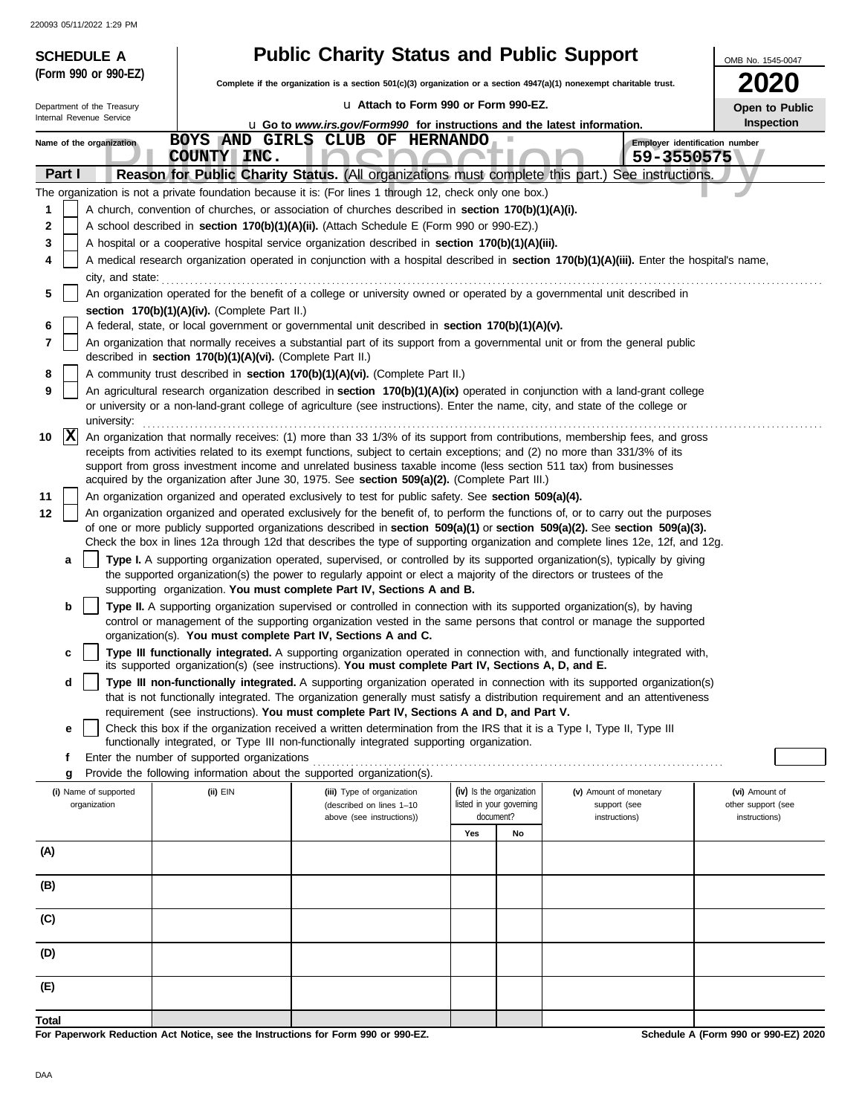| <b>SCHEDULE A</b> |                            |                  |                                                            | <b>Public Charity Status and Public Support</b>                                                                                                                                                                                                                 |     |                          |                                 | OMB No. 1545-0047                    |
|-------------------|----------------------------|------------------|------------------------------------------------------------|-----------------------------------------------------------------------------------------------------------------------------------------------------------------------------------------------------------------------------------------------------------------|-----|--------------------------|---------------------------------|--------------------------------------|
|                   | (Form 990 or 990-EZ)       |                  |                                                            | Complete if the organization is a section 501(c)(3) organization or a section 4947(a)(1) nonexempt charitable trust.                                                                                                                                            |     |                          |                                 | <b>2020</b>                          |
|                   | Department of the Treasury |                  |                                                            | La Attach to Form 990 or Form 990-EZ.                                                                                                                                                                                                                           |     |                          |                                 | Open to Public                       |
|                   | Internal Revenue Service   |                  |                                                            | <b>u</b> Go to www.irs.gov/Form990 for instructions and the latest information.                                                                                                                                                                                 |     |                          |                                 | Inspection                           |
|                   | Name of the organization   |                  |                                                            | BOYS AND GIRLS CLUB OF HERNANDO                                                                                                                                                                                                                                 |     |                          |                                 | Employer identification number       |
|                   | Part I                     |                  | COUNTY INC.                                                | Reason for Public Charity Status. (All organizations must complete this part.)                                                                                                                                                                                  |     |                          | 59-3550575<br>See instructions. |                                      |
|                   |                            |                  |                                                            | The organization is not a private foundation because it is: (For lines 1 through 12, check only one box.)                                                                                                                                                       |     |                          |                                 |                                      |
| 1                 |                            |                  |                                                            | A church, convention of churches, or association of churches described in section 170(b)(1)(A)(i).                                                                                                                                                              |     |                          |                                 |                                      |
| 2                 |                            |                  |                                                            | A school described in section 170(b)(1)(A)(ii). (Attach Schedule E (Form 990 or 990-EZ).)                                                                                                                                                                       |     |                          |                                 |                                      |
| 3                 |                            |                  |                                                            | A hospital or a cooperative hospital service organization described in section 170(b)(1)(A)(iii).                                                                                                                                                               |     |                          |                                 |                                      |
|                   |                            |                  |                                                            | A medical research organization operated in conjunction with a hospital described in section 170(b)(1)(A)(iii). Enter the hospital's name,                                                                                                                      |     |                          |                                 |                                      |
| 5                 |                            | city, and state: |                                                            | An organization operated for the benefit of a college or university owned or operated by a governmental unit described in                                                                                                                                       |     |                          |                                 |                                      |
|                   |                            |                  | section 170(b)(1)(A)(iv). (Complete Part II.)              |                                                                                                                                                                                                                                                                 |     |                          |                                 |                                      |
| 6                 |                            |                  |                                                            | A federal, state, or local government or governmental unit described in section 170(b)(1)(A)(v).                                                                                                                                                                |     |                          |                                 |                                      |
| 7                 |                            |                  | described in section 170(b)(1)(A)(vi). (Complete Part II.) | An organization that normally receives a substantial part of its support from a governmental unit or from the general public                                                                                                                                    |     |                          |                                 |                                      |
| 8                 |                            |                  |                                                            | A community trust described in section 170(b)(1)(A)(vi). (Complete Part II.)                                                                                                                                                                                    |     |                          |                                 |                                      |
| 9                 | university:                |                  |                                                            | An agricultural research organization described in section 170(b)(1)(A)(ix) operated in conjunction with a land-grant college<br>or university or a non-land-grant college of agriculture (see instructions). Enter the name, city, and state of the college or |     |                          |                                 |                                      |
| 10                | $\mathbf{ x }$             |                  |                                                            | An organization that normally receives: (1) more than 33 1/3% of its support from contributions, membership fees, and gross                                                                                                                                     |     |                          |                                 |                                      |
|                   |                            |                  |                                                            | receipts from activities related to its exempt functions, subject to certain exceptions; and (2) no more than 331/3% of its<br>support from gross investment income and unrelated business taxable income (less section 511 tax) from businesses                |     |                          |                                 |                                      |
|                   |                            |                  |                                                            | acquired by the organization after June 30, 1975. See section 509(a)(2). (Complete Part III.)                                                                                                                                                                   |     |                          |                                 |                                      |
| 11                |                            |                  |                                                            | An organization organized and operated exclusively to test for public safety. See section 509(a)(4).                                                                                                                                                            |     |                          |                                 |                                      |
| 12                |                            |                  |                                                            | An organization organized and operated exclusively for the benefit of, to perform the functions of, or to carry out the purposes                                                                                                                                |     |                          |                                 |                                      |
|                   |                            |                  |                                                            | of one or more publicly supported organizations described in section 509(a)(1) or section 509(a)(2). See section 509(a)(3).<br>Check the box in lines 12a through 12d that describes the type of supporting organization and complete lines 12e, 12f, and 12g.  |     |                          |                                 |                                      |
|                   | a                          |                  |                                                            | Type I. A supporting organization operated, supervised, or controlled by its supported organization(s), typically by giving                                                                                                                                     |     |                          |                                 |                                      |
|                   |                            |                  |                                                            | the supported organization(s) the power to regularly appoint or elect a majority of the directors or trustees of the                                                                                                                                            |     |                          |                                 |                                      |
|                   | b                          |                  |                                                            | supporting organization. You must complete Part IV, Sections A and B.                                                                                                                                                                                           |     |                          |                                 |                                      |
|                   |                            |                  |                                                            | Type II. A supporting organization supervised or controlled in connection with its supported organization(s), by having<br>control or management of the supporting organization vested in the same persons that control or manage the supported                 |     |                          |                                 |                                      |
|                   |                            |                  |                                                            | organization(s). You must complete Part IV, Sections A and C.                                                                                                                                                                                                   |     |                          |                                 |                                      |
|                   | c                          |                  |                                                            | Type III functionally integrated. A supporting organization operated in connection with, and functionally integrated with,<br>its supported organization(s) (see instructions). You must complete Part IV, Sections A, D, and E.                                |     |                          |                                 |                                      |
|                   | d                          |                  |                                                            | Type III non-functionally integrated. A supporting organization operated in connection with its supported organization(s)                                                                                                                                       |     |                          |                                 |                                      |
|                   |                            |                  |                                                            | that is not functionally integrated. The organization generally must satisfy a distribution requirement and an attentiveness<br>requirement (see instructions). You must complete Part IV, Sections A and D, and Part V.                                        |     |                          |                                 |                                      |
|                   | е                          |                  |                                                            | Check this box if the organization received a written determination from the IRS that it is a Type I, Type II, Type III                                                                                                                                         |     |                          |                                 |                                      |
|                   |                            |                  |                                                            | functionally integrated, or Type III non-functionally integrated supporting organization.                                                                                                                                                                       |     |                          |                                 |                                      |
|                   | f<br>g                     |                  | Enter the number of supported organizations                | Provide the following information about the supported organization(s).                                                                                                                                                                                          |     |                          |                                 |                                      |
|                   | (i) Name of supported      |                  | (ii) EIN                                                   | (iii) Type of organization                                                                                                                                                                                                                                      |     | (iv) Is the organization | (v) Amount of monetary          | (vi) Amount of                       |
|                   | organization               |                  |                                                            | (described on lines 1-10                                                                                                                                                                                                                                        |     | listed in your governing | support (see                    | other support (see                   |
|                   |                            |                  |                                                            | above (see instructions))                                                                                                                                                                                                                                       | Yes | document?<br>No          | instructions)                   | instructions)                        |
| (A)               |                            |                  |                                                            |                                                                                                                                                                                                                                                                 |     |                          |                                 |                                      |
|                   |                            |                  |                                                            |                                                                                                                                                                                                                                                                 |     |                          |                                 |                                      |
| (B)               |                            |                  |                                                            |                                                                                                                                                                                                                                                                 |     |                          |                                 |                                      |
| (C)               |                            |                  |                                                            |                                                                                                                                                                                                                                                                 |     |                          |                                 |                                      |
| (D)               |                            |                  |                                                            |                                                                                                                                                                                                                                                                 |     |                          |                                 |                                      |
| (E)               |                            |                  |                                                            |                                                                                                                                                                                                                                                                 |     |                          |                                 |                                      |
| Total             |                            |                  |                                                            |                                                                                                                                                                                                                                                                 |     |                          |                                 |                                      |
|                   |                            |                  |                                                            | For Paperwork Reduction Act Notice, see the Instructions for Form 990 or 990-EZ.                                                                                                                                                                                |     |                          |                                 | Schedule A (Form 990 or 990-EZ) 2020 |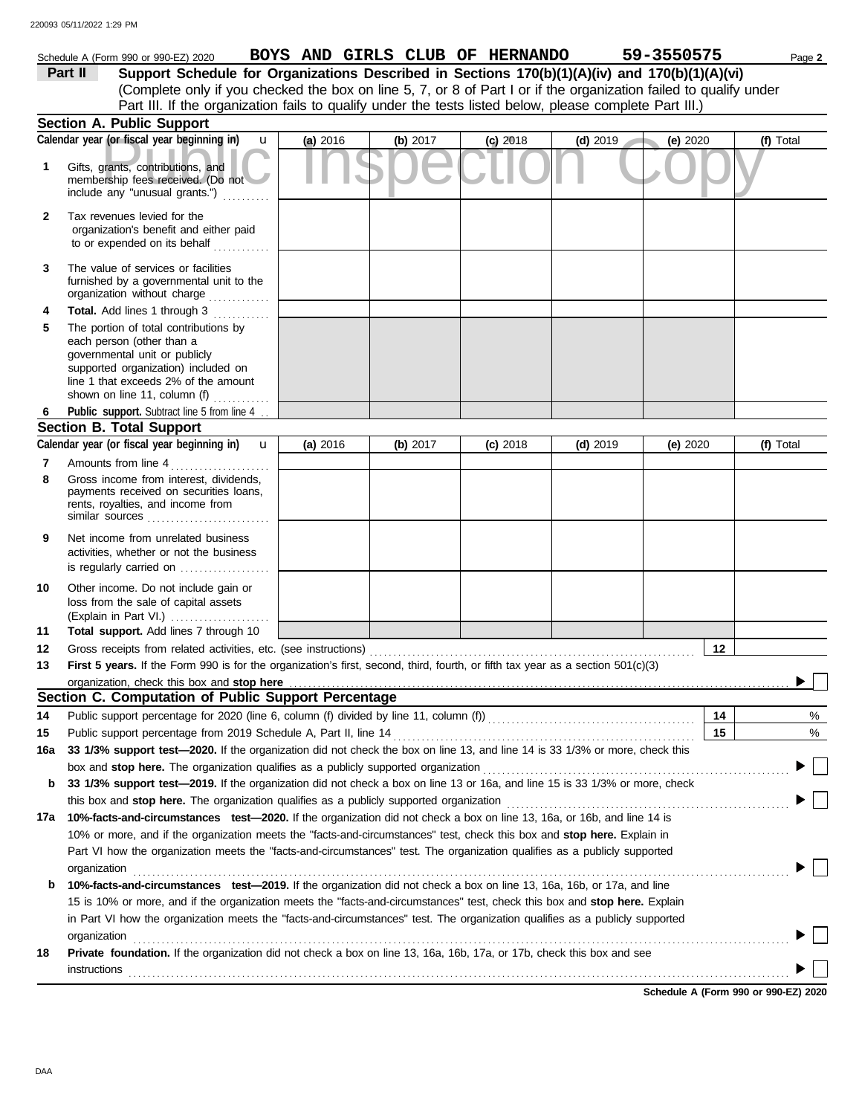|              | Schedule A (Form 990 or 990-EZ) 2020                                                                                                                                                                                        |          |            | BOYS AND GIRLS CLUB OF HERNANDO |            | 59-3550575 | Page 2    |
|--------------|-----------------------------------------------------------------------------------------------------------------------------------------------------------------------------------------------------------------------------|----------|------------|---------------------------------|------------|------------|-----------|
|              | Support Schedule for Organizations Described in Sections 170(b)(1)(A)(iv) and 170(b)(1)(A)(vi)<br>Part II                                                                                                                   |          |            |                                 |            |            |           |
|              | (Complete only if you checked the box on line 5, 7, or 8 of Part I or if the organization failed to qualify under                                                                                                           |          |            |                                 |            |            |           |
|              | Part III. If the organization fails to qualify under the tests listed below, please complete Part III.)                                                                                                                     |          |            |                                 |            |            |           |
|              | Section A. Public Support                                                                                                                                                                                                   |          |            |                                 |            |            |           |
|              | Calendar year (or fiscal year beginning in)<br>$\mathbf{u}$                                                                                                                                                                 | (a) 2016 | (b) 2017   | $(c)$ 2018                      | $(d)$ 2019 | (e) 2020   | (f) Total |
| 1            | Gifts, grants, contributions, and<br>membership fees received. (Do not<br>include any "unusual grants.")                                                                                                                    |          |            |                                 |            |            |           |
| $\mathbf{2}$ | Tax revenues levied for the<br>organization's benefit and either paid<br>to or expended on its behalf                                                                                                                       |          |            |                                 |            |            |           |
| 3            | The value of services or facilities<br>furnished by a governmental unit to the<br>organization without charge                                                                                                               |          |            |                                 |            |            |           |
| 4            | Total. Add lines 1 through 3<br>.                                                                                                                                                                                           |          |            |                                 |            |            |           |
| 5            | The portion of total contributions by<br>each person (other than a<br>governmental unit or publicly<br>supported organization) included on<br>line 1 that exceeds 2% of the amount<br>shown on line 11, column (f) $\ldots$ |          |            |                                 |            |            |           |
| 6            | Public support. Subtract line 5 from line 4                                                                                                                                                                                 |          |            |                                 |            |            |           |
|              | <b>Section B. Total Support</b>                                                                                                                                                                                             |          |            |                                 |            |            |           |
|              | Calendar year (or fiscal year beginning in)<br>$\mathbf{u}$                                                                                                                                                                 | (a) 2016 | (b) $2017$ | $(c)$ 2018                      | $(d)$ 2019 | (e) 2020   | (f) Total |
| 7<br>8       | Amounts from line 4<br>Gross income from interest, dividends,<br>payments received on securities loans,<br>rents, royalties, and income from<br>similar sources $\ldots, \ldots, \ldots, \ldots, \ldots, \ldots$            |          |            |                                 |            |            |           |
| 9            | Net income from unrelated business<br>activities, whether or not the business<br>is regularly carried on                                                                                                                    |          |            |                                 |            |            |           |
| 10           | Other income. Do not include gain or<br>loss from the sale of capital assets<br>(Explain in Part VI.)                                                                                                                       |          |            |                                 |            |            |           |
| 11           | Total support. Add lines 7 through 10                                                                                                                                                                                       |          |            |                                 |            |            |           |
| 12           |                                                                                                                                                                                                                             |          |            |                                 |            | 12         |           |
| 13           | First 5 years. If the Form 990 is for the organization's first, second, third, fourth, or fifth tax year as a section 501(c)(3)                                                                                             |          |            |                                 |            |            |           |
|              | organization, check this box and stop here<br>Section C. Computation of Public Support Percentage                                                                                                                           |          |            |                                 |            |            |           |
| 14           | Public support percentage for 2020 (line 6, column (f) divided by line 11, column (f)) [[[[[[[[[[[[[[[[[[[[[[                                                                                                               |          |            |                                 |            | 14         | %         |
| 15           | Public support percentage from 2019 Schedule A, Part II, line 14                                                                                                                                                            |          |            |                                 |            | 15         | %         |
| 16a          | 33 1/3% support test-2020. If the organization did not check the box on line 13, and line 14 is 33 1/3% or more, check this                                                                                                 |          |            |                                 |            |            |           |
|              | box and stop here. The organization qualifies as a publicly supported organization                                                                                                                                          |          |            |                                 |            |            |           |
| b            | 33 1/3% support test-2019. If the organization did not check a box on line 13 or 16a, and line 15 is 33 1/3% or more, check                                                                                                 |          |            |                                 |            |            |           |
|              | this box and stop here. The organization qualifies as a publicly supported organization                                                                                                                                     |          |            |                                 |            |            |           |
| 17а          | 10%-facts-and-circumstances test-2020. If the organization did not check a box on line 13, 16a, or 16b, and line 14 is                                                                                                      |          |            |                                 |            |            |           |
|              | 10% or more, and if the organization meets the "facts-and-circumstances" test, check this box and stop here. Explain in                                                                                                     |          |            |                                 |            |            |           |
|              | Part VI how the organization meets the "facts-and-circumstances" test. The organization qualifies as a publicly supported                                                                                                   |          |            |                                 |            |            |           |
| b            | organization<br>10%-facts-and-circumstances test-2019. If the organization did not check a box on line 13, 16a, 16b, or 17a, and line                                                                                       |          |            |                                 |            |            |           |
|              | 15 is 10% or more, and if the organization meets the "facts-and-circumstances" test, check this box and stop here. Explain                                                                                                  |          |            |                                 |            |            |           |
|              | in Part VI how the organization meets the "facts-and-circumstances" test. The organization qualifies as a publicly supported                                                                                                |          |            |                                 |            |            |           |
|              | organization                                                                                                                                                                                                                |          |            |                                 |            |            |           |
| 18           | Private foundation. If the organization did not check a box on line 13, 16a, 16b, 17a, or 17b, check this box and see<br>instructions                                                                                       |          |            |                                 |            |            |           |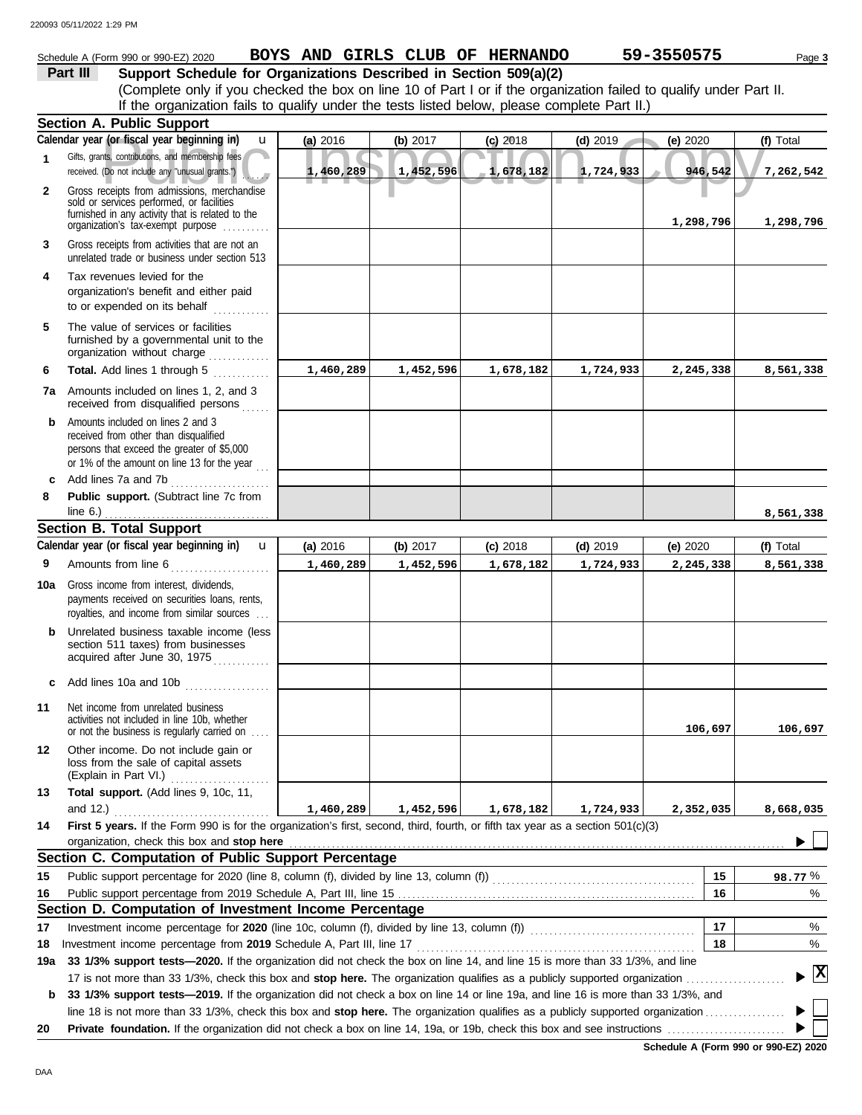# Schedule A (Form 990 or 990-EZ) 2020 **BOYS AND GIRLS CLUB OF HERNANDO** 59-3550575 Page 3

# **Part III** Support Schedule for Organizations Described in Section 509(a)(2)

(Complete only if you checked the box on line 10 of Part I or if the organization failed to qualify under Part II. If the organization fails to qualify under the tests listed below, please complete Part II.)

|              | <b>Section A. Public Support</b>                                                                                                                                                  |           |            |              |            |            |                                    |
|--------------|-----------------------------------------------------------------------------------------------------------------------------------------------------------------------------------|-----------|------------|--------------|------------|------------|------------------------------------|
|              | Calendar year (or fiscal year beginning in)<br>$\mathbf u$                                                                                                                        | (a) 2016  | (b) $2017$ | $(c)$ 2018   | $(d)$ 2019 | (e) $2020$ | (f) Total                          |
| 1            | Gifts, grants, contributions, and membership fees<br>received. (Do not include any "unusual grants.")                                                                             | 1,460,289 | 1,452,596  | $-1,678,182$ | 1,724,933  | 946,542    | 7,262,542                          |
| $\mathbf{2}$ | Gross receipts from admissions, merchandise<br>sold or services performed, or facilities<br>furnished in any activity that is related to the<br>organization's tax-exempt purpose |           |            |              |            | 1,298,796  | 1,298,796                          |
| 3            | Gross receipts from activities that are not an<br>unrelated trade or business under section 513                                                                                   |           |            |              |            |            |                                    |
| 4            | Tax revenues levied for the<br>organization's benefit and either paid<br>to or expended on its behalf                                                                             |           |            |              |            |            |                                    |
| 5            | The value of services or facilities<br>furnished by a governmental unit to the<br>organization without charge                                                                     |           |            |              |            |            |                                    |
| 6            | Total. Add lines 1 through 5<br>.                                                                                                                                                 | 1,460,289 | 1,452,596  | 1,678,182    | 1,724,933  | 2,245,338  | 8,561,338                          |
| 7a           | Amounts included on lines 1, 2, and 3<br>received from disqualified persons                                                                                                       |           |            |              |            |            |                                    |
| b            | Amounts included on lines 2 and 3<br>received from other than disqualified<br>persons that exceed the greater of \$5,000<br>or 1% of the amount on line 13 for the year $\ldots$  |           |            |              |            |            |                                    |
| c            | Add lines 7a and 7b<br>.                                                                                                                                                          |           |            |              |            |            |                                    |
| 8            | Public support. (Subtract line 7c from<br>line $6.$ )                                                                                                                             |           |            |              |            |            |                                    |
|              | <b>Section B. Total Support</b>                                                                                                                                                   |           |            |              |            |            | 8,561,338                          |
|              | Calendar year (or fiscal year beginning in)<br>$\mathbf{u}$                                                                                                                       | (a) 2016  | (b) $2017$ | $(c)$ 2018   | $(d)$ 2019 | (e) $2020$ | (f) Total                          |
| 9            | Amounts from line 6                                                                                                                                                               | 1,460,289 | 1,452,596  | 1,678,182    | 1,724,933  | 2,245,338  | 8,561,338                          |
| 10a          | Gross income from interest, dividends,<br>payments received on securities loans, rents,<br>royalties, and income from similar sources                                             |           |            |              |            |            |                                    |
| b            | Unrelated business taxable income (less<br>section 511 taxes) from businesses<br>acquired after June 30, 1975                                                                     |           |            |              |            |            |                                    |
|              | c Add lines 10a and 10b                                                                                                                                                           |           |            |              |            |            |                                    |
| 11           | Net income from unrelated business<br>activities not included in line 10b, whether<br>or not the business is regularly carried on                                                 |           |            |              |            | 106,697    | 106,697                            |
| 12           | Other income. Do not include gain or<br>loss from the sale of capital assets<br>(Explain in Part VI.)                                                                             |           |            |              |            |            |                                    |
| 13           | Total support. (Add lines 9, 10c, 11,                                                                                                                                             |           |            |              |            |            |                                    |
|              | and $12.$ )                                                                                                                                                                       | 1,460,289 | 1,452,596  | 1,678,182    | 1,724,933  | 2,352,035  | 8,668,035                          |
| 14           | First 5 years. If the Form 990 is for the organization's first, second, third, fourth, or fifth tax year as a section 501(c)(3)<br>organization, check this box and stop here     |           |            |              |            |            |                                    |
|              | Section C. Computation of Public Support Percentage                                                                                                                               |           |            |              |            |            |                                    |
| 15           |                                                                                                                                                                                   |           |            |              |            | 15         | 98.77%                             |
| 16           | Public support percentage from 2019 Schedule A, Part III, line 15                                                                                                                 |           |            |              |            | 16         | %                                  |
|              | Section D. Computation of Investment Income Percentage                                                                                                                            |           |            |              |            |            |                                    |
| 17           | Investment income percentage for 2020 (line 10c, column (f), divided by line 13, column (f)) [[[[[[[[[[[[[[[[                                                                     |           |            |              |            | 17         | %                                  |
| 18           | Investment income percentage from 2019 Schedule A, Part III, line 17                                                                                                              |           |            |              |            | 18         | %                                  |
| 19a          | 33 1/3% support tests-2020. If the organization did not check the box on line 14, and line 15 is more than 33 1/3%, and line                                                      |           |            |              |            |            | $\blacktriangleright$ $\mathbf{X}$ |
|              |                                                                                                                                                                                   |           |            |              |            |            |                                    |
| b            | 33 1/3% support tests-2019. If the organization did not check a box on line 14 or line 19a, and line 16 is more than 33 1/3%, and                                                 |           |            |              |            |            |                                    |
|              |                                                                                                                                                                                   |           |            |              |            |            |                                    |
| 20           |                                                                                                                                                                                   |           |            |              |            |            |                                    |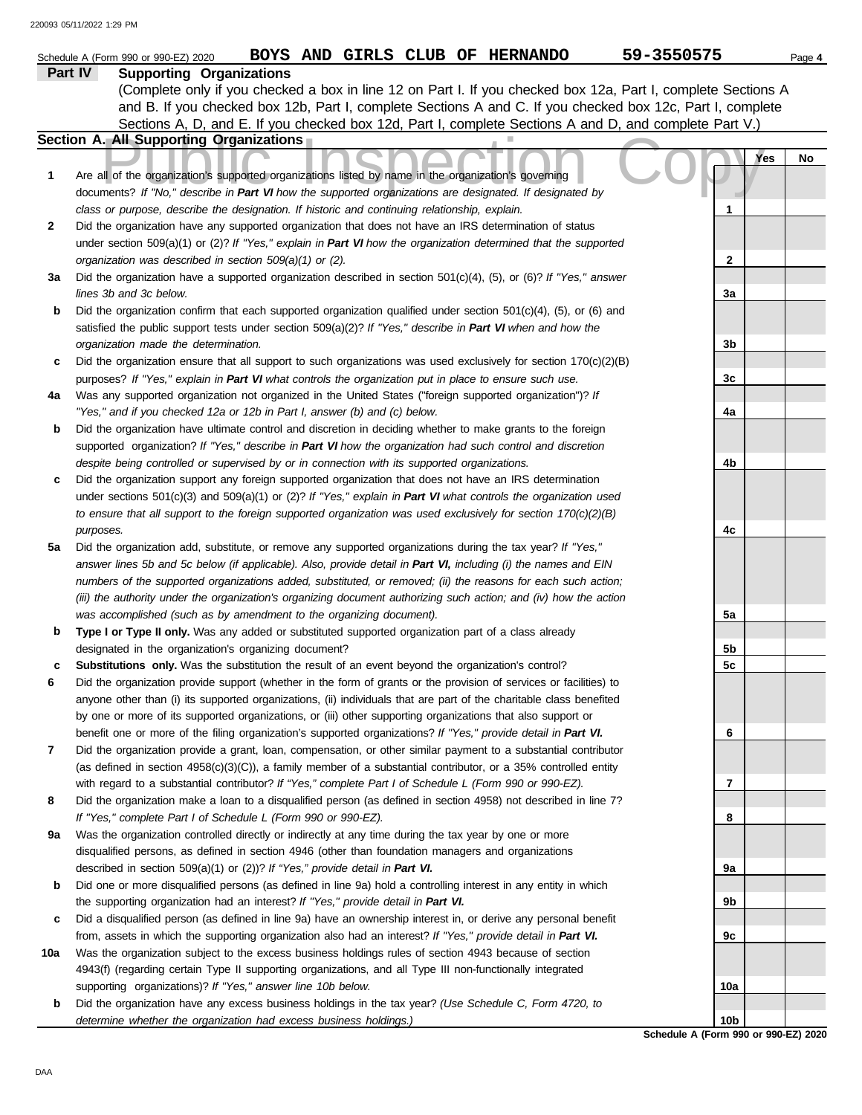|     | BOYS AND GIRLS CLUB OF HERNANDO<br>Schedule A (Form 990 or 990-EZ) 2020                                                                                                    | 59-3550575      | Page 4 |
|-----|----------------------------------------------------------------------------------------------------------------------------------------------------------------------------|-----------------|--------|
|     | <b>Supporting Organizations</b><br>Part IV                                                                                                                                 |                 |        |
|     | (Complete only if you checked a box in line 12 on Part I. If you checked box 12a, Part I, complete Sections A                                                              |                 |        |
|     | and B. If you checked box 12b, Part I, complete Sections A and C. If you checked box 12c, Part I, complete                                                                 |                 |        |
|     | Sections A, D, and E. If you checked box 12d, Part I, complete Sections A and D, and complete Part V.)                                                                     |                 |        |
|     | Section A. All Supporting Organizations                                                                                                                                    |                 |        |
|     |                                                                                                                                                                            | Yes             | No     |
| 1   | Are all of the organization's supported organizations listed by name in the organization's governing                                                                       |                 |        |
|     | documents? If "No," describe in Part VI how the supported organizations are designated. If designated by                                                                   |                 |        |
|     | class or purpose, describe the designation. If historic and continuing relationship, explain.                                                                              | 1               |        |
| 2   | Did the organization have any supported organization that does not have an IRS determination of status                                                                     |                 |        |
|     | under section 509(a)(1) or (2)? If "Yes," explain in Part VI how the organization determined that the supported<br>organization was described in section 509(a)(1) or (2). | $\mathbf{2}$    |        |
| За  | Did the organization have a supported organization described in section $501(c)(4)$ , (5), or (6)? If "Yes," answer                                                        |                 |        |
|     | lines 3b and 3c below.                                                                                                                                                     | 3a              |        |
| b   | Did the organization confirm that each supported organization qualified under section $501(c)(4)$ , $(5)$ , or $(6)$ and                                                   |                 |        |
|     | satisfied the public support tests under section 509(a)(2)? If "Yes," describe in Part VI when and how the                                                                 |                 |        |
|     | organization made the determination.                                                                                                                                       | 3b              |        |
| c   | Did the organization ensure that all support to such organizations was used exclusively for section $170(c)(2)(B)$                                                         |                 |        |
|     | purposes? If "Yes," explain in Part VI what controls the organization put in place to ensure such use.                                                                     | 3c              |        |
| 4a  | Was any supported organization not organized in the United States ("foreign supported organization")? If                                                                   |                 |        |
|     | "Yes," and if you checked 12a or 12b in Part I, answer (b) and (c) below.                                                                                                  | 4a              |        |
| b   | Did the organization have ultimate control and discretion in deciding whether to make grants to the foreign                                                                |                 |        |
|     | supported organization? If "Yes," describe in Part VI how the organization had such control and discretion                                                                 |                 |        |
|     | despite being controlled or supervised by or in connection with its supported organizations.                                                                               | 4b              |        |
| c   | Did the organization support any foreign supported organization that does not have an IRS determination                                                                    |                 |        |
|     | under sections $501(c)(3)$ and $509(a)(1)$ or (2)? If "Yes," explain in Part VI what controls the organization used                                                        |                 |        |
|     | to ensure that all support to the foreign supported organization was used exclusively for section $170(c)(2)(B)$                                                           |                 |        |
|     | purposes.                                                                                                                                                                  | 4c              |        |
| 5a  | Did the organization add, substitute, or remove any supported organizations during the tax year? If "Yes,"                                                                 |                 |        |
|     | answer lines 5b and 5c below (if applicable). Also, provide detail in Part VI, including (i) the names and EIN                                                             |                 |        |
|     | numbers of the supported organizations added, substituted, or removed; (ii) the reasons for each such action;                                                              |                 |        |
|     | (iii) the authority under the organization's organizing document authorizing such action; and (iv) how the action                                                          | 5a              |        |
| b   | was accomplished (such as by amendment to the organizing document).<br>Type I or Type II only. Was any added or substituted supported organization part of a class already |                 |        |
|     | designated in the organization's organizing document?                                                                                                                      | 5b              |        |
| с   | Substitutions only. Was the substitution the result of an event beyond the organization's control?                                                                         | 5c              |        |
| 6   | Did the organization provide support (whether in the form of grants or the provision of services or facilities) to                                                         |                 |        |
|     | anyone other than (i) its supported organizations, (ii) individuals that are part of the charitable class benefited                                                        |                 |        |
|     | by one or more of its supported organizations, or (iii) other supporting organizations that also support or                                                                |                 |        |
|     | benefit one or more of the filing organization's supported organizations? If "Yes," provide detail in Part VI.                                                             | 6               |        |
| 7   | Did the organization provide a grant, loan, compensation, or other similar payment to a substantial contributor                                                            |                 |        |
|     | (as defined in section $4958(c)(3)(C)$ ), a family member of a substantial contributor, or a 35% controlled entity                                                         |                 |        |
|     | with regard to a substantial contributor? If "Yes," complete Part I of Schedule L (Form 990 or 990-EZ).                                                                    | 7               |        |
| 8   | Did the organization make a loan to a disqualified person (as defined in section 4958) not described in line 7?                                                            |                 |        |
|     | If "Yes," complete Part I of Schedule L (Form 990 or 990-EZ).                                                                                                              | 8               |        |
| 9а  | Was the organization controlled directly or indirectly at any time during the tax year by one or more                                                                      |                 |        |
|     | disqualified persons, as defined in section 4946 (other than foundation managers and organizations                                                                         |                 |        |
|     | described in section 509(a)(1) or (2))? If "Yes," provide detail in Part VI.                                                                                               | <b>9a</b>       |        |
| b   | Did one or more disqualified persons (as defined in line 9a) hold a controlling interest in any entity in which                                                            |                 |        |
|     | the supporting organization had an interest? If "Yes," provide detail in Part VI.                                                                                          | 9b              |        |
| c   | Did a disqualified person (as defined in line 9a) have an ownership interest in, or derive any personal benefit                                                            |                 |        |
|     | from, assets in which the supporting organization also had an interest? If "Yes," provide detail in Part VI.                                                               | 9с              |        |
| 10a | Was the organization subject to the excess business holdings rules of section 4943 because of section                                                                      |                 |        |
|     | 4943(f) (regarding certain Type II supporting organizations, and all Type III non-functionally integrated<br>supporting organizations)? If "Yes," answer line 10b below.   | 10a             |        |
| b   | Did the organization have any excess business holdings in the tax year? (Use Schedule C, Form 4720, to                                                                     |                 |        |
|     | determine whether the organization had excess business holdings.)                                                                                                          | 10 <sub>b</sub> |        |
|     |                                                                                                                                                                            |                 |        |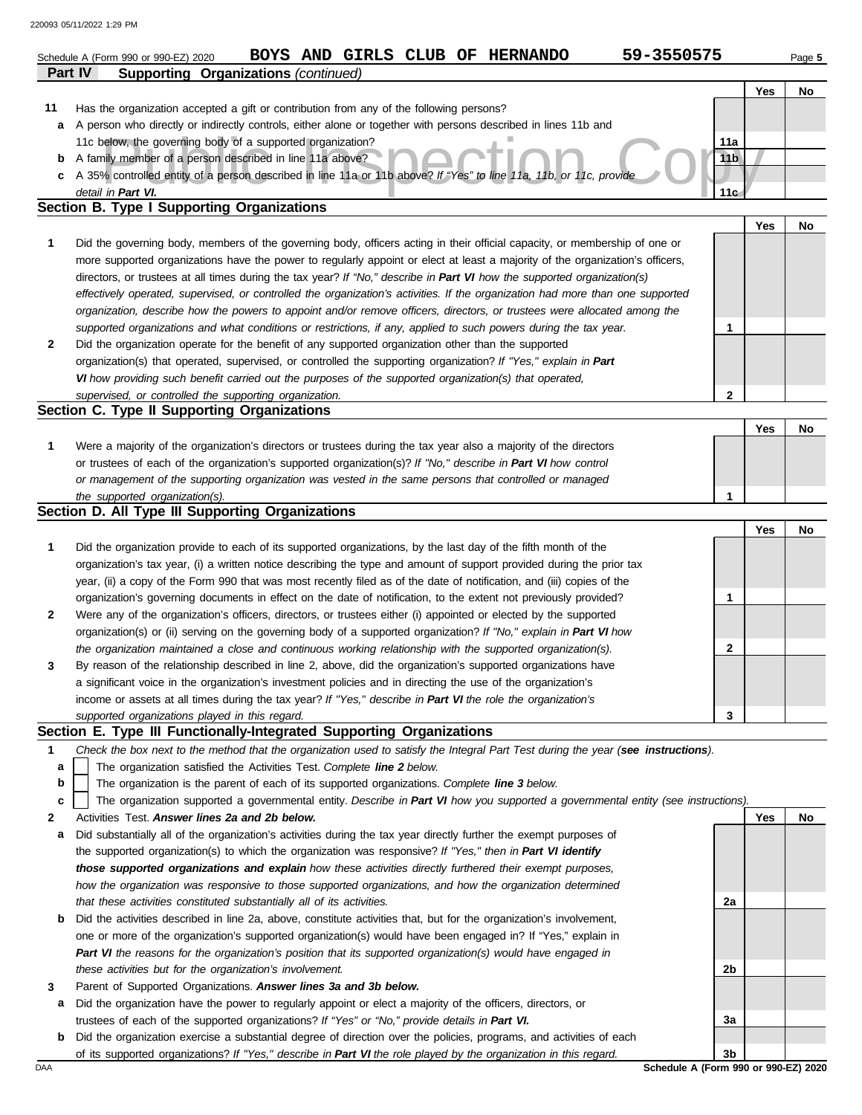|         | 59-3550575<br>BOYS AND GIRLS CLUB OF HERNANDO<br>Schedule A (Form 990 or 990-EZ) 2020                                                                                                                                                   |                                      |     | Page 5 |
|---------|-----------------------------------------------------------------------------------------------------------------------------------------------------------------------------------------------------------------------------------------|--------------------------------------|-----|--------|
| Part IV | <b>Supporting Organizations (continued)</b>                                                                                                                                                                                             |                                      |     |        |
|         |                                                                                                                                                                                                                                         |                                      | Yes | No     |
| 11      | Has the organization accepted a gift or contribution from any of the following persons?                                                                                                                                                 |                                      |     |        |
| a       | A person who directly or indirectly controls, either alone or together with persons described in lines 11b and                                                                                                                          |                                      |     |        |
|         | 11c below, the governing body of a supported organization?                                                                                                                                                                              | 11a                                  |     |        |
| b       | A family member of a person described in line 11a above?                                                                                                                                                                                | 11 <sub>b</sub>                      |     |        |
| c       | A 35% controlled entity of a person described in line 11a or 11b above? If "Yes" to line 11a, 11b, or 11c, provide                                                                                                                      |                                      |     |        |
|         | detail in Part VI.<br>Section B. Type I Supporting Organizations                                                                                                                                                                        | 11 <sub>G</sub>                      |     |        |
|         |                                                                                                                                                                                                                                         |                                      | Yes | No     |
| 1       | Did the governing body, members of the governing body, officers acting in their official capacity, or membership of one or                                                                                                              |                                      |     |        |
|         | more supported organizations have the power to regularly appoint or elect at least a majority of the organization's officers,                                                                                                           |                                      |     |        |
|         | directors, or trustees at all times during the tax year? If "No," describe in Part VI how the supported organization(s)                                                                                                                 |                                      |     |        |
|         | effectively operated, supervised, or controlled the organization's activities. If the organization had more than one supported                                                                                                          |                                      |     |        |
|         | organization, describe how the powers to appoint and/or remove officers, directors, or trustees were allocated among the                                                                                                                |                                      |     |        |
|         | supported organizations and what conditions or restrictions, if any, applied to such powers during the tax year.                                                                                                                        | $\mathbf 1$                          |     |        |
| 2       | Did the organization operate for the benefit of any supported organization other than the supported                                                                                                                                     |                                      |     |        |
|         | organization(s) that operated, supervised, or controlled the supporting organization? If "Yes," explain in Part                                                                                                                         |                                      |     |        |
|         | VI how providing such benefit carried out the purposes of the supported organization(s) that operated,                                                                                                                                  |                                      |     |        |
|         | supervised, or controlled the supporting organization.                                                                                                                                                                                  | $\mathbf{2}$                         |     |        |
|         | Section C. Type II Supporting Organizations                                                                                                                                                                                             |                                      |     |        |
|         |                                                                                                                                                                                                                                         |                                      | Yes | No     |
| 1       | Were a majority of the organization's directors or trustees during the tax year also a majority of the directors                                                                                                                        |                                      |     |        |
|         | or trustees of each of the organization's supported organization(s)? If "No," describe in Part VI how control                                                                                                                           |                                      |     |        |
|         | or management of the supporting organization was vested in the same persons that controlled or managed                                                                                                                                  |                                      |     |        |
|         | the supported organization(s).<br>Section D. All Type III Supporting Organizations                                                                                                                                                      | 1                                    |     |        |
|         |                                                                                                                                                                                                                                         |                                      |     |        |
|         |                                                                                                                                                                                                                                         |                                      | Yes | No     |
| 1       | Did the organization provide to each of its supported organizations, by the last day of the fifth month of the<br>organization's tax year, (i) a written notice describing the type and amount of support provided during the prior tax |                                      |     |        |
|         | year, (ii) a copy of the Form 990 that was most recently filed as of the date of notification, and (iii) copies of the                                                                                                                  |                                      |     |        |
|         | organization's governing documents in effect on the date of notification, to the extent not previously provided?                                                                                                                        | 1                                    |     |        |
| 2       | Were any of the organization's officers, directors, or trustees either (i) appointed or elected by the supported                                                                                                                        |                                      |     |        |
|         | organization(s) or (ii) serving on the governing body of a supported organization? If "No," explain in Part VI how                                                                                                                      |                                      |     |        |
|         | the organization maintained a close and continuous working relationship with the supported organization(s).                                                                                                                             | 2                                    |     |        |
| 3       | By reason of the relationship described in line 2, above, did the organization's supported organizations have                                                                                                                           |                                      |     |        |
|         | a significant voice in the organization's investment policies and in directing the use of the organization's                                                                                                                            |                                      |     |        |
|         | income or assets at all times during the tax year? If "Yes," describe in Part VI the role the organization's                                                                                                                            |                                      |     |        |
|         | supported organizations played in this regard.                                                                                                                                                                                          | 3                                    |     |        |
|         | Section E. Type III Functionally-Integrated Supporting Organizations                                                                                                                                                                    |                                      |     |        |
| 1       | Check the box next to the method that the organization used to satisfy the Integral Part Test during the year (see instructions).                                                                                                       |                                      |     |        |
| a       | The organization satisfied the Activities Test. Complete line 2 below.                                                                                                                                                                  |                                      |     |        |
| b       | The organization is the parent of each of its supported organizations. Complete line 3 below.                                                                                                                                           |                                      |     |        |
| c       | The organization supported a governmental entity. Describe in Part VI how you supported a governmental entity (see instructions).                                                                                                       |                                      |     |        |
| 2       | Activities Test. Answer lines 2a and 2b below.                                                                                                                                                                                          |                                      | Yes | No     |
| a       | Did substantially all of the organization's activities during the tax year directly further the exempt purposes of                                                                                                                      |                                      |     |        |
|         | the supported organization(s) to which the organization was responsive? If "Yes," then in Part VI identify                                                                                                                              |                                      |     |        |
|         | those supported organizations and explain how these activities directly furthered their exempt purposes,                                                                                                                                |                                      |     |        |
|         | how the organization was responsive to those supported organizations, and how the organization determined                                                                                                                               |                                      |     |        |
|         | that these activities constituted substantially all of its activities.                                                                                                                                                                  | 2a                                   |     |        |
| b       | Did the activities described in line 2a, above, constitute activities that, but for the organization's involvement,                                                                                                                     |                                      |     |        |
|         | one or more of the organization's supported organization(s) would have been engaged in? If "Yes," explain in                                                                                                                            |                                      |     |        |
|         | Part VI the reasons for the organization's position that its supported organization(s) would have engaged in                                                                                                                            |                                      |     |        |
|         | these activities but for the organization's involvement.                                                                                                                                                                                | 2b                                   |     |        |
| 3       | Parent of Supported Organizations. Answer lines 3a and 3b below.                                                                                                                                                                        |                                      |     |        |
| а       | Did the organization have the power to regularly appoint or elect a majority of the officers, directors, or<br>trustees of each of the supported organizations? If "Yes" or "No," provide details in Part VI.                           | За                                   |     |        |
| b       | Did the organization exercise a substantial degree of direction over the policies, programs, and activities of each                                                                                                                     |                                      |     |        |
|         | of its supported organizations? If "Yes," describe in Part VI the role played by the organization in this regard.                                                                                                                       | 3b                                   |     |        |
| DAA     |                                                                                                                                                                                                                                         | Schedule A (Form 990 or 990-EZ) 2020 |     |        |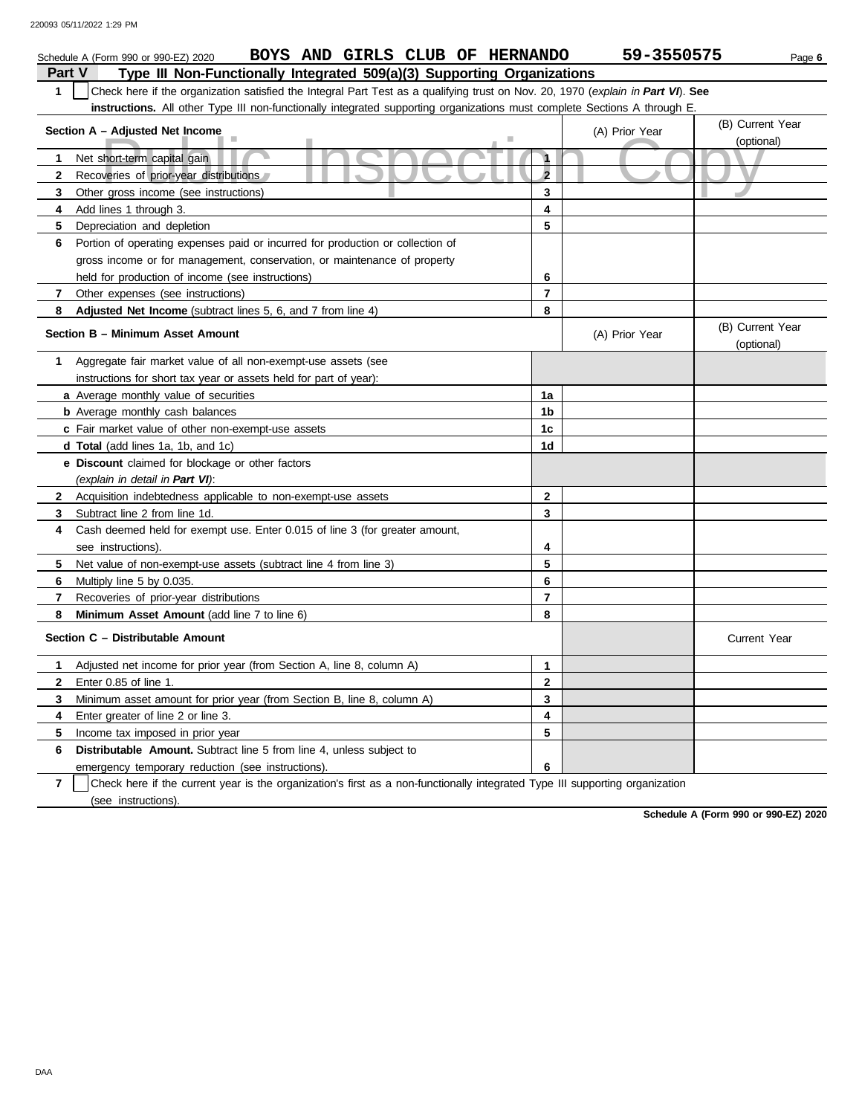|                | BOYS AND GIRLS CLUB OF HERNANDO<br>Schedule A (Form 990 or 990-EZ) 2020                                                          |                | 59-3550575     |                                | Page 6 |  |  |  |  |
|----------------|----------------------------------------------------------------------------------------------------------------------------------|----------------|----------------|--------------------------------|--------|--|--|--|--|
| Part V         | Type III Non-Functionally Integrated 509(a)(3) Supporting Organizations                                                          |                |                |                                |        |  |  |  |  |
| $\mathbf{1}$   | Check here if the organization satisfied the Integral Part Test as a qualifying trust on Nov. 20, 1970 (explain in Part VI). See |                |                |                                |        |  |  |  |  |
|                | instructions. All other Type III non-functionally integrated supporting organizations must complete Sections A through E.        |                |                |                                |        |  |  |  |  |
|                | Section A - Adjusted Net Income                                                                                                  |                | (A) Prior Year | (B) Current Year               |        |  |  |  |  |
|                |                                                                                                                                  |                |                | (optional)                     |        |  |  |  |  |
| 1              | Net short-term capital gain                                                                                                      | $\mathbf{1}$   |                |                                |        |  |  |  |  |
| $\mathbf{2}$   | Recoveries of prior-year distributions                                                                                           | $\overline{2}$ |                |                                |        |  |  |  |  |
| 3              | Other gross income (see instructions)                                                                                            | 3              |                |                                |        |  |  |  |  |
| 4              | Add lines 1 through 3.                                                                                                           | 4              |                |                                |        |  |  |  |  |
| 5              | Depreciation and depletion                                                                                                       | 5              |                |                                |        |  |  |  |  |
| 6              | Portion of operating expenses paid or incurred for production or collection of                                                   |                |                |                                |        |  |  |  |  |
|                | gross income or for management, conservation, or maintenance of property                                                         |                |                |                                |        |  |  |  |  |
|                | held for production of income (see instructions)                                                                                 | 6              |                |                                |        |  |  |  |  |
| $\overline{7}$ | Other expenses (see instructions)                                                                                                | $\overline{7}$ |                |                                |        |  |  |  |  |
| 8              | Adjusted Net Income (subtract lines 5, 6, and 7 from line 4)                                                                     | 8              |                |                                |        |  |  |  |  |
|                | Section B - Minimum Asset Amount                                                                                                 |                | (A) Prior Year | (B) Current Year<br>(optional) |        |  |  |  |  |
| 1              | Aggregate fair market value of all non-exempt-use assets (see                                                                    |                |                |                                |        |  |  |  |  |
|                | instructions for short tax year or assets held for part of year):                                                                |                |                |                                |        |  |  |  |  |
|                | a Average monthly value of securities                                                                                            | 1a             |                |                                |        |  |  |  |  |
|                | <b>b</b> Average monthly cash balances                                                                                           | 1b             |                |                                |        |  |  |  |  |
|                | c Fair market value of other non-exempt-use assets                                                                               | 1c             |                |                                |        |  |  |  |  |
|                | d Total (add lines 1a, 1b, and 1c)                                                                                               | 1d             |                |                                |        |  |  |  |  |
|                | e Discount claimed for blockage or other factors                                                                                 |                |                |                                |        |  |  |  |  |
|                | (explain in detail in Part VI):                                                                                                  |                |                |                                |        |  |  |  |  |
| $\mathbf{2}$   | Acquisition indebtedness applicable to non-exempt-use assets                                                                     | $\mathbf{2}$   |                |                                |        |  |  |  |  |
| 3              | Subtract line 2 from line 1d.                                                                                                    | 3              |                |                                |        |  |  |  |  |
| 4              | Cash deemed held for exempt use. Enter 0.015 of line 3 (for greater amount,                                                      |                |                |                                |        |  |  |  |  |
|                | see instructions).                                                                                                               | 4              |                |                                |        |  |  |  |  |
| 5              | Net value of non-exempt-use assets (subtract line 4 from line 3)                                                                 | 5              |                |                                |        |  |  |  |  |
| 6              | Multiply line 5 by 0.035.                                                                                                        | 6              |                |                                |        |  |  |  |  |
| 7              | Recoveries of prior-year distributions                                                                                           | $\overline{7}$ |                |                                |        |  |  |  |  |
| 8              | Minimum Asset Amount (add line 7 to line 6)                                                                                      | 8              |                |                                |        |  |  |  |  |
|                | Section C - Distributable Amount                                                                                                 |                |                | <b>Current Year</b>            |        |  |  |  |  |
| 1              | Adjusted net income for prior year (from Section A, line 8, column A)                                                            | $\mathbf{1}$   |                |                                |        |  |  |  |  |
| $\mathbf{2}$   | Enter 0.85 of line 1.                                                                                                            | $\mathbf{2}$   |                |                                |        |  |  |  |  |
| 3              | Minimum asset amount for prior year (from Section B, line 8, column A)                                                           | 3              |                |                                |        |  |  |  |  |
| 4              | Enter greater of line 2 or line 3.                                                                                               | 4              |                |                                |        |  |  |  |  |
| 5              | Income tax imposed in prior year                                                                                                 | 5              |                |                                |        |  |  |  |  |
| 6              | <b>Distributable Amount.</b> Subtract line 5 from line 4, unless subject to                                                      |                |                |                                |        |  |  |  |  |
|                | emergency temporary reduction (see instructions).                                                                                | 6              |                |                                |        |  |  |  |  |

**7** | Check here if the current year is the organization's first as a non-functionally integrated Type III supporting organization (see instructions).

**Schedule A (Form 990 or 990-EZ) 2020**

DAA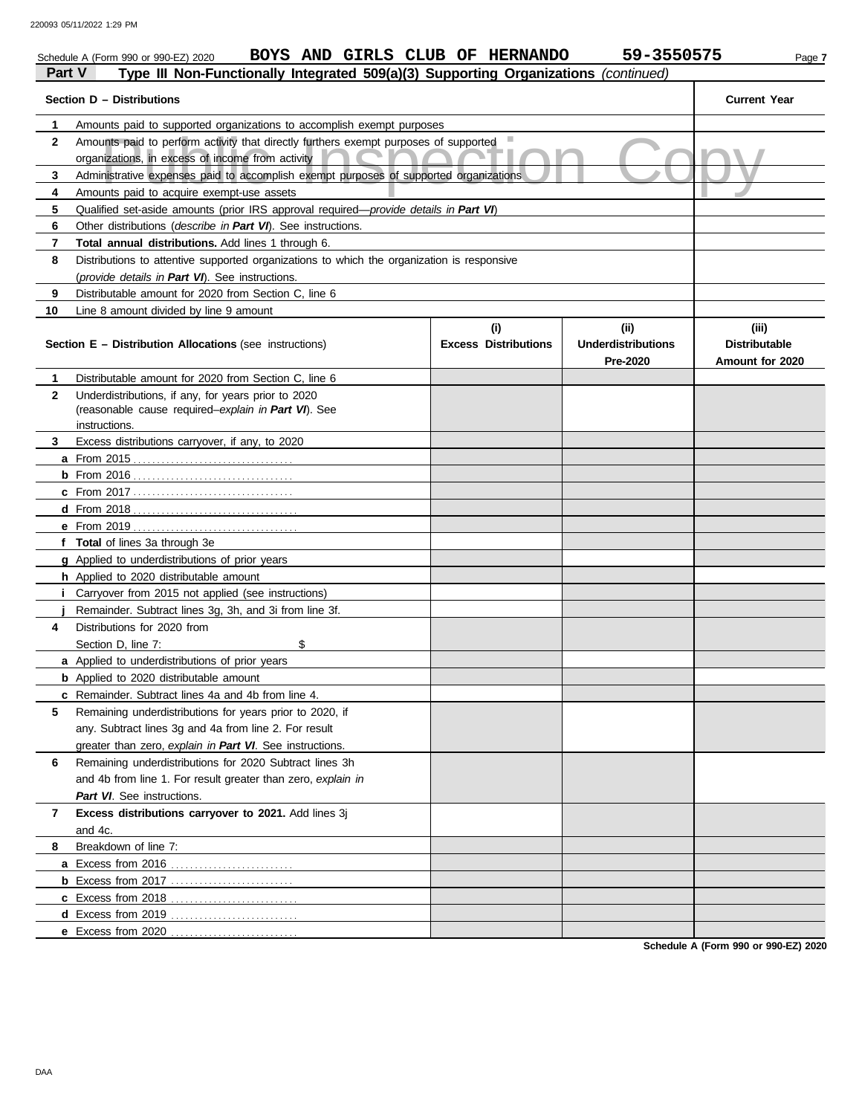|                                                                            | 59-3550575<br>BOYS AND GIRLS CLUB OF HERNANDO<br>Schedule A (Form 990 or 990-EZ) 2020<br>Page 7                                          |                             |                                       |                                         |  |  |  |  |  |  |
|----------------------------------------------------------------------------|------------------------------------------------------------------------------------------------------------------------------------------|-----------------------------|---------------------------------------|-----------------------------------------|--|--|--|--|--|--|
| Part V                                                                     | Type III Non-Functionally Integrated 509(a)(3) Supporting Organizations (continued)                                                      |                             |                                       |                                         |  |  |  |  |  |  |
| Section D - Distributions                                                  |                                                                                                                                          |                             |                                       |                                         |  |  |  |  |  |  |
| Amounts paid to supported organizations to accomplish exempt purposes<br>1 |                                                                                                                                          |                             |                                       |                                         |  |  |  |  |  |  |
| $\mathbf{2}$                                                               | Amounts paid to perform activity that directly furthers exempt purposes of supported<br>organizations, in excess of income from activity |                             |                                       |                                         |  |  |  |  |  |  |
| 3                                                                          | Administrative expenses paid to accomplish exempt purposes of supported organizations                                                    |                             |                                       |                                         |  |  |  |  |  |  |
| 4                                                                          | Amounts paid to acquire exempt-use assets                                                                                                |                             |                                       |                                         |  |  |  |  |  |  |
| 5                                                                          | Qualified set-aside amounts (prior IRS approval required—provide details in Part VI)                                                     |                             |                                       |                                         |  |  |  |  |  |  |
| 6                                                                          | Other distributions (describe in Part VI). See instructions.                                                                             |                             |                                       |                                         |  |  |  |  |  |  |
| 7                                                                          | Total annual distributions. Add lines 1 through 6.                                                                                       |                             |                                       |                                         |  |  |  |  |  |  |
| 8                                                                          | Distributions to attentive supported organizations to which the organization is responsive                                               |                             |                                       |                                         |  |  |  |  |  |  |
|                                                                            | (provide details in Part VI). See instructions.                                                                                          |                             |                                       |                                         |  |  |  |  |  |  |
| 9                                                                          | Distributable amount for 2020 from Section C, line 6                                                                                     |                             |                                       |                                         |  |  |  |  |  |  |
| 10                                                                         | Line 8 amount divided by line 9 amount                                                                                                   |                             |                                       |                                         |  |  |  |  |  |  |
|                                                                            |                                                                                                                                          | (i)                         | (ii)                                  | (iii)                                   |  |  |  |  |  |  |
|                                                                            | <b>Section E - Distribution Allocations (see instructions)</b>                                                                           | <b>Excess Distributions</b> | <b>Underdistributions</b><br>Pre-2020 | <b>Distributable</b><br>Amount for 2020 |  |  |  |  |  |  |
| 1                                                                          | Distributable amount for 2020 from Section C, line 6                                                                                     |                             |                                       |                                         |  |  |  |  |  |  |
| $\mathbf{2}$                                                               | Underdistributions, if any, for years prior to 2020                                                                                      |                             |                                       |                                         |  |  |  |  |  |  |
|                                                                            | (reasonable cause required-explain in Part VI). See                                                                                      |                             |                                       |                                         |  |  |  |  |  |  |
|                                                                            | instructions.                                                                                                                            |                             |                                       |                                         |  |  |  |  |  |  |
| 3                                                                          | Excess distributions carryover, if any, to 2020                                                                                          |                             |                                       |                                         |  |  |  |  |  |  |
|                                                                            |                                                                                                                                          |                             |                                       |                                         |  |  |  |  |  |  |
|                                                                            |                                                                                                                                          |                             |                                       |                                         |  |  |  |  |  |  |
|                                                                            |                                                                                                                                          |                             |                                       |                                         |  |  |  |  |  |  |
|                                                                            |                                                                                                                                          |                             |                                       |                                         |  |  |  |  |  |  |
|                                                                            |                                                                                                                                          |                             |                                       |                                         |  |  |  |  |  |  |
|                                                                            | f Total of lines 3a through 3e                                                                                                           |                             |                                       |                                         |  |  |  |  |  |  |
|                                                                            | g Applied to underdistributions of prior years                                                                                           |                             |                                       |                                         |  |  |  |  |  |  |
|                                                                            | h Applied to 2020 distributable amount                                                                                                   |                             |                                       |                                         |  |  |  |  |  |  |
|                                                                            | <i>i</i> Carryover from 2015 not applied (see instructions)                                                                              |                             |                                       |                                         |  |  |  |  |  |  |
|                                                                            | Remainder. Subtract lines 3g, 3h, and 3i from line 3f.                                                                                   |                             |                                       |                                         |  |  |  |  |  |  |
| 4                                                                          | Distributions for 2020 from                                                                                                              |                             |                                       |                                         |  |  |  |  |  |  |
|                                                                            | Section D, line 7:<br>\$                                                                                                                 |                             |                                       |                                         |  |  |  |  |  |  |
|                                                                            | a Applied to underdistributions of prior years                                                                                           |                             |                                       |                                         |  |  |  |  |  |  |
|                                                                            | <b>b</b> Applied to 2020 distributable amount                                                                                            |                             |                                       |                                         |  |  |  |  |  |  |
|                                                                            | c Remainder. Subtract lines 4a and 4b from line 4.                                                                                       |                             |                                       |                                         |  |  |  |  |  |  |
| 5                                                                          | Remaining underdistributions for years prior to 2020, if                                                                                 |                             |                                       |                                         |  |  |  |  |  |  |
|                                                                            | any. Subtract lines 3g and 4a from line 2. For result                                                                                    |                             |                                       |                                         |  |  |  |  |  |  |
|                                                                            | greater than zero, explain in Part VI. See instructions.                                                                                 |                             |                                       |                                         |  |  |  |  |  |  |
| 6                                                                          | Remaining underdistributions for 2020 Subtract lines 3h                                                                                  |                             |                                       |                                         |  |  |  |  |  |  |
|                                                                            | and 4b from line 1. For result greater than zero, explain in                                                                             |                             |                                       |                                         |  |  |  |  |  |  |
|                                                                            | Part VI. See instructions.                                                                                                               |                             |                                       |                                         |  |  |  |  |  |  |
| 7                                                                          | Excess distributions carryover to 2021. Add lines 3j                                                                                     |                             |                                       |                                         |  |  |  |  |  |  |
|                                                                            | and 4c.                                                                                                                                  |                             |                                       |                                         |  |  |  |  |  |  |
| 8                                                                          | Breakdown of line 7:                                                                                                                     |                             |                                       |                                         |  |  |  |  |  |  |
|                                                                            |                                                                                                                                          |                             |                                       |                                         |  |  |  |  |  |  |
|                                                                            |                                                                                                                                          |                             |                                       |                                         |  |  |  |  |  |  |
|                                                                            |                                                                                                                                          |                             |                                       |                                         |  |  |  |  |  |  |
|                                                                            |                                                                                                                                          |                             |                                       |                                         |  |  |  |  |  |  |
|                                                                            | e Excess from 2020                                                                                                                       |                             |                                       |                                         |  |  |  |  |  |  |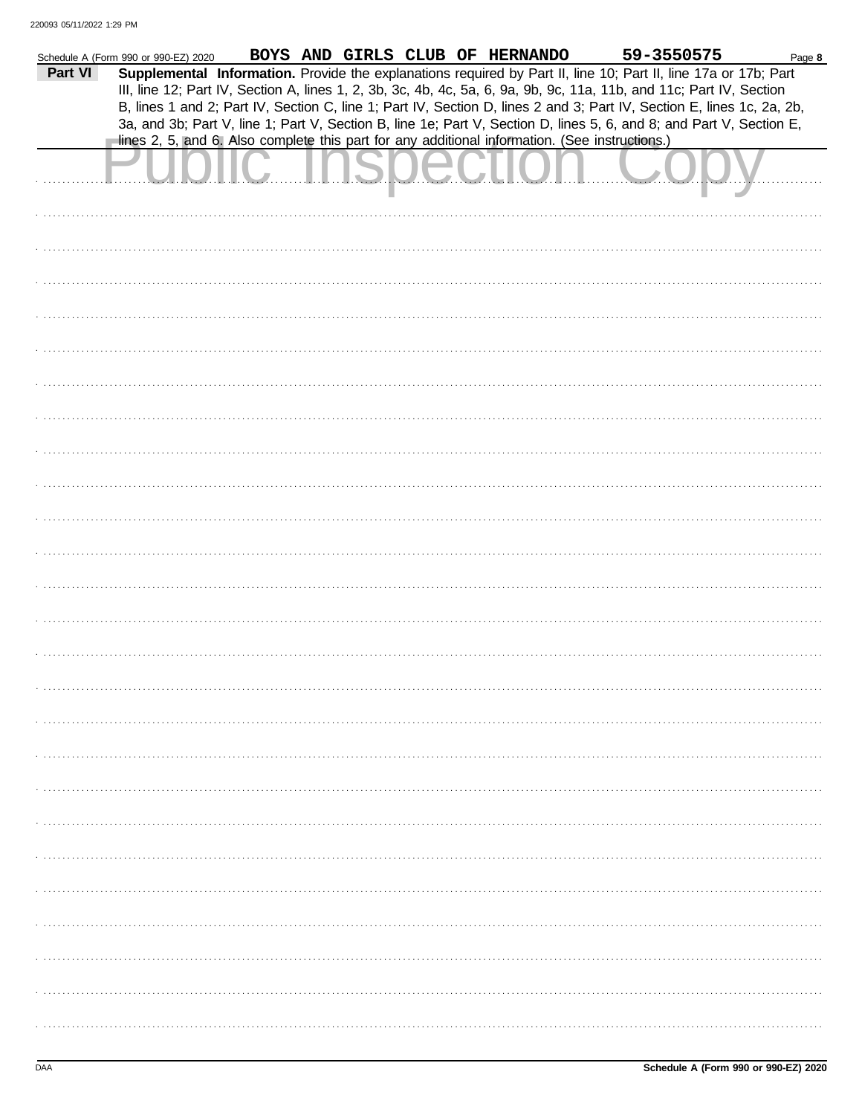|         | Schedule A (Form 990 or 990-EZ) 2020                                                           |                                                                                                                        | BOYS AND GIRLS CLUB OF HERNANDO |                 |  | 59-3550575 | Page 8 |
|---------|------------------------------------------------------------------------------------------------|------------------------------------------------------------------------------------------------------------------------|---------------------------------|-----------------|--|------------|--------|
| Part VI |                                                                                                | Supplemental Information. Provide the explanations required by Part II, line 10; Part II, line 17a or 17b; Part        |                                 |                 |  |            |        |
|         |                                                                                                | III, line 12; Part IV, Section A, lines 1, 2, 3b, 3c, 4b, 4c, 5a, 6, 9a, 9b, 9c, 11a, 11b, and 11c; Part IV, Section   |                                 |                 |  |            |        |
|         |                                                                                                | B, lines 1 and 2; Part IV, Section C, line 1; Part IV, Section D, lines 2 and 3; Part IV, Section E, lines 1c, 2a, 2b, |                                 |                 |  |            |        |
|         |                                                                                                | 3a, and 3b; Part V, line 1; Part V, Section B, line 1e; Part V, Section D, lines 5, 6, and 8; and Part V, Section E,   |                                 |                 |  |            |        |
|         | lines 2, 5, and 6. Also complete this part for any additional information. (See instructions.) |                                                                                                                        |                                 |                 |  |            |        |
|         |                                                                                                |                                                                                                                        |                                 |                 |  |            |        |
|         |                                                                                                |                                                                                                                        |                                 |                 |  |            |        |
|         |                                                                                                |                                                                                                                        |                                 | <u>OIUUUIIU</u> |  |            |        |
|         |                                                                                                |                                                                                                                        |                                 |                 |  |            |        |
|         |                                                                                                |                                                                                                                        |                                 |                 |  |            |        |
|         |                                                                                                |                                                                                                                        |                                 |                 |  |            |        |
|         |                                                                                                |                                                                                                                        |                                 |                 |  |            |        |
|         |                                                                                                |                                                                                                                        |                                 |                 |  |            |        |
|         |                                                                                                |                                                                                                                        |                                 |                 |  |            |        |
|         |                                                                                                |                                                                                                                        |                                 |                 |  |            |        |
|         |                                                                                                |                                                                                                                        |                                 |                 |  |            |        |
|         |                                                                                                |                                                                                                                        |                                 |                 |  |            |        |
|         |                                                                                                |                                                                                                                        |                                 |                 |  |            |        |
|         |                                                                                                |                                                                                                                        |                                 |                 |  |            |        |
|         |                                                                                                |                                                                                                                        |                                 |                 |  |            |        |
|         |                                                                                                |                                                                                                                        |                                 |                 |  |            |        |
|         |                                                                                                |                                                                                                                        |                                 |                 |  |            |        |
|         |                                                                                                |                                                                                                                        |                                 |                 |  |            |        |
|         |                                                                                                |                                                                                                                        |                                 |                 |  |            |        |
|         |                                                                                                |                                                                                                                        |                                 |                 |  |            |        |
|         |                                                                                                |                                                                                                                        |                                 |                 |  |            |        |
|         |                                                                                                |                                                                                                                        |                                 |                 |  |            |        |
|         |                                                                                                |                                                                                                                        |                                 |                 |  |            |        |
|         |                                                                                                |                                                                                                                        |                                 |                 |  |            |        |
|         |                                                                                                |                                                                                                                        |                                 |                 |  |            |        |
|         |                                                                                                |                                                                                                                        |                                 |                 |  |            |        |
|         |                                                                                                |                                                                                                                        |                                 |                 |  |            |        |
|         |                                                                                                |                                                                                                                        |                                 |                 |  |            |        |
|         |                                                                                                |                                                                                                                        |                                 |                 |  |            |        |
|         |                                                                                                |                                                                                                                        |                                 |                 |  |            |        |
|         |                                                                                                |                                                                                                                        |                                 |                 |  |            |        |
|         |                                                                                                |                                                                                                                        |                                 |                 |  |            |        |
|         |                                                                                                |                                                                                                                        |                                 |                 |  |            |        |
|         |                                                                                                |                                                                                                                        |                                 |                 |  |            |        |
|         |                                                                                                |                                                                                                                        |                                 |                 |  |            |        |
|         |                                                                                                |                                                                                                                        |                                 |                 |  |            |        |
|         |                                                                                                |                                                                                                                        |                                 |                 |  |            |        |
|         |                                                                                                |                                                                                                                        |                                 |                 |  |            |        |
|         |                                                                                                |                                                                                                                        |                                 |                 |  |            |        |
|         |                                                                                                |                                                                                                                        |                                 |                 |  |            |        |
|         |                                                                                                |                                                                                                                        |                                 |                 |  |            |        |
|         |                                                                                                |                                                                                                                        |                                 |                 |  |            |        |
|         |                                                                                                |                                                                                                                        |                                 |                 |  |            |        |
|         |                                                                                                |                                                                                                                        |                                 |                 |  |            |        |
|         |                                                                                                |                                                                                                                        |                                 |                 |  |            |        |
|         |                                                                                                |                                                                                                                        |                                 |                 |  |            |        |
|         |                                                                                                |                                                                                                                        |                                 |                 |  |            |        |
|         |                                                                                                |                                                                                                                        |                                 |                 |  |            |        |
|         |                                                                                                |                                                                                                                        |                                 |                 |  |            |        |
|         |                                                                                                |                                                                                                                        |                                 |                 |  |            |        |
|         |                                                                                                |                                                                                                                        |                                 |                 |  |            |        |
|         |                                                                                                |                                                                                                                        |                                 |                 |  |            |        |
|         |                                                                                                |                                                                                                                        |                                 |                 |  |            |        |
|         |                                                                                                |                                                                                                                        |                                 |                 |  |            |        |
|         |                                                                                                |                                                                                                                        |                                 |                 |  |            |        |
|         |                                                                                                |                                                                                                                        |                                 |                 |  |            |        |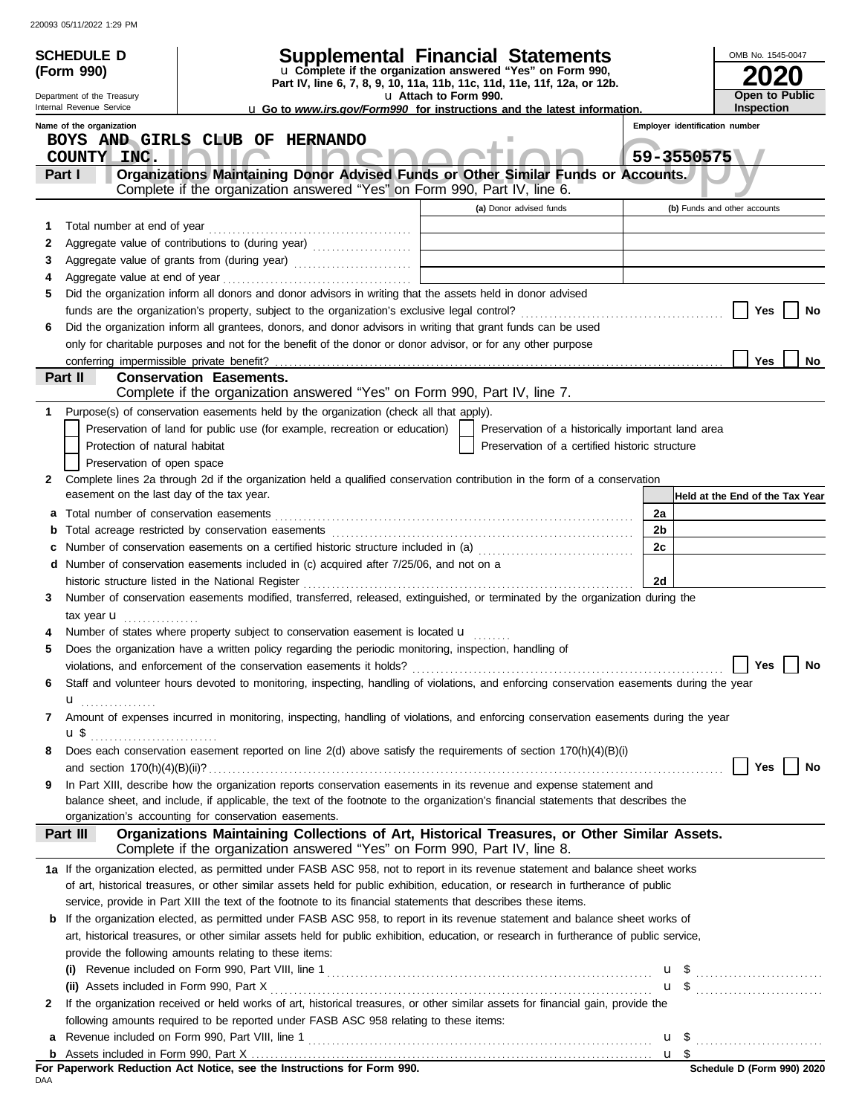|        | <b>SCHEDULE D</b><br>(Form 990)                                                                   |                                | Supplemental Financial Statements<br>u Complete if the organization answered "Yes" on Form 990,                                                                                                                                                                      |  |                                                    |                                                |            |                                 | OMB No. 1545-0047                   |    |
|--------|---------------------------------------------------------------------------------------------------|--------------------------------|----------------------------------------------------------------------------------------------------------------------------------------------------------------------------------------------------------------------------------------------------------------------|--|----------------------------------------------------|------------------------------------------------|------------|---------------------------------|-------------------------------------|----|
|        | Part IV, line 6, 7, 8, 9, 10, 11a, 11b, 11c, 11d, 11e, 11f, 12a, or 12b.<br>u Attach to Form 990. |                                |                                                                                                                                                                                                                                                                      |  |                                                    |                                                |            |                                 |                                     |    |
|        | Department of the Treasury<br>Internal Revenue Service                                            |                                | <b>u</b> Go to www.irs.gov/Form990 for instructions and the latest information.                                                                                                                                                                                      |  |                                                    |                                                |            |                                 | Open to Public<br><b>Inspection</b> |    |
|        | Name of the organization                                                                          |                                |                                                                                                                                                                                                                                                                      |  |                                                    |                                                |            | Employer identification number  |                                     |    |
|        | BOYS AND GIRLS CLUB OF HERNANDO<br>COUNTY INC.                                                    |                                |                                                                                                                                                                                                                                                                      |  |                                                    |                                                | 59-3550575 |                                 |                                     |    |
|        | Part I                                                                                            |                                | Organizations Maintaining Donor Advised Funds or Other Similar Funds or Accounts.                                                                                                                                                                                    |  |                                                    |                                                |            |                                 |                                     |    |
|        |                                                                                                   |                                | Complete if the organization answered "Yes" on Form 990, Part IV, line 6.                                                                                                                                                                                            |  |                                                    |                                                |            |                                 |                                     |    |
|        |                                                                                                   |                                |                                                                                                                                                                                                                                                                      |  | (a) Donor advised funds                            |                                                |            | (b) Funds and other accounts    |                                     |    |
| 1.     |                                                                                                   |                                |                                                                                                                                                                                                                                                                      |  |                                                    |                                                |            |                                 |                                     |    |
| 2      |                                                                                                   |                                | Aggregate value of contributions to (during year)                                                                                                                                                                                                                    |  |                                                    |                                                |            |                                 |                                     |    |
| 3<br>4 |                                                                                                   |                                |                                                                                                                                                                                                                                                                      |  |                                                    |                                                |            |                                 |                                     |    |
| 5      |                                                                                                   |                                | Did the organization inform all donors and donor advisors in writing that the assets held in donor advised                                                                                                                                                           |  |                                                    |                                                |            |                                 |                                     |    |
|        |                                                                                                   |                                |                                                                                                                                                                                                                                                                      |  |                                                    |                                                |            |                                 | Yes                                 | No |
| 6      |                                                                                                   |                                | Did the organization inform all grantees, donors, and donor advisors in writing that grant funds can be used                                                                                                                                                         |  |                                                    |                                                |            |                                 |                                     |    |
|        |                                                                                                   |                                | only for charitable purposes and not for the benefit of the donor or donor advisor, or for any other purpose                                                                                                                                                         |  |                                                    |                                                |            |                                 |                                     |    |
|        | conferring impermissible private benefit?                                                         |                                |                                                                                                                                                                                                                                                                      |  |                                                    |                                                |            |                                 | <b>Yes</b>                          | No |
|        | Part II                                                                                           | <b>Conservation Easements.</b> | Complete if the organization answered "Yes" on Form 990, Part IV, line 7.                                                                                                                                                                                            |  |                                                    |                                                |            |                                 |                                     |    |
| 1.     |                                                                                                   |                                | Purpose(s) of conservation easements held by the organization (check all that apply).                                                                                                                                                                                |  |                                                    |                                                |            |                                 |                                     |    |
|        |                                                                                                   |                                | Preservation of land for public use (for example, recreation or education)                                                                                                                                                                                           |  | Preservation of a historically important land area |                                                |            |                                 |                                     |    |
|        | Protection of natural habitat                                                                     |                                |                                                                                                                                                                                                                                                                      |  |                                                    | Preservation of a certified historic structure |            |                                 |                                     |    |
|        | Preservation of open space                                                                        |                                |                                                                                                                                                                                                                                                                      |  |                                                    |                                                |            |                                 |                                     |    |
| 2      |                                                                                                   |                                | Complete lines 2a through 2d if the organization held a qualified conservation contribution in the form of a conservation                                                                                                                                            |  |                                                    |                                                |            |                                 |                                     |    |
|        | easement on the last day of the tax year.                                                         |                                |                                                                                                                                                                                                                                                                      |  |                                                    |                                                |            | Held at the End of the Tax Year |                                     |    |
| а      |                                                                                                   |                                |                                                                                                                                                                                                                                                                      |  |                                                    |                                                | 2a         |                                 |                                     |    |
| b      |                                                                                                   |                                |                                                                                                                                                                                                                                                                      |  |                                                    |                                                | 2b         |                                 |                                     |    |
| c<br>d |                                                                                                   |                                | Number of conservation easements on a certified historic structure included in (a) [[11] Number of conservation easements on a certified historic structure included in (a)<br>Number of conservation easements included in (c) acquired after 7/25/06, and not on a |  |                                                    |                                                | 2c         |                                 |                                     |    |
|        | historic structure listed in the National Register                                                |                                |                                                                                                                                                                                                                                                                      |  |                                                    |                                                | 2d         |                                 |                                     |    |
| 3      |                                                                                                   |                                | Number of conservation easements modified, transferred, released, extinguished, or terminated by the organization during the                                                                                                                                         |  |                                                    |                                                |            |                                 |                                     |    |
|        | tax year $\mathbf u$                                                                              |                                |                                                                                                                                                                                                                                                                      |  |                                                    |                                                |            |                                 |                                     |    |
|        |                                                                                                   |                                | Number of states where property subject to conservation easement is located u                                                                                                                                                                                        |  |                                                    |                                                |            |                                 |                                     |    |
| 5      |                                                                                                   |                                | Does the organization have a written policy regarding the periodic monitoring, inspection, handling of                                                                                                                                                               |  |                                                    |                                                |            |                                 |                                     |    |
|        |                                                                                                   |                                |                                                                                                                                                                                                                                                                      |  |                                                    |                                                |            |                                 | Yes                                 | No |
| 6      |                                                                                                   |                                | Staff and volunteer hours devoted to monitoring, inspecting, handling of violations, and enforcing conservation easements during the year                                                                                                                            |  |                                                    |                                                |            |                                 |                                     |    |
| 7      | u <sub></sub>                                                                                     |                                | Amount of expenses incurred in monitoring, inspecting, handling of violations, and enforcing conservation easements during the year                                                                                                                                  |  |                                                    |                                                |            |                                 |                                     |    |
|        | <b>u</b> \$                                                                                       |                                |                                                                                                                                                                                                                                                                      |  |                                                    |                                                |            |                                 |                                     |    |
| 8      |                                                                                                   |                                | Does each conservation easement reported on line 2(d) above satisfy the requirements of section 170(h)(4)(B)(i)                                                                                                                                                      |  |                                                    |                                                |            |                                 |                                     |    |
|        |                                                                                                   |                                |                                                                                                                                                                                                                                                                      |  |                                                    |                                                |            |                                 | Yes                                 | No |
| 9      |                                                                                                   |                                | In Part XIII, describe how the organization reports conservation easements in its revenue and expense statement and                                                                                                                                                  |  |                                                    |                                                |            |                                 |                                     |    |
|        |                                                                                                   |                                | balance sheet, and include, if applicable, the text of the footnote to the organization's financial statements that describes the                                                                                                                                    |  |                                                    |                                                |            |                                 |                                     |    |
|        | organization's accounting for conservation easements.<br>Part III                                 |                                | Organizations Maintaining Collections of Art, Historical Treasures, or Other Similar Assets.                                                                                                                                                                         |  |                                                    |                                                |            |                                 |                                     |    |
|        |                                                                                                   |                                | Complete if the organization answered "Yes" on Form 990, Part IV, line 8.                                                                                                                                                                                            |  |                                                    |                                                |            |                                 |                                     |    |
|        |                                                                                                   |                                | 1a If the organization elected, as permitted under FASB ASC 958, not to report in its revenue statement and balance sheet works                                                                                                                                      |  |                                                    |                                                |            |                                 |                                     |    |
|        |                                                                                                   |                                | of art, historical treasures, or other similar assets held for public exhibition, education, or research in furtherance of public                                                                                                                                    |  |                                                    |                                                |            |                                 |                                     |    |
|        |                                                                                                   |                                | service, provide in Part XIII the text of the footnote to its financial statements that describes these items.                                                                                                                                                       |  |                                                    |                                                |            |                                 |                                     |    |
| b      |                                                                                                   |                                | If the organization elected, as permitted under FASB ASC 958, to report in its revenue statement and balance sheet works of                                                                                                                                          |  |                                                    |                                                |            |                                 |                                     |    |
|        |                                                                                                   |                                | art, historical treasures, or other similar assets held for public exhibition, education, or research in furtherance of public service,                                                                                                                              |  |                                                    |                                                |            |                                 |                                     |    |
|        | provide the following amounts relating to these items:                                            |                                |                                                                                                                                                                                                                                                                      |  |                                                    |                                                |            |                                 |                                     |    |
|        |                                                                                                   |                                |                                                                                                                                                                                                                                                                      |  |                                                    |                                                |            | $\mathbf{u}$ \$                 |                                     |    |
| 2      |                                                                                                   |                                | If the organization received or held works of art, historical treasures, or other similar assets for financial gain, provide the                                                                                                                                     |  |                                                    |                                                |            | $\mathbf{u}$ \$                 |                                     |    |
|        |                                                                                                   |                                | following amounts required to be reported under FASB ASC 958 relating to these items:                                                                                                                                                                                |  |                                                    |                                                |            |                                 |                                     |    |
| а      |                                                                                                   |                                |                                                                                                                                                                                                                                                                      |  |                                                    |                                                |            |                                 |                                     |    |
|        |                                                                                                   |                                |                                                                                                                                                                                                                                                                      |  |                                                    |                                                |            |                                 |                                     |    |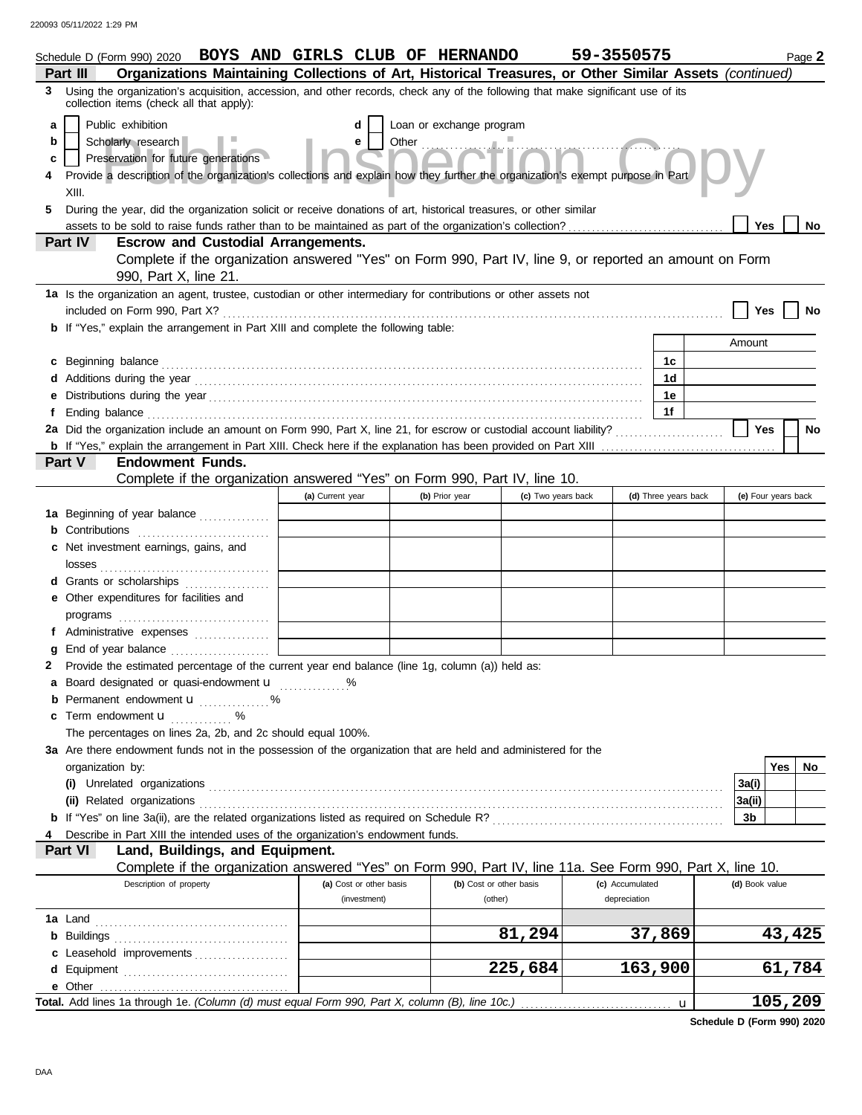|   | Schedule D (Form 990) 2020 BOYS AND GIRLS CLUB OF HERNANDO                                                                                                                                                                           |                         |                          |                         | 59-3550575      |                      |                |         | Page 2 |  |  |
|---|--------------------------------------------------------------------------------------------------------------------------------------------------------------------------------------------------------------------------------------|-------------------------|--------------------------|-------------------------|-----------------|----------------------|----------------|---------|--------|--|--|
|   | Organizations Maintaining Collections of Art, Historical Treasures, or Other Similar Assets (continued)<br>Part III                                                                                                                  |                         |                          |                         |                 |                      |                |         |        |  |  |
| 3 | Using the organization's acquisition, accession, and other records, check any of the following that make significant use of its<br>collection items (check all that apply):                                                          |                         |                          |                         |                 |                      |                |         |        |  |  |
| a | Public exhibition                                                                                                                                                                                                                    | d                       | Loan or exchange program |                         |                 |                      |                |         |        |  |  |
| b | Scholarly research                                                                                                                                                                                                                   | е                       | Other <b>Community</b>   |                         | inn Ca          |                      |                |         |        |  |  |
| c | Preservation for future generations                                                                                                                                                                                                  |                         |                          |                         |                 |                      |                |         |        |  |  |
| 4 | Provide a description of the organization's collections and explain how they further the organization's exempt purpose in Part                                                                                                       |                         |                          |                         |                 |                      |                |         |        |  |  |
|   | XIII.                                                                                                                                                                                                                                |                         |                          |                         |                 |                      |                |         |        |  |  |
| 5 | During the year, did the organization solicit or receive donations of art, historical treasures, or other similar                                                                                                                    |                         |                          |                         |                 |                      |                |         |        |  |  |
|   |                                                                                                                                                                                                                                      |                         |                          |                         |                 |                      | <b>Yes</b>     |         | No     |  |  |
|   | Part IV<br><b>Escrow and Custodial Arrangements.</b>                                                                                                                                                                                 |                         |                          |                         |                 |                      |                |         |        |  |  |
|   | Complete if the organization answered "Yes" on Form 990, Part IV, line 9, or reported an amount on Form                                                                                                                              |                         |                          |                         |                 |                      |                |         |        |  |  |
|   | 990, Part X, line 21.                                                                                                                                                                                                                |                         |                          |                         |                 |                      |                |         |        |  |  |
|   | 1a Is the organization an agent, trustee, custodian or other intermediary for contributions or other assets not                                                                                                                      |                         |                          |                         |                 |                      |                |         |        |  |  |
|   |                                                                                                                                                                                                                                      |                         |                          |                         |                 |                      | Yes            |         | No     |  |  |
|   | b If "Yes," explain the arrangement in Part XIII and complete the following table:                                                                                                                                                   |                         |                          |                         |                 |                      | Amount         |         |        |  |  |
|   |                                                                                                                                                                                                                                      |                         |                          |                         |                 |                      |                |         |        |  |  |
|   | c Beginning balance <b>contract to the contract of the contract of the contract of the contract of the contract of the contract of the contract of the contract of the contract of the contract of the contract of the contract </b> |                         |                          |                         |                 | 1c                   |                |         |        |  |  |
|   |                                                                                                                                                                                                                                      |                         |                          |                         |                 | 1d                   |                |         |        |  |  |
|   |                                                                                                                                                                                                                                      |                         |                          |                         |                 | 1е                   |                |         |        |  |  |
|   |                                                                                                                                                                                                                                      |                         |                          |                         |                 | 1f                   |                |         |        |  |  |
|   | 2a Did the organization include an amount on Form 990, Part X, line 21, for escrow or custodial account liability?                                                                                                                   |                         |                          |                         |                 |                      | Yes            |         | No     |  |  |
|   |                                                                                                                                                                                                                                      |                         |                          |                         |                 |                      |                |         |        |  |  |
|   | <b>Endowment Funds.</b><br>Part V                                                                                                                                                                                                    |                         |                          |                         |                 |                      |                |         |        |  |  |
|   | Complete if the organization answered "Yes" on Form 990, Part IV, line 10.<br>(e) Four years back                                                                                                                                    |                         |                          |                         |                 |                      |                |         |        |  |  |
|   |                                                                                                                                                                                                                                      | (a) Current year        | (b) Prior year           | (c) Two years back      |                 | (d) Three years back |                |         |        |  |  |
|   | 1a Beginning of year balance                                                                                                                                                                                                         |                         |                          |                         |                 |                      |                |         |        |  |  |
|   | Contributions <b>Contributions</b>                                                                                                                                                                                                   |                         |                          |                         |                 |                      |                |         |        |  |  |
| c | Net investment earnings, gains, and                                                                                                                                                                                                  |                         |                          |                         |                 |                      |                |         |        |  |  |
|   |                                                                                                                                                                                                                                      |                         |                          |                         |                 |                      |                |         |        |  |  |
|   | d Grants or scholarships                                                                                                                                                                                                             |                         |                          |                         |                 |                      |                |         |        |  |  |
|   | e Other expenditures for facilities and                                                                                                                                                                                              |                         |                          |                         |                 |                      |                |         |        |  |  |
|   |                                                                                                                                                                                                                                      |                         |                          |                         |                 |                      |                |         |        |  |  |
|   | f Administrative expenses                                                                                                                                                                                                            |                         |                          |                         |                 |                      |                |         |        |  |  |
| g |                                                                                                                                                                                                                                      |                         |                          |                         |                 |                      |                |         |        |  |  |
| 2 | Provide the estimated percentage of the current year end balance (line 1g, column (a)) held as:                                                                                                                                      |                         |                          |                         |                 |                      |                |         |        |  |  |
|   | a Board designated or quasi-endowment u %                                                                                                                                                                                            |                         |                          |                         |                 |                      |                |         |        |  |  |
|   | Permanent endowment <b>u</b> %                                                                                                                                                                                                       |                         |                          |                         |                 |                      |                |         |        |  |  |
| c | Term endowment <b>u</b>                                                                                                                                                                                                              |                         |                          |                         |                 |                      |                |         |        |  |  |
|   | The percentages on lines 2a, 2b, and 2c should equal 100%.                                                                                                                                                                           |                         |                          |                         |                 |                      |                |         |        |  |  |
|   | 3a Are there endowment funds not in the possession of the organization that are held and administered for the                                                                                                                        |                         |                          |                         |                 |                      |                |         |        |  |  |
|   | organization by:                                                                                                                                                                                                                     |                         |                          |                         |                 |                      |                | Yes     | No.    |  |  |
|   |                                                                                                                                                                                                                                      |                         |                          |                         |                 |                      | 3a(i)          |         |        |  |  |
|   | (ii) Related organizations with a contract or contract or contract or contract or contract or contract or contract or contract or contract or contract or contract or contract or contract or contract or contract or contract       |                         |                          |                         |                 |                      | 3a(ii)         |         |        |  |  |
|   |                                                                                                                                                                                                                                      |                         |                          |                         |                 |                      | 3b             |         |        |  |  |
| 4 | Describe in Part XIII the intended uses of the organization's endowment funds.                                                                                                                                                       |                         |                          |                         |                 |                      |                |         |        |  |  |
|   | Part VI<br>Land, Buildings, and Equipment.                                                                                                                                                                                           |                         |                          |                         |                 |                      |                |         |        |  |  |
|   | Complete if the organization answered "Yes" on Form 990, Part IV, line 11a. See Form 990, Part X, line 10.                                                                                                                           |                         |                          |                         |                 |                      |                |         |        |  |  |
|   | Description of property                                                                                                                                                                                                              | (a) Cost or other basis |                          | (b) Cost or other basis | (c) Accumulated |                      | (d) Book value |         |        |  |  |
|   |                                                                                                                                                                                                                                      | (investment)            |                          | (other)                 | depreciation    |                      |                |         |        |  |  |
|   |                                                                                                                                                                                                                                      |                         |                          |                         |                 |                      |                |         |        |  |  |
|   |                                                                                                                                                                                                                                      |                         |                          | 81,294                  | 37,869          |                      |                | 43,425  |        |  |  |
|   | c Leasehold improvements                                                                                                                                                                                                             |                         |                          |                         |                 |                      |                |         |        |  |  |
|   |                                                                                                                                                                                                                                      |                         |                          | 225,684                 | 163,900         |                      |                | 61,784  |        |  |  |
|   |                                                                                                                                                                                                                                      |                         |                          |                         |                 |                      |                |         |        |  |  |
|   |                                                                                                                                                                                                                                      |                         |                          |                         |                 | $\mathbf u$          |                | 105,209 |        |  |  |

**Schedule D (Form 990) 2020**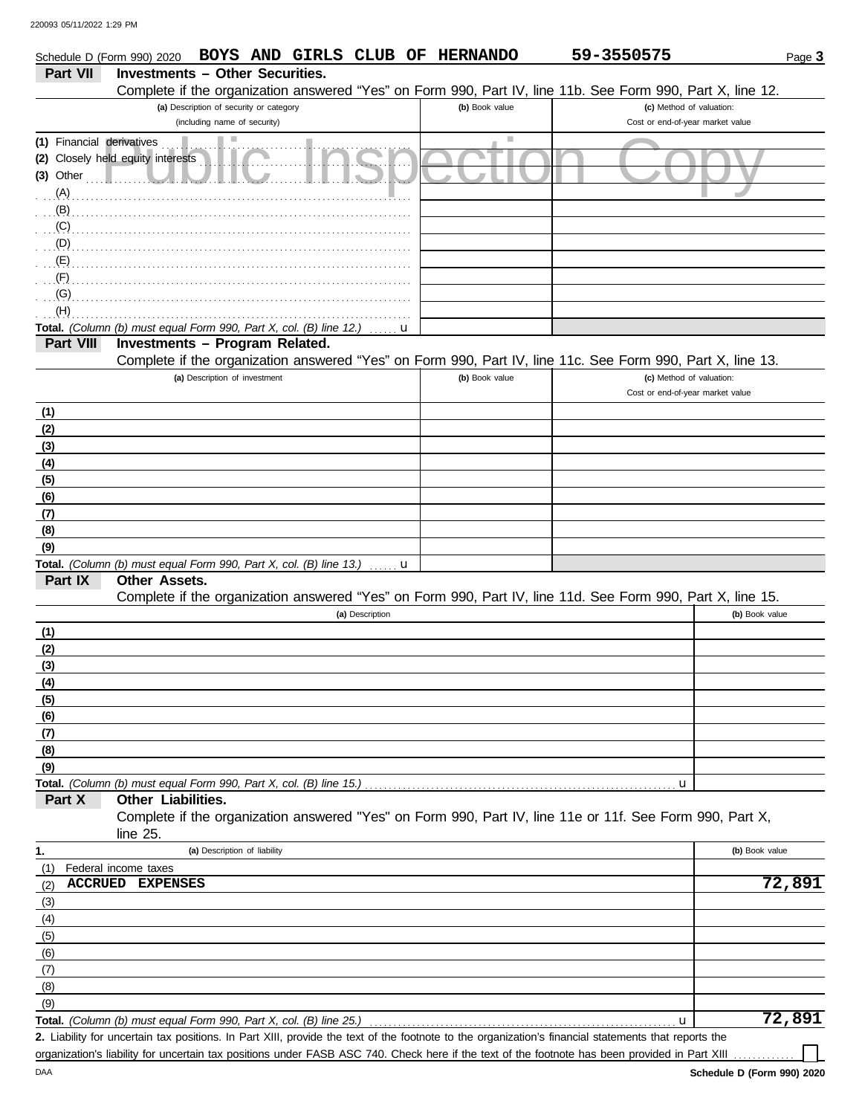DAA

| Schedule D (Form 990) 2020 |                                                                                     |                                         |                 |   | BOYS AND GIRLS CLUB OF HERNANDO | 59-3550575                                                                                                 |                | Page 3 |
|----------------------------|-------------------------------------------------------------------------------------|-----------------------------------------|-----------------|---|---------------------------------|------------------------------------------------------------------------------------------------------------|----------------|--------|
| <b>Part VII</b>            | <b>Investments - Other Securities.</b>                                              |                                         |                 |   |                                 |                                                                                                            |                |        |
|                            |                                                                                     |                                         |                 |   |                                 | Complete if the organization answered "Yes" on Form 990, Part IV, line 11b. See Form 990, Part X, line 12. |                |        |
|                            |                                                                                     | (a) Description of security or category |                 |   | (b) Book value                  | (c) Method of valuation:                                                                                   |                |        |
|                            |                                                                                     | (including name of security)            |                 |   |                                 | Cost or end-of-year market value                                                                           |                |        |
| (1) Financial derivatives  |                                                                                     |                                         |                 |   |                                 |                                                                                                            |                |        |
| $(3)$ Other                | (2) Closely held equity interests                                                   |                                         |                 |   |                                 |                                                                                                            |                |        |
| (A)                        |                                                                                     |                                         |                 |   |                                 |                                                                                                            |                |        |
| (B)                        |                                                                                     |                                         |                 |   |                                 |                                                                                                            |                |        |
| (C)                        |                                                                                     |                                         |                 |   |                                 |                                                                                                            |                |        |
| (D)                        |                                                                                     |                                         |                 |   |                                 |                                                                                                            |                |        |
| (E)                        |                                                                                     |                                         |                 |   |                                 |                                                                                                            |                |        |
| (F)                        |                                                                                     |                                         |                 |   |                                 |                                                                                                            |                |        |
| (G)                        |                                                                                     |                                         |                 |   |                                 |                                                                                                            |                |        |
| (H)                        |                                                                                     |                                         |                 |   |                                 |                                                                                                            |                |        |
|                            | Total. (Column (b) must equal Form 990, Part X, col. (B) line 12.)                  |                                         |                 | u |                                 |                                                                                                            |                |        |
| Part VIII                  | Investments - Program Related.                                                      |                                         |                 |   |                                 | Complete if the organization answered "Yes" on Form 990, Part IV, line 11c. See Form 990, Part X, line 13. |                |        |
|                            |                                                                                     | (a) Description of investment           |                 |   | (b) Book value                  | (c) Method of valuation:                                                                                   |                |        |
|                            |                                                                                     |                                         |                 |   |                                 | Cost or end-of-year market value                                                                           |                |        |
| (1)                        |                                                                                     |                                         |                 |   |                                 |                                                                                                            |                |        |
| (2)                        |                                                                                     |                                         |                 |   |                                 |                                                                                                            |                |        |
| (3)                        |                                                                                     |                                         |                 |   |                                 |                                                                                                            |                |        |
| (4)                        |                                                                                     |                                         |                 |   |                                 |                                                                                                            |                |        |
| (5)                        |                                                                                     |                                         |                 |   |                                 |                                                                                                            |                |        |
| (6)                        |                                                                                     |                                         |                 |   |                                 |                                                                                                            |                |        |
| (7)                        |                                                                                     |                                         |                 |   |                                 |                                                                                                            |                |        |
| (8)                        |                                                                                     |                                         |                 |   |                                 |                                                                                                            |                |        |
| (9)                        |                                                                                     |                                         |                 |   |                                 |                                                                                                            |                |        |
| Part IX                    | Total. (Column (b) must equal Form 990, Part X, col. (B) line 13.)<br>Other Assets. |                                         |                 | u |                                 |                                                                                                            |                |        |
|                            |                                                                                     |                                         |                 |   |                                 | Complete if the organization answered "Yes" on Form 990, Part IV, line 11d. See Form 990, Part X, line 15. |                |        |
|                            |                                                                                     |                                         | (a) Description |   |                                 |                                                                                                            | (b) Book value |        |
| (1)                        |                                                                                     |                                         |                 |   |                                 |                                                                                                            |                |        |
| (2)                        |                                                                                     |                                         |                 |   |                                 |                                                                                                            |                |        |
| (3)                        |                                                                                     |                                         |                 |   |                                 |                                                                                                            |                |        |
| $\frac{(4)}{2}$            |                                                                                     |                                         |                 |   |                                 |                                                                                                            |                |        |
| (5)                        |                                                                                     |                                         |                 |   |                                 |                                                                                                            |                |        |
| (6)                        |                                                                                     |                                         |                 |   |                                 |                                                                                                            |                |        |
| (7)                        |                                                                                     |                                         |                 |   |                                 |                                                                                                            |                |        |
| (8)<br>(9)                 |                                                                                     |                                         |                 |   |                                 |                                                                                                            |                |        |
|                            | Total. (Column (b) must equal Form 990, Part X, col. (B) line 15.)                  |                                         |                 |   |                                 | u                                                                                                          |                |        |
| Part X                     | Other Liabilities.                                                                  |                                         |                 |   |                                 |                                                                                                            |                |        |
|                            |                                                                                     |                                         |                 |   |                                 | Complete if the organization answered "Yes" on Form 990, Part IV, line 11e or 11f. See Form 990, Part X,   |                |        |
|                            | line $25$ .                                                                         |                                         |                 |   |                                 |                                                                                                            |                |        |
| 1.                         |                                                                                     | (a) Description of liability            |                 |   |                                 |                                                                                                            | (b) Book value |        |
| (1)                        | Federal income taxes                                                                |                                         |                 |   |                                 |                                                                                                            |                |        |
| (2)                        | ACCRUED EXPENSES                                                                    |                                         |                 |   |                                 |                                                                                                            |                | 72,891 |
| (3)                        |                                                                                     |                                         |                 |   |                                 |                                                                                                            |                |        |
| (4)                        |                                                                                     |                                         |                 |   |                                 |                                                                                                            |                |        |
| (5)                        |                                                                                     |                                         |                 |   |                                 |                                                                                                            |                |        |
| (6)                        |                                                                                     |                                         |                 |   |                                 |                                                                                                            |                |        |
| (7)<br>(8)                 |                                                                                     |                                         |                 |   |                                 |                                                                                                            |                |        |
| (9)                        |                                                                                     |                                         |                 |   |                                 |                                                                                                            |                |        |
|                            | Total. (Column (b) must equal Form 990, Part X, col. (B) line 25.)                  |                                         |                 |   |                                 | u                                                                                                          |                | 72,891 |
|                            |                                                                                     |                                         |                 |   |                                 |                                                                                                            |                |        |

Liability for uncertain tax positions. In Part XIII, provide the text of the footnote to the organization's financial statements that reports the **2.** organization's liability for uncertain tax positions under FASB ASC 740. Check here if the text of the footnote has been provided in Part XIII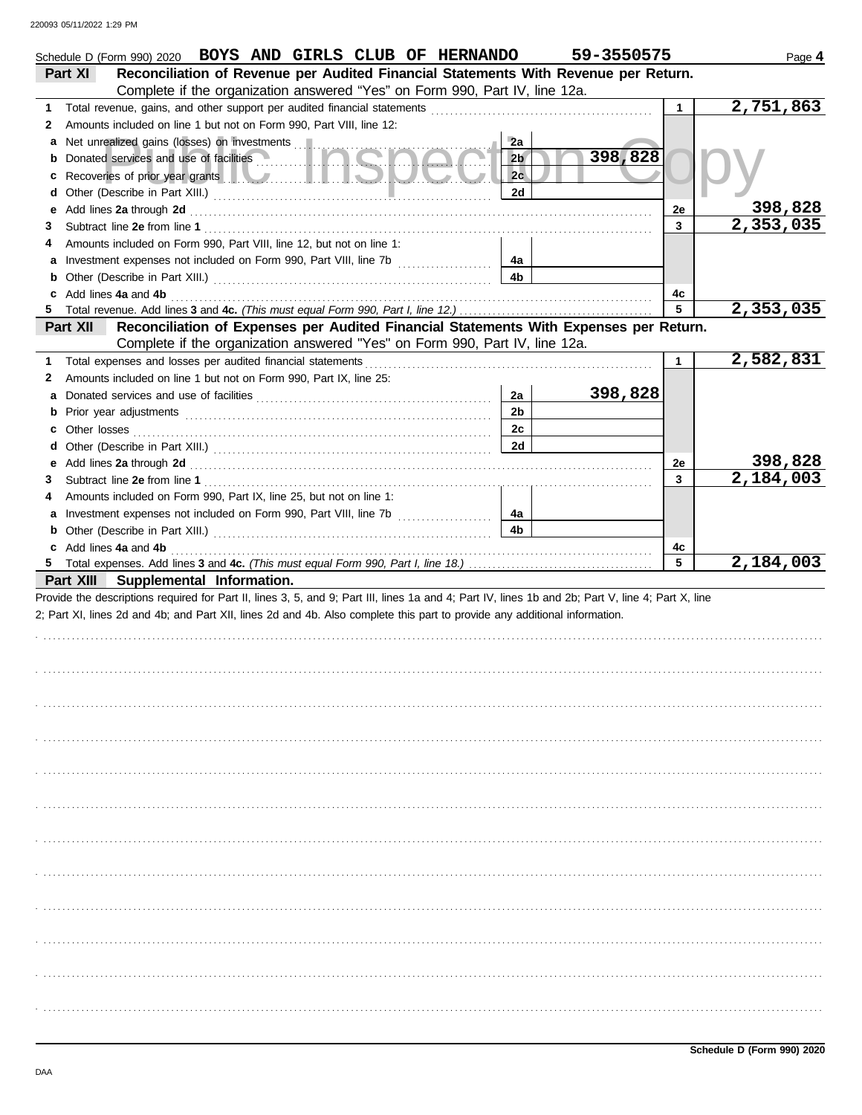| Schedule D (Form 990) 2020 BOYS AND GIRLS CLUB OF HERNANDO                                                                                                                                                                                     |                | 59-3550575 |              | Page 4    |
|------------------------------------------------------------------------------------------------------------------------------------------------------------------------------------------------------------------------------------------------|----------------|------------|--------------|-----------|
| Reconciliation of Revenue per Audited Financial Statements With Revenue per Return.<br>Part XI                                                                                                                                                 |                |            |              |           |
| Complete if the organization answered "Yes" on Form 990, Part IV, line 12a.                                                                                                                                                                    |                |            |              |           |
| 1                                                                                                                                                                                                                                              |                |            | $\mathbf{1}$ | 2,751,863 |
| Amounts included on line 1 but not on Form 990, Part VIII, line 12:<br>2                                                                                                                                                                       |                |            |              |           |
|                                                                                                                                                                                                                                                | 2a             |            |              |           |
|                                                                                                                                                                                                                                                | 2 <sub>b</sub> | 398,828    |              |           |
| Recoveries of prior year grants <b>the contract of the contract of prior</b> year grants <b>the contract of the contract of the contract of the contract of the contract of the contract of the contract of the contract of the contr</b><br>c | 2c             |            |              |           |
| d                                                                                                                                                                                                                                              | 2d             |            |              |           |
| Add lines 2a through 2d [11] March 2014 [12] March 2014 [12] March 2014 [12] March 2014 [12] March 2014 [12] March 2015 [12] March 2014 [12] March 2014 [12] March 2014 [12] March 2014 [12] March 2014 [12] March 2014 [12] M<br>е            |                |            | 2e           | 398,828   |
| 3                                                                                                                                                                                                                                              |                |            | 3            | 2,353,035 |
| Amounts included on Form 990, Part VIII, line 12, but not on line 1:<br>4                                                                                                                                                                      |                |            |              |           |
|                                                                                                                                                                                                                                                | 4a             |            |              |           |
|                                                                                                                                                                                                                                                | 4b             |            |              |           |
| c Add lines 4a and 4b (a) and the contract of the state of the state of the state of the state of the state of the state of the state of the state of the state of the state of the state of the state of the state of the sta                 |                |            | 4c           |           |
|                                                                                                                                                                                                                                                |                |            | 5            | 2,353,035 |
| Reconciliation of Expenses per Audited Financial Statements With Expenses per Return.<br>Part XII                                                                                                                                              |                |            |              |           |
| Complete if the organization answered "Yes" on Form 990, Part IV, line 12a.                                                                                                                                                                    |                |            |              |           |
| 1                                                                                                                                                                                                                                              |                |            | $\mathbf{1}$ | 2,582,831 |
| Amounts included on line 1 but not on Form 990, Part IX, line 25:<br>2                                                                                                                                                                         |                |            |              |           |
|                                                                                                                                                                                                                                                | 2a             | 398,828    |              |           |
|                                                                                                                                                                                                                                                | 2 <sub>b</sub> |            |              |           |
| c Other losses <b>contracts</b> and the contract of the contract of the contract of the contract of the contract of the contract of the contract of the contract of the contract of the contract of the contract of the contract of            | 2c             |            |              |           |
| d                                                                                                                                                                                                                                              | 2d             |            |              | 398,828   |
|                                                                                                                                                                                                                                                |                |            | 2e<br>3      | 2,184,003 |
| 3                                                                                                                                                                                                                                              |                |            |              |           |
| Amounts included on Form 990, Part IX, line 25, but not on line 1:<br>4                                                                                                                                                                        | 4a             |            |              |           |
|                                                                                                                                                                                                                                                | 4b             |            |              |           |
| c Add lines 4a and 4b                                                                                                                                                                                                                          |                |            | 4c           |           |
|                                                                                                                                                                                                                                                |                |            | 5            | 2,184,003 |
| Part XIII Supplemental Information.                                                                                                                                                                                                            |                |            |              |           |
| Provide the descriptions required for Part II, lines 3, 5, and 9; Part III, lines 1a and 4; Part IV, lines 1b and 2b; Part V, line 4; Part X, line                                                                                             |                |            |              |           |
| 2; Part XI, lines 2d and 4b; and Part XII, lines 2d and 4b. Also complete this part to provide any additional information.                                                                                                                     |                |            |              |           |
|                                                                                                                                                                                                                                                |                |            |              |           |
|                                                                                                                                                                                                                                                |                |            |              |           |
|                                                                                                                                                                                                                                                |                |            |              |           |
|                                                                                                                                                                                                                                                |                |            |              |           |
|                                                                                                                                                                                                                                                |                |            |              |           |
|                                                                                                                                                                                                                                                |                |            |              |           |
|                                                                                                                                                                                                                                                |                |            |              |           |
|                                                                                                                                                                                                                                                |                |            |              |           |
|                                                                                                                                                                                                                                                |                |            |              |           |
|                                                                                                                                                                                                                                                |                |            |              |           |
|                                                                                                                                                                                                                                                |                |            |              |           |
|                                                                                                                                                                                                                                                |                |            |              |           |
|                                                                                                                                                                                                                                                |                |            |              |           |
|                                                                                                                                                                                                                                                |                |            |              |           |
|                                                                                                                                                                                                                                                |                |            |              |           |
|                                                                                                                                                                                                                                                |                |            |              |           |
|                                                                                                                                                                                                                                                |                |            |              |           |
|                                                                                                                                                                                                                                                |                |            |              |           |
|                                                                                                                                                                                                                                                |                |            |              |           |
|                                                                                                                                                                                                                                                |                |            |              |           |
|                                                                                                                                                                                                                                                |                |            |              |           |
|                                                                                                                                                                                                                                                |                |            |              |           |
|                                                                                                                                                                                                                                                |                |            |              |           |
|                                                                                                                                                                                                                                                |                |            |              |           |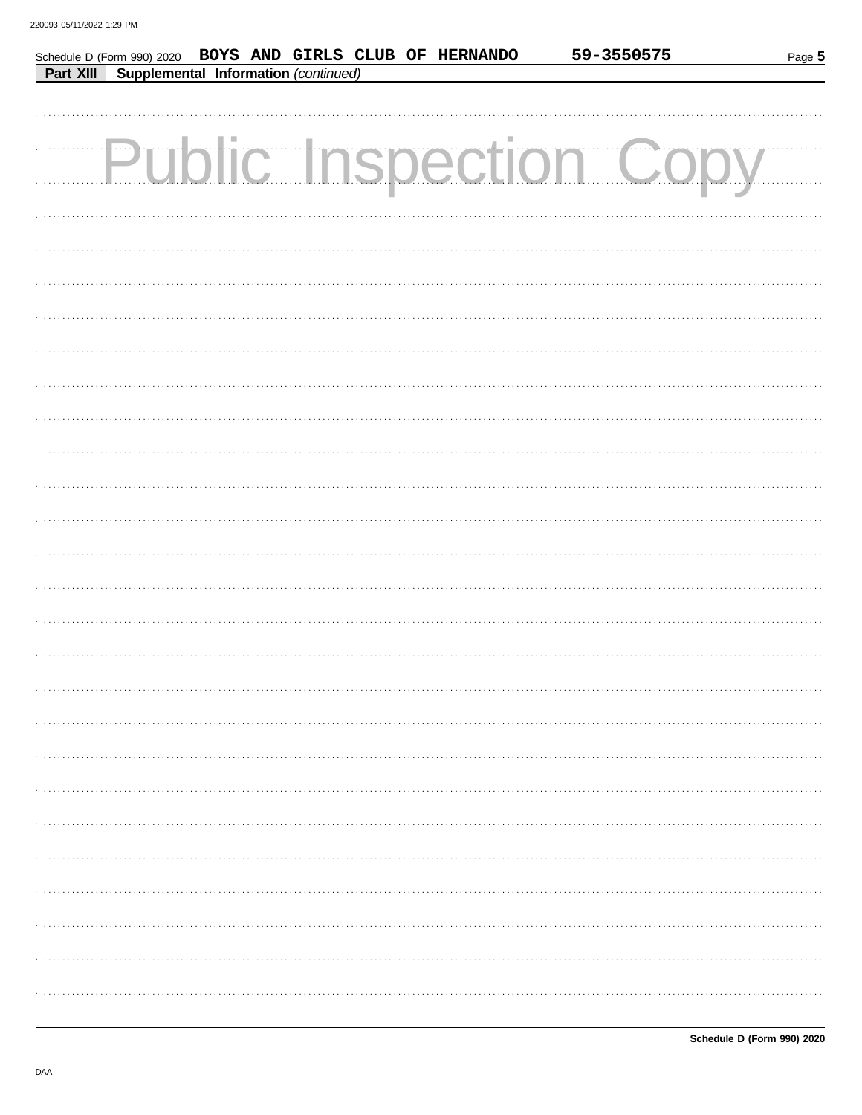| Schedule D (Form 990) 2020 BOYS AND GIRLS CLUB OF HERNANDO |  |  |  | 59-3550575            | Page 5 |
|------------------------------------------------------------|--|--|--|-----------------------|--------|
| <b>Part XIII</b> Supplemental Information (continued)      |  |  |  |                       |        |
|                                                            |  |  |  |                       |        |
|                                                            |  |  |  |                       |        |
|                                                            |  |  |  | Public Inspection Cop |        |
|                                                            |  |  |  |                       |        |
|                                                            |  |  |  |                       |        |
|                                                            |  |  |  |                       |        |
|                                                            |  |  |  |                       |        |
|                                                            |  |  |  |                       |        |
|                                                            |  |  |  |                       |        |
|                                                            |  |  |  |                       |        |
|                                                            |  |  |  |                       |        |
|                                                            |  |  |  |                       |        |
|                                                            |  |  |  |                       |        |
|                                                            |  |  |  |                       |        |
|                                                            |  |  |  |                       |        |
|                                                            |  |  |  |                       |        |
|                                                            |  |  |  |                       |        |
|                                                            |  |  |  |                       |        |
|                                                            |  |  |  |                       |        |
|                                                            |  |  |  |                       |        |
|                                                            |  |  |  |                       |        |
|                                                            |  |  |  |                       |        |
|                                                            |  |  |  |                       |        |
|                                                            |  |  |  |                       |        |
|                                                            |  |  |  |                       |        |
|                                                            |  |  |  |                       |        |
|                                                            |  |  |  |                       |        |
|                                                            |  |  |  |                       |        |
|                                                            |  |  |  |                       |        |
|                                                            |  |  |  |                       |        |
|                                                            |  |  |  |                       |        |
|                                                            |  |  |  |                       |        |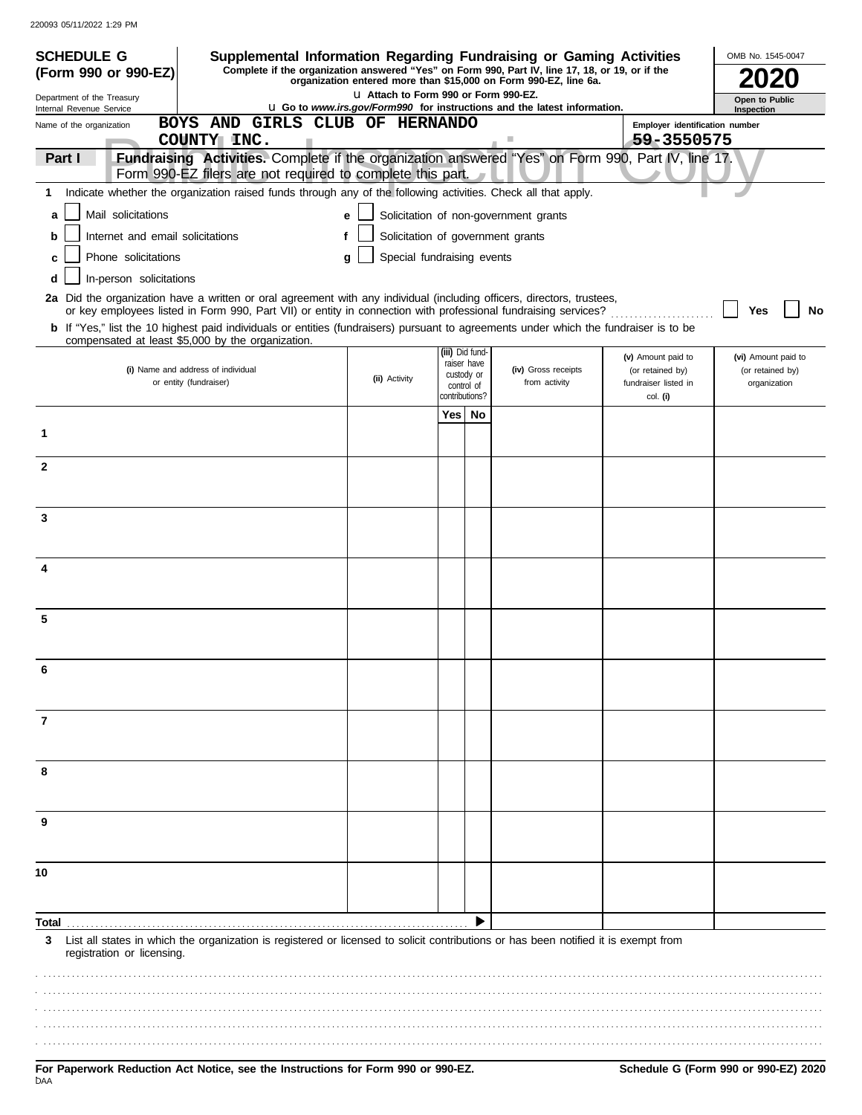| <b>SCHEDULE G</b>                                      | Supplemental Information Regarding Fundraising or Gaming Activities                                                                                                                                                                      |                                        |                                |                                                                                 |                                          | OMB No. 1545-0047                |
|--------------------------------------------------------|------------------------------------------------------------------------------------------------------------------------------------------------------------------------------------------------------------------------------------------|----------------------------------------|--------------------------------|---------------------------------------------------------------------------------|------------------------------------------|----------------------------------|
| (Form 990 or 990-EZ)                                   | Complete if the organization answered "Yes" on Form 990, Part IV, line 17, 18, or 19, or if the                                                                                                                                          |                                        |                                | organization entered more than \$15,000 on Form 990-EZ, line 6a.                |                                          |                                  |
| Department of the Treasury<br>Internal Revenue Service |                                                                                                                                                                                                                                          | LI Attach to Form 990 or Form 990-EZ.  |                                | <b>u</b> Go to www.irs.gov/Form990 for instructions and the latest information. |                                          | Open to Public<br>Inspection     |
| Name of the organization                               | BOYS AND GIRLS CLUB OF HERNANDO                                                                                                                                                                                                          |                                        |                                |                                                                                 | Employer identification number           |                                  |
| Part I                                                 | COUNTY INC.<br>Fundraising Activities. Complete if the organization answered "Yes" on Form 990, Part IV, line 17.                                                                                                                        |                                        |                                | 4                                                                               | 59-3550575                               |                                  |
|                                                        | Form 990-EZ filers are not required to complete this part.                                                                                                                                                                               |                                        |                                |                                                                                 |                                          |                                  |
| 1                                                      | Indicate whether the organization raised funds through any of the following activities. Check all that apply.                                                                                                                            |                                        |                                |                                                                                 |                                          |                                  |
| Mail solicitations<br>a                                |                                                                                                                                                                                                                                          | e                                      |                                | Solicitation of non-government grants                                           |                                          |                                  |
| Internet and email solicitations<br>b                  |                                                                                                                                                                                                                                          | Solicitation of government grants<br>f |                                |                                                                                 |                                          |                                  |
| Phone solicitations<br>C                               |                                                                                                                                                                                                                                          | Special fundraising events<br>q        |                                |                                                                                 |                                          |                                  |
| In-person solicitations<br>d                           |                                                                                                                                                                                                                                          |                                        |                                |                                                                                 |                                          |                                  |
|                                                        | 2a Did the organization have a written or oral agreement with any individual (including officers, directors, trustees,<br>or key employees listed in Form 990, Part VII) or entity in connection with professional fundraising services? |                                        |                                |                                                                                 |                                          | No<br>Yes                        |
|                                                        | <b>b</b> If "Yes," list the 10 highest paid individuals or entities (fundraisers) pursuant to agreements under which the fundraiser is to be<br>compensated at least \$5,000 by the organization.                                        |                                        |                                |                                                                                 |                                          |                                  |
|                                                        |                                                                                                                                                                                                                                          |                                        | (iii) Did fund-<br>raiser have |                                                                                 | (v) Amount paid to                       | (vi) Amount paid to              |
|                                                        | (i) Name and address of individual<br>or entity (fundraiser)                                                                                                                                                                             | (ii) Activity                          | custody or<br>control of       | (iv) Gross receipts<br>from activity                                            | (or retained by)<br>fundraiser listed in | (or retained by)<br>organization |
|                                                        |                                                                                                                                                                                                                                          |                                        | contributions?                 |                                                                                 | col. (i)                                 |                                  |
|                                                        |                                                                                                                                                                                                                                          |                                        | Yes   No                       |                                                                                 |                                          |                                  |
| 1                                                      |                                                                                                                                                                                                                                          |                                        |                                |                                                                                 |                                          |                                  |
| $\mathbf{2}$                                           |                                                                                                                                                                                                                                          |                                        |                                |                                                                                 |                                          |                                  |
|                                                        |                                                                                                                                                                                                                                          |                                        |                                |                                                                                 |                                          |                                  |
| 3                                                      |                                                                                                                                                                                                                                          |                                        |                                |                                                                                 |                                          |                                  |
|                                                        |                                                                                                                                                                                                                                          |                                        |                                |                                                                                 |                                          |                                  |
|                                                        |                                                                                                                                                                                                                                          |                                        |                                |                                                                                 |                                          |                                  |
|                                                        |                                                                                                                                                                                                                                          |                                        |                                |                                                                                 |                                          |                                  |
|                                                        |                                                                                                                                                                                                                                          |                                        |                                |                                                                                 |                                          |                                  |
| 5                                                      |                                                                                                                                                                                                                                          |                                        |                                |                                                                                 |                                          |                                  |
|                                                        |                                                                                                                                                                                                                                          |                                        |                                |                                                                                 |                                          |                                  |
|                                                        |                                                                                                                                                                                                                                          |                                        |                                |                                                                                 |                                          |                                  |
|                                                        |                                                                                                                                                                                                                                          |                                        |                                |                                                                                 |                                          |                                  |
| 7                                                      |                                                                                                                                                                                                                                          |                                        |                                |                                                                                 |                                          |                                  |
|                                                        |                                                                                                                                                                                                                                          |                                        |                                |                                                                                 |                                          |                                  |
|                                                        |                                                                                                                                                                                                                                          |                                        |                                |                                                                                 |                                          |                                  |
| 8                                                      |                                                                                                                                                                                                                                          |                                        |                                |                                                                                 |                                          |                                  |
|                                                        |                                                                                                                                                                                                                                          |                                        |                                |                                                                                 |                                          |                                  |
| 9                                                      |                                                                                                                                                                                                                                          |                                        |                                |                                                                                 |                                          |                                  |
|                                                        |                                                                                                                                                                                                                                          |                                        |                                |                                                                                 |                                          |                                  |
| 10                                                     |                                                                                                                                                                                                                                          |                                        |                                |                                                                                 |                                          |                                  |
|                                                        |                                                                                                                                                                                                                                          |                                        |                                |                                                                                 |                                          |                                  |
|                                                        |                                                                                                                                                                                                                                          |                                        |                                |                                                                                 |                                          |                                  |
| Total<br>3                                             | List all states in which the organization is registered or licensed to solicit contributions or has been notified it is exempt from                                                                                                      |                                        |                                |                                                                                 |                                          |                                  |
| registration or licensing.                             |                                                                                                                                                                                                                                          |                                        |                                |                                                                                 |                                          |                                  |
|                                                        |                                                                                                                                                                                                                                          |                                        |                                |                                                                                 |                                          |                                  |
|                                                        |                                                                                                                                                                                                                                          |                                        |                                |                                                                                 |                                          |                                  |
|                                                        |                                                                                                                                                                                                                                          |                                        |                                |                                                                                 |                                          |                                  |
|                                                        |                                                                                                                                                                                                                                          |                                        |                                |                                                                                 |                                          |                                  |
|                                                        |                                                                                                                                                                                                                                          |                                        |                                |                                                                                 |                                          |                                  |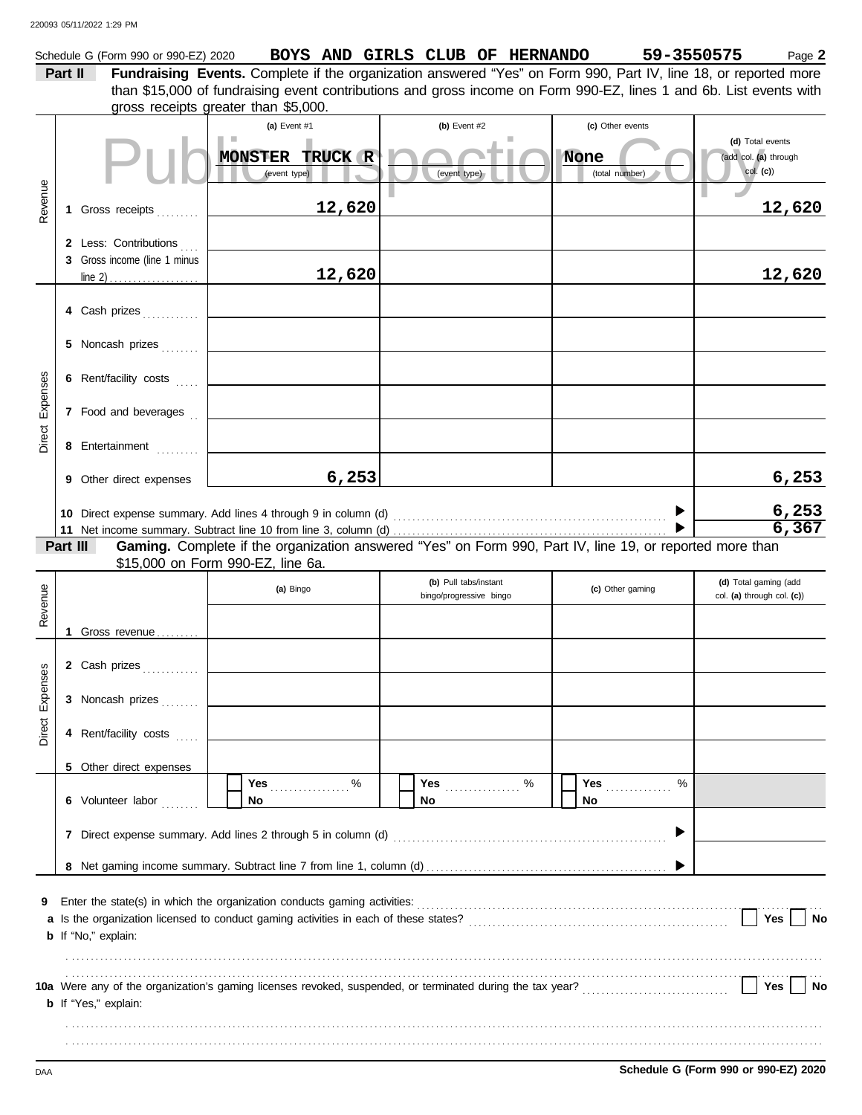|          |                                                                                                                                                                                                                                     | Schedule G (Form 990 or 990-EZ) 2020 | BOYS AND GIRLS CLUB OF HERNANDO                                                                                                               |                |                         |                  | 59-3550575 | Page 2                                    |  |  |  |
|----------|-------------------------------------------------------------------------------------------------------------------------------------------------------------------------------------------------------------------------------------|--------------------------------------|-----------------------------------------------------------------------------------------------------------------------------------------------|----------------|-------------------------|------------------|------------|-------------------------------------------|--|--|--|
|          | Part II                                                                                                                                                                                                                             |                                      | Fundraising Events. Complete if the organization answered "Yes" on Form 990, Part IV, line 18, or reported more                               |                |                         |                  |            |                                           |  |  |  |
|          |                                                                                                                                                                                                                                     |                                      | than \$15,000 of fundraising event contributions and gross income on Form 990-EZ, lines 1 and 6b. List events with                            |                |                         |                  |            |                                           |  |  |  |
|          |                                                                                                                                                                                                                                     |                                      | gross receipts greater than \$5,000.                                                                                                          |                |                         |                  |            |                                           |  |  |  |
|          |                                                                                                                                                                                                                                     |                                      | (a) Event #1                                                                                                                                  | (b) Event $#2$ |                         | (c) Other events |            |                                           |  |  |  |
|          |                                                                                                                                                                                                                                     |                                      | MONSTER TRUCK R                                                                                                                               |                |                         | None             |            | (d) Total events<br>(add col. (a) through |  |  |  |
|          |                                                                                                                                                                                                                                     |                                      | (event type)                                                                                                                                  | (event type)   |                         | (total number)   |            | col. (c)                                  |  |  |  |
|          |                                                                                                                                                                                                                                     |                                      |                                                                                                                                               |                |                         |                  |            |                                           |  |  |  |
| Revenue  | 1.                                                                                                                                                                                                                                  | Gross receipts                       | 12,620                                                                                                                                        |                |                         |                  |            | 12,620                                    |  |  |  |
|          |                                                                                                                                                                                                                                     |                                      |                                                                                                                                               |                |                         |                  |            |                                           |  |  |  |
|          |                                                                                                                                                                                                                                     | 2 Less: Contributions                |                                                                                                                                               |                |                         |                  |            |                                           |  |  |  |
|          |                                                                                                                                                                                                                                     | 3 Gross income (line 1 minus         |                                                                                                                                               |                |                         |                  |            |                                           |  |  |  |
|          |                                                                                                                                                                                                                                     |                                      | 12,620                                                                                                                                        |                |                         |                  |            | 12,620                                    |  |  |  |
|          |                                                                                                                                                                                                                                     |                                      |                                                                                                                                               |                |                         |                  |            |                                           |  |  |  |
|          |                                                                                                                                                                                                                                     | 4 Cash prizes                        |                                                                                                                                               |                |                         |                  |            |                                           |  |  |  |
|          |                                                                                                                                                                                                                                     |                                      |                                                                                                                                               |                |                         |                  |            |                                           |  |  |  |
|          |                                                                                                                                                                                                                                     | 5 Noncash prizes                     |                                                                                                                                               |                |                         |                  |            |                                           |  |  |  |
|          |                                                                                                                                                                                                                                     |                                      |                                                                                                                                               |                |                         |                  |            |                                           |  |  |  |
|          |                                                                                                                                                                                                                                     | 6 Rent/facility costs                |                                                                                                                                               |                |                         |                  |            |                                           |  |  |  |
| Expenses |                                                                                                                                                                                                                                     | 7 Food and beverages                 |                                                                                                                                               |                |                         |                  |            |                                           |  |  |  |
|          |                                                                                                                                                                                                                                     |                                      |                                                                                                                                               |                |                         |                  |            |                                           |  |  |  |
| Direct   |                                                                                                                                                                                                                                     | 8 Entertainment                      |                                                                                                                                               |                |                         |                  |            |                                           |  |  |  |
|          |                                                                                                                                                                                                                                     |                                      |                                                                                                                                               |                |                         |                  |            |                                           |  |  |  |
|          |                                                                                                                                                                                                                                     | 9 Other direct expenses              | 6,253                                                                                                                                         |                |                         |                  |            | 6,253                                     |  |  |  |
|          |                                                                                                                                                                                                                                     |                                      |                                                                                                                                               |                |                         |                  |            |                                           |  |  |  |
|          |                                                                                                                                                                                                                                     |                                      |                                                                                                                                               |                |                         |                  |            | $\frac{6,253}{6,367}$                     |  |  |  |
|          |                                                                                                                                                                                                                                     |                                      |                                                                                                                                               |                |                         |                  |            |                                           |  |  |  |
|          | Part III                                                                                                                                                                                                                            |                                      | Gaming. Complete if the organization answered "Yes" on Form 990, Part IV, line 19, or reported more than<br>\$15,000 on Form 990-EZ, line 6a. |                |                         |                  |            |                                           |  |  |  |
|          |                                                                                                                                                                                                                                     |                                      |                                                                                                                                               |                | (b) Pull tabs/instant   |                  |            | (d) Total gaming (add                     |  |  |  |
|          |                                                                                                                                                                                                                                     |                                      | (a) Bingo                                                                                                                                     |                | bingo/progressive bingo | (c) Other gaming |            | col. (a) through col. (c))                |  |  |  |
| Revenue  |                                                                                                                                                                                                                                     |                                      |                                                                                                                                               |                |                         |                  |            |                                           |  |  |  |
|          |                                                                                                                                                                                                                                     | Gross revenue                        |                                                                                                                                               |                |                         |                  |            |                                           |  |  |  |
|          |                                                                                                                                                                                                                                     |                                      |                                                                                                                                               |                |                         |                  |            |                                           |  |  |  |
| ses      |                                                                                                                                                                                                                                     | 2 Cash prizes                        |                                                                                                                                               |                |                         |                  |            |                                           |  |  |  |
|          |                                                                                                                                                                                                                                     |                                      |                                                                                                                                               |                |                         |                  |            |                                           |  |  |  |
| Expen    |                                                                                                                                                                                                                                     | 3 Noncash prizes                     |                                                                                                                                               |                |                         |                  |            |                                           |  |  |  |
| Direct   |                                                                                                                                                                                                                                     |                                      |                                                                                                                                               |                |                         |                  |            |                                           |  |  |  |
|          |                                                                                                                                                                                                                                     | 4 Rent/facility costs                |                                                                                                                                               |                |                         |                  |            |                                           |  |  |  |
|          |                                                                                                                                                                                                                                     | 5 Other direct expenses              |                                                                                                                                               |                |                         |                  |            |                                           |  |  |  |
|          |                                                                                                                                                                                                                                     |                                      | %<br>Yes                                                                                                                                      |                | %<br><b>Yes</b>         | Yes              | $\%$       |                                           |  |  |  |
|          |                                                                                                                                                                                                                                     | 6 Volunteer labor                    | No                                                                                                                                            | No             |                         | No.              |            |                                           |  |  |  |
|          |                                                                                                                                                                                                                                     |                                      |                                                                                                                                               |                |                         |                  |            |                                           |  |  |  |
|          |                                                                                                                                                                                                                                     |                                      |                                                                                                                                               |                |                         |                  |            |                                           |  |  |  |
|          |                                                                                                                                                                                                                                     |                                      |                                                                                                                                               |                |                         |                  |            |                                           |  |  |  |
|          |                                                                                                                                                                                                                                     |                                      |                                                                                                                                               |                |                         |                  |            |                                           |  |  |  |
|          |                                                                                                                                                                                                                                     |                                      |                                                                                                                                               |                |                         |                  |            |                                           |  |  |  |
| 9        |                                                                                                                                                                                                                                     |                                      |                                                                                                                                               |                |                         |                  |            |                                           |  |  |  |
|          |                                                                                                                                                                                                                                     |                                      |                                                                                                                                               |                |                         |                  |            | Yes<br><b>No</b>                          |  |  |  |
|          |                                                                                                                                                                                                                                     | <b>b</b> If "No," explain:           |                                                                                                                                               |                |                         |                  |            |                                           |  |  |  |
|          |                                                                                                                                                                                                                                     |                                      |                                                                                                                                               |                |                         |                  |            |                                           |  |  |  |
|          | 10a Were any of the organization's gaming licenses revoked, suspended, or terminated during the tax year?<br>10a Were any of the organization's gaming licenses revoked, suspended, or terminated during the tax year?<br>Yes<br>No |                                      |                                                                                                                                               |                |                         |                  |            |                                           |  |  |  |
|          |                                                                                                                                                                                                                                     | <b>b</b> If "Yes," explain:          |                                                                                                                                               |                |                         |                  |            |                                           |  |  |  |
|          |                                                                                                                                                                                                                                     |                                      |                                                                                                                                               |                |                         |                  |            |                                           |  |  |  |
|          |                                                                                                                                                                                                                                     |                                      |                                                                                                                                               |                |                         |                  |            |                                           |  |  |  |
|          |                                                                                                                                                                                                                                     |                                      |                                                                                                                                               |                |                         |                  |            |                                           |  |  |  |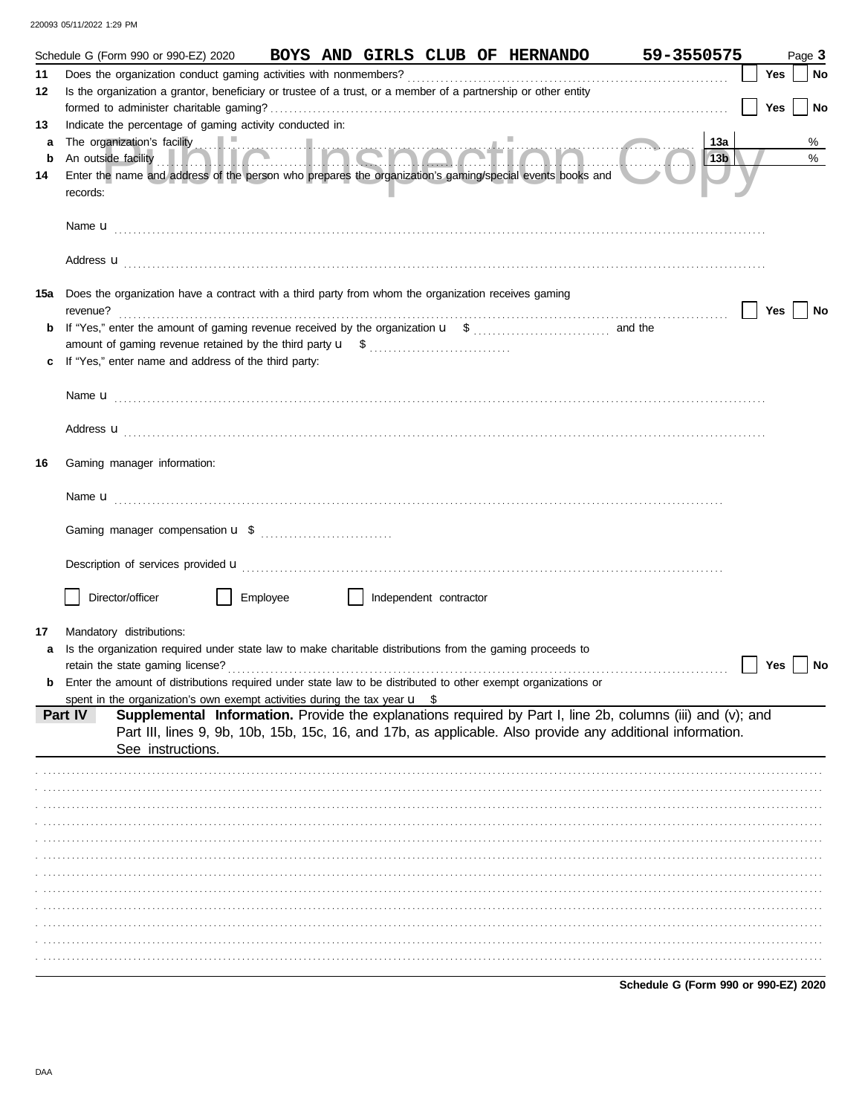| 220093 05/11/2022 1:29 PM |  |  |
|---------------------------|--|--|
|                           |  |  |

|        |          | Schedule G (Form 990 or 990-EZ) 2020                                                                       |          |  |                        | BOYS AND GIRLS CLUB OF HERNANDO                                                                                | 59-3550575                                                                                                                                                                                                                           |                        |     | Page 3    |
|--------|----------|------------------------------------------------------------------------------------------------------------|----------|--|------------------------|----------------------------------------------------------------------------------------------------------------|--------------------------------------------------------------------------------------------------------------------------------------------------------------------------------------------------------------------------------------|------------------------|-----|-----------|
| 11     |          |                                                                                                            |          |  |                        |                                                                                                                |                                                                                                                                                                                                                                      |                        | Yes | No        |
| 12     |          |                                                                                                            |          |  |                        | Is the organization a grantor, beneficiary or trustee of a trust, or a member of a partnership or other entity |                                                                                                                                                                                                                                      |                        | Yes | <b>No</b> |
| 13     |          | Indicate the percentage of gaming activity conducted in:                                                   |          |  |                        |                                                                                                                |                                                                                                                                                                                                                                      |                        |     |           |
| a<br>b |          |                                                                                                            |          |  |                        |                                                                                                                | The organization's facility <b>and the contract of the contract of the contract of the contract of the contract of the contract of the contract of the contract of the contract of the contract of the contract of the contract </b> | 13a<br>13 <sub>b</sub> |     | %<br>%    |
| 14     | records: |                                                                                                            |          |  |                        | Enter the name and address of the person who prepares the organization's gaming/special events books and       |                                                                                                                                                                                                                                      |                        |     |           |
|        |          |                                                                                                            |          |  |                        |                                                                                                                |                                                                                                                                                                                                                                      |                        |     |           |
|        |          |                                                                                                            |          |  |                        |                                                                                                                | Address <b>u</b>                                                                                                                                                                                                                     |                        |     |           |
| 15a    | revenue? | Does the organization have a contract with a third party from whom the organization receives gaming        |          |  |                        |                                                                                                                |                                                                                                                                                                                                                                      |                        | Yes | No        |
| b      |          |                                                                                                            |          |  |                        |                                                                                                                |                                                                                                                                                                                                                                      |                        |     |           |
|        |          |                                                                                                            |          |  |                        |                                                                                                                |                                                                                                                                                                                                                                      |                        |     |           |
|        |          | If "Yes," enter name and address of the third party:                                                       |          |  |                        |                                                                                                                |                                                                                                                                                                                                                                      |                        |     |           |
|        |          |                                                                                                            |          |  |                        |                                                                                                                |                                                                                                                                                                                                                                      |                        |     |           |
|        |          |                                                                                                            |          |  |                        |                                                                                                                | Address <b>u</b>                                                                                                                                                                                                                     |                        |     |           |
| 16     |          | Gaming manager information:                                                                                |          |  |                        |                                                                                                                |                                                                                                                                                                                                                                      |                        |     |           |
|        |          |                                                                                                            |          |  |                        |                                                                                                                |                                                                                                                                                                                                                                      |                        |     |           |
|        |          |                                                                                                            |          |  |                        |                                                                                                                |                                                                                                                                                                                                                                      |                        |     |           |
|        |          |                                                                                                            |          |  |                        |                                                                                                                |                                                                                                                                                                                                                                      |                        |     |           |
|        |          | Director/officer                                                                                           | Employee |  | Independent contractor |                                                                                                                |                                                                                                                                                                                                                                      |                        |     |           |
| 17     |          | Mandatory distributions:                                                                                   |          |  |                        |                                                                                                                |                                                                                                                                                                                                                                      |                        |     |           |
| a      |          |                                                                                                            |          |  |                        | Is the organization required under state law to make charitable distributions from the gaming proceeds to      |                                                                                                                                                                                                                                      |                        |     |           |
|        |          |                                                                                                            |          |  |                        |                                                                                                                |                                                                                                                                                                                                                                      |                        | Yes | No        |
| b      |          |                                                                                                            |          |  |                        | Enter the amount of distributions required under state law to be distributed to other exempt organizations or  |                                                                                                                                                                                                                                      |                        |     |           |
|        | Part IV  | spent in the organization's own exempt activities during the tax year $\mathbf{u}$ \$<br>See instructions. |          |  |                        |                                                                                                                | Supplemental Information. Provide the explanations required by Part I, line 2b, columns (iii) and (v); and<br>Part III, lines 9, 9b, 10b, 15b, 15c, 16, and 17b, as applicable. Also provide any additional information.             |                        |     |           |
|        |          |                                                                                                            |          |  |                        |                                                                                                                |                                                                                                                                                                                                                                      |                        |     |           |
|        |          |                                                                                                            |          |  |                        |                                                                                                                |                                                                                                                                                                                                                                      |                        |     |           |
|        |          |                                                                                                            |          |  |                        |                                                                                                                |                                                                                                                                                                                                                                      |                        |     |           |
|        |          |                                                                                                            |          |  |                        |                                                                                                                |                                                                                                                                                                                                                                      |                        |     |           |
|        |          |                                                                                                            |          |  |                        |                                                                                                                |                                                                                                                                                                                                                                      |                        |     |           |
|        |          |                                                                                                            |          |  |                        |                                                                                                                |                                                                                                                                                                                                                                      |                        |     |           |
|        |          |                                                                                                            |          |  |                        |                                                                                                                |                                                                                                                                                                                                                                      |                        |     |           |
|        |          |                                                                                                            |          |  |                        |                                                                                                                |                                                                                                                                                                                                                                      |                        |     |           |
|        |          |                                                                                                            |          |  |                        |                                                                                                                |                                                                                                                                                                                                                                      |                        |     |           |
|        |          |                                                                                                            |          |  |                        |                                                                                                                |                                                                                                                                                                                                                                      |                        |     |           |
|        |          |                                                                                                            |          |  |                        |                                                                                                                |                                                                                                                                                                                                                                      |                        |     |           |
|        |          |                                                                                                            |          |  |                        |                                                                                                                |                                                                                                                                                                                                                                      |                        |     |           |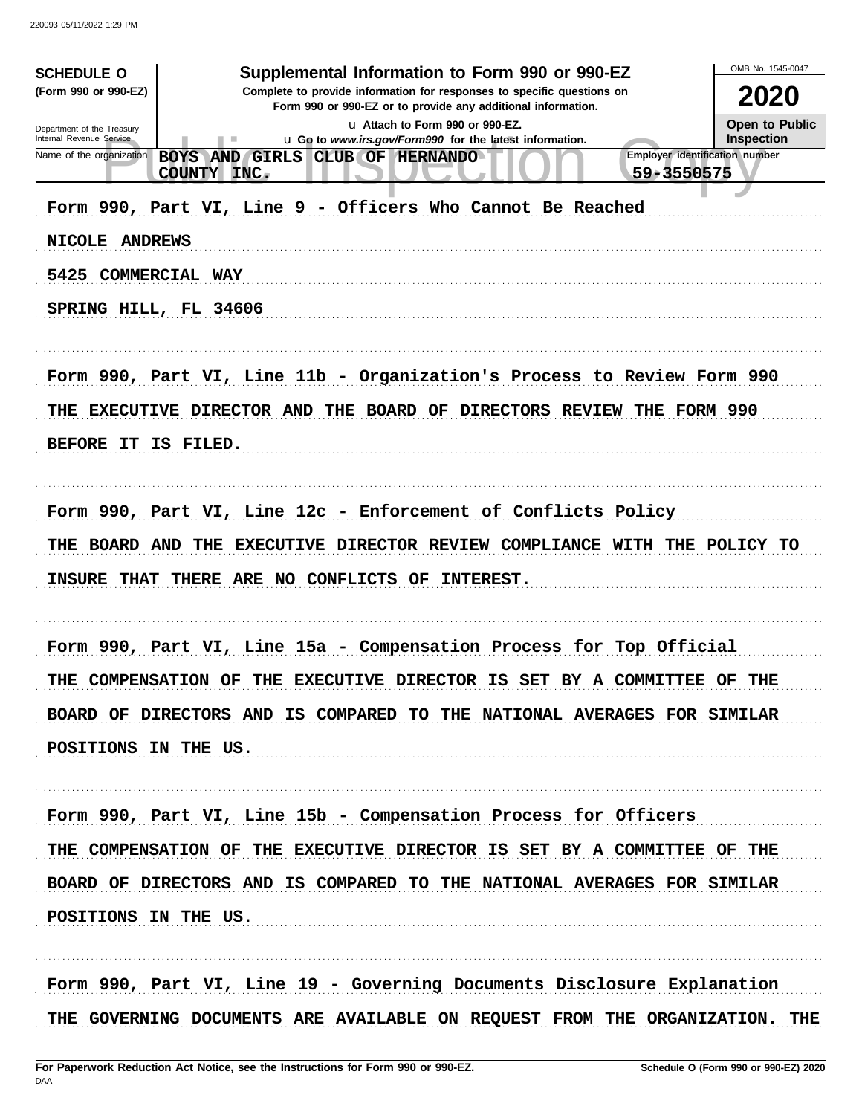| (Form 990 or 990-EZ)<br>Complete to provide information for responses to specific questions on<br>2020<br>Form 990 or 990-EZ or to provide any additional information.<br>Open to Public<br>La Attach to Form 990 or 990-EZ.<br>Department of the Treasury<br><b>Inspection</b><br>Internal Revenue Service<br>u Go to www.irs.gov/Form990 for the latest information.<br>Employer identification number<br>Name of the organization<br>BOYS AND GIRLS<br>CLUB OF HERNANDO<br>59-3550575<br>COUNTY INC.<br>Form 990, Part VI, Line 9 - Officers Who Cannot Be Reached<br>NICOLE ANDREWS<br>5425 COMMERCIAL WAY<br>SPRING HILL, FL 34606<br>Form 990, Part VI, Line 11b - Organization's Process to Review Form 990<br>THE EXECUTIVE DIRECTOR AND THE BOARD OF DIRECTORS REVIEW THE FORM 990<br>BEFORE IT IS FILED.<br>Form 990, Part VI, Line 12c - Enforcement of Conflicts Policy<br>EXECUTIVE DIRECTOR REVIEW COMPLIANCE WITH THE POLICY TO<br>THE BOARD AND<br>THE<br><b>INSURE THAT</b><br>THERE ARE NO CONFLICTS OF<br><b>INTEREST.</b><br>Form 990, Part VI, Line 15a - Compensation Process for Top Official<br>THE COMPENSATION OF<br>THE EXECUTIVE DIRECTOR IS SET<br>BY A COMMITTEE OF<br>THE<br>BOARD OF DIRECTORS AND IS COMPARED TO THE NATIONAL AVERAGES FOR SIMILAR<br>POSITIONS IN THE US.<br>Form 990, Part VI, Line 15b - Compensation Process for Officers<br>THE COMPENSATION OF THE EXECUTIVE DIRECTOR IS SET BY A COMMITTEE OF THE<br>BOARD OF DIRECTORS AND IS COMPARED TO THE NATIONAL AVERAGES FOR SIMILAR<br>POSITIONS IN THE US.<br>Form 990, Part VI, Line 19 - Governing Documents Disclosure Explanation | <b>SCHEDULE O</b> | Supplemental Information to Form 990 or 990-EZ | OMB No. 1545-0047 |
|-----------------------------------------------------------------------------------------------------------------------------------------------------------------------------------------------------------------------------------------------------------------------------------------------------------------------------------------------------------------------------------------------------------------------------------------------------------------------------------------------------------------------------------------------------------------------------------------------------------------------------------------------------------------------------------------------------------------------------------------------------------------------------------------------------------------------------------------------------------------------------------------------------------------------------------------------------------------------------------------------------------------------------------------------------------------------------------------------------------------------------------------------------------------------------------------------------------------------------------------------------------------------------------------------------------------------------------------------------------------------------------------------------------------------------------------------------------------------------------------------------------------------------------------------------------------------------------------------------------------------------------------|-------------------|------------------------------------------------|-------------------|
|                                                                                                                                                                                                                                                                                                                                                                                                                                                                                                                                                                                                                                                                                                                                                                                                                                                                                                                                                                                                                                                                                                                                                                                                                                                                                                                                                                                                                                                                                                                                                                                                                                         |                   |                                                |                   |
|                                                                                                                                                                                                                                                                                                                                                                                                                                                                                                                                                                                                                                                                                                                                                                                                                                                                                                                                                                                                                                                                                                                                                                                                                                                                                                                                                                                                                                                                                                                                                                                                                                         |                   |                                                |                   |
|                                                                                                                                                                                                                                                                                                                                                                                                                                                                                                                                                                                                                                                                                                                                                                                                                                                                                                                                                                                                                                                                                                                                                                                                                                                                                                                                                                                                                                                                                                                                                                                                                                         |                   |                                                |                   |
|                                                                                                                                                                                                                                                                                                                                                                                                                                                                                                                                                                                                                                                                                                                                                                                                                                                                                                                                                                                                                                                                                                                                                                                                                                                                                                                                                                                                                                                                                                                                                                                                                                         |                   |                                                |                   |
|                                                                                                                                                                                                                                                                                                                                                                                                                                                                                                                                                                                                                                                                                                                                                                                                                                                                                                                                                                                                                                                                                                                                                                                                                                                                                                                                                                                                                                                                                                                                                                                                                                         |                   |                                                |                   |
|                                                                                                                                                                                                                                                                                                                                                                                                                                                                                                                                                                                                                                                                                                                                                                                                                                                                                                                                                                                                                                                                                                                                                                                                                                                                                                                                                                                                                                                                                                                                                                                                                                         |                   |                                                |                   |
|                                                                                                                                                                                                                                                                                                                                                                                                                                                                                                                                                                                                                                                                                                                                                                                                                                                                                                                                                                                                                                                                                                                                                                                                                                                                                                                                                                                                                                                                                                                                                                                                                                         |                   |                                                |                   |
|                                                                                                                                                                                                                                                                                                                                                                                                                                                                                                                                                                                                                                                                                                                                                                                                                                                                                                                                                                                                                                                                                                                                                                                                                                                                                                                                                                                                                                                                                                                                                                                                                                         |                   |                                                |                   |
|                                                                                                                                                                                                                                                                                                                                                                                                                                                                                                                                                                                                                                                                                                                                                                                                                                                                                                                                                                                                                                                                                                                                                                                                                                                                                                                                                                                                                                                                                                                                                                                                                                         |                   |                                                |                   |
|                                                                                                                                                                                                                                                                                                                                                                                                                                                                                                                                                                                                                                                                                                                                                                                                                                                                                                                                                                                                                                                                                                                                                                                                                                                                                                                                                                                                                                                                                                                                                                                                                                         |                   |                                                |                   |
|                                                                                                                                                                                                                                                                                                                                                                                                                                                                                                                                                                                                                                                                                                                                                                                                                                                                                                                                                                                                                                                                                                                                                                                                                                                                                                                                                                                                                                                                                                                                                                                                                                         |                   |                                                |                   |
|                                                                                                                                                                                                                                                                                                                                                                                                                                                                                                                                                                                                                                                                                                                                                                                                                                                                                                                                                                                                                                                                                                                                                                                                                                                                                                                                                                                                                                                                                                                                                                                                                                         |                   |                                                |                   |
|                                                                                                                                                                                                                                                                                                                                                                                                                                                                                                                                                                                                                                                                                                                                                                                                                                                                                                                                                                                                                                                                                                                                                                                                                                                                                                                                                                                                                                                                                                                                                                                                                                         |                   |                                                |                   |
|                                                                                                                                                                                                                                                                                                                                                                                                                                                                                                                                                                                                                                                                                                                                                                                                                                                                                                                                                                                                                                                                                                                                                                                                                                                                                                                                                                                                                                                                                                                                                                                                                                         |                   |                                                |                   |
|                                                                                                                                                                                                                                                                                                                                                                                                                                                                                                                                                                                                                                                                                                                                                                                                                                                                                                                                                                                                                                                                                                                                                                                                                                                                                                                                                                                                                                                                                                                                                                                                                                         |                   |                                                |                   |
|                                                                                                                                                                                                                                                                                                                                                                                                                                                                                                                                                                                                                                                                                                                                                                                                                                                                                                                                                                                                                                                                                                                                                                                                                                                                                                                                                                                                                                                                                                                                                                                                                                         |                   |                                                |                   |
|                                                                                                                                                                                                                                                                                                                                                                                                                                                                                                                                                                                                                                                                                                                                                                                                                                                                                                                                                                                                                                                                                                                                                                                                                                                                                                                                                                                                                                                                                                                                                                                                                                         |                   |                                                |                   |
|                                                                                                                                                                                                                                                                                                                                                                                                                                                                                                                                                                                                                                                                                                                                                                                                                                                                                                                                                                                                                                                                                                                                                                                                                                                                                                                                                                                                                                                                                                                                                                                                                                         |                   |                                                |                   |
|                                                                                                                                                                                                                                                                                                                                                                                                                                                                                                                                                                                                                                                                                                                                                                                                                                                                                                                                                                                                                                                                                                                                                                                                                                                                                                                                                                                                                                                                                                                                                                                                                                         |                   |                                                |                   |
|                                                                                                                                                                                                                                                                                                                                                                                                                                                                                                                                                                                                                                                                                                                                                                                                                                                                                                                                                                                                                                                                                                                                                                                                                                                                                                                                                                                                                                                                                                                                                                                                                                         |                   |                                                |                   |
|                                                                                                                                                                                                                                                                                                                                                                                                                                                                                                                                                                                                                                                                                                                                                                                                                                                                                                                                                                                                                                                                                                                                                                                                                                                                                                                                                                                                                                                                                                                                                                                                                                         |                   |                                                |                   |
|                                                                                                                                                                                                                                                                                                                                                                                                                                                                                                                                                                                                                                                                                                                                                                                                                                                                                                                                                                                                                                                                                                                                                                                                                                                                                                                                                                                                                                                                                                                                                                                                                                         |                   |                                                |                   |
|                                                                                                                                                                                                                                                                                                                                                                                                                                                                                                                                                                                                                                                                                                                                                                                                                                                                                                                                                                                                                                                                                                                                                                                                                                                                                                                                                                                                                                                                                                                                                                                                                                         |                   |                                                |                   |
|                                                                                                                                                                                                                                                                                                                                                                                                                                                                                                                                                                                                                                                                                                                                                                                                                                                                                                                                                                                                                                                                                                                                                                                                                                                                                                                                                                                                                                                                                                                                                                                                                                         |                   |                                                |                   |
|                                                                                                                                                                                                                                                                                                                                                                                                                                                                                                                                                                                                                                                                                                                                                                                                                                                                                                                                                                                                                                                                                                                                                                                                                                                                                                                                                                                                                                                                                                                                                                                                                                         |                   |                                                |                   |
|                                                                                                                                                                                                                                                                                                                                                                                                                                                                                                                                                                                                                                                                                                                                                                                                                                                                                                                                                                                                                                                                                                                                                                                                                                                                                                                                                                                                                                                                                                                                                                                                                                         |                   |                                                |                   |
|                                                                                                                                                                                                                                                                                                                                                                                                                                                                                                                                                                                                                                                                                                                                                                                                                                                                                                                                                                                                                                                                                                                                                                                                                                                                                                                                                                                                                                                                                                                                                                                                                                         |                   |                                                |                   |
|                                                                                                                                                                                                                                                                                                                                                                                                                                                                                                                                                                                                                                                                                                                                                                                                                                                                                                                                                                                                                                                                                                                                                                                                                                                                                                                                                                                                                                                                                                                                                                                                                                         |                   |                                                |                   |
|                                                                                                                                                                                                                                                                                                                                                                                                                                                                                                                                                                                                                                                                                                                                                                                                                                                                                                                                                                                                                                                                                                                                                                                                                                                                                                                                                                                                                                                                                                                                                                                                                                         |                   |                                                |                   |
|                                                                                                                                                                                                                                                                                                                                                                                                                                                                                                                                                                                                                                                                                                                                                                                                                                                                                                                                                                                                                                                                                                                                                                                                                                                                                                                                                                                                                                                                                                                                                                                                                                         |                   |                                                |                   |
|                                                                                                                                                                                                                                                                                                                                                                                                                                                                                                                                                                                                                                                                                                                                                                                                                                                                                                                                                                                                                                                                                                                                                                                                                                                                                                                                                                                                                                                                                                                                                                                                                                         |                   |                                                |                   |
|                                                                                                                                                                                                                                                                                                                                                                                                                                                                                                                                                                                                                                                                                                                                                                                                                                                                                                                                                                                                                                                                                                                                                                                                                                                                                                                                                                                                                                                                                                                                                                                                                                         |                   |                                                |                   |
| THE GOVERNING DOCUMENTS ARE AVAILABLE ON REQUEST FROM THE ORGANIZATION. THE                                                                                                                                                                                                                                                                                                                                                                                                                                                                                                                                                                                                                                                                                                                                                                                                                                                                                                                                                                                                                                                                                                                                                                                                                                                                                                                                                                                                                                                                                                                                                             |                   |                                                |                   |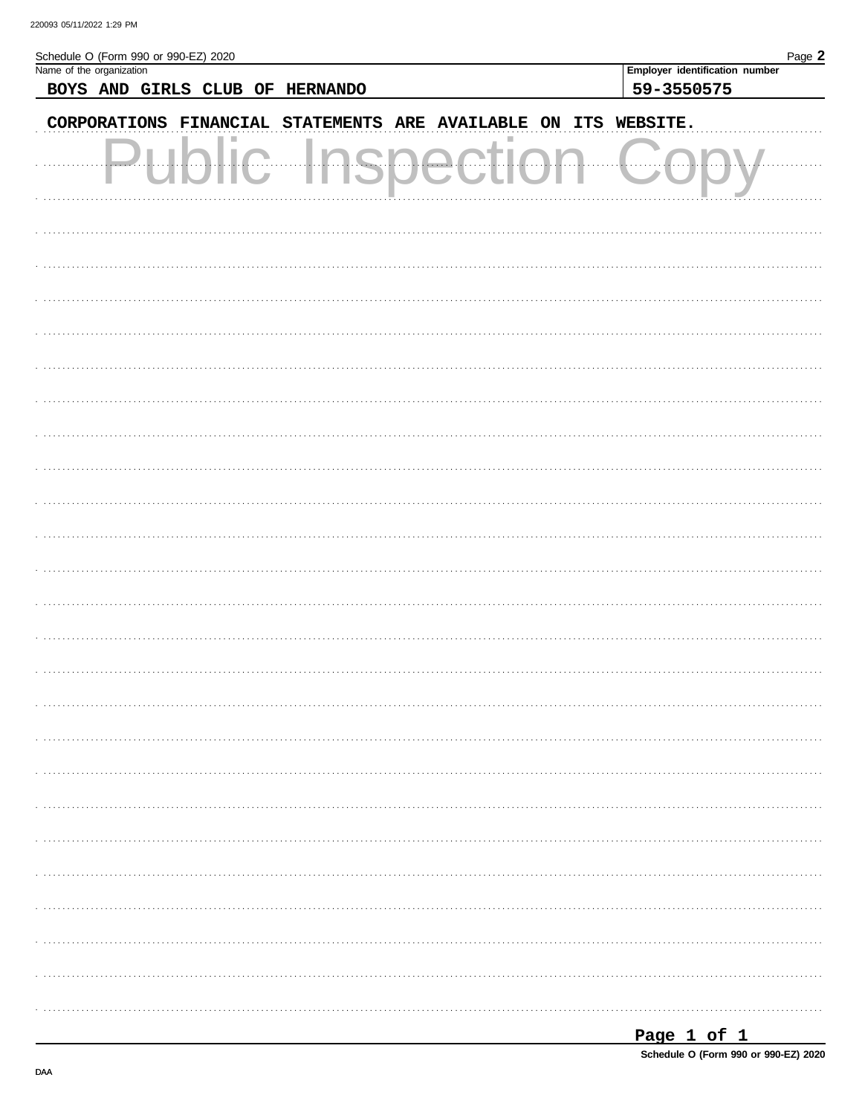| $\tilde{\phantom{a}}$ |  |
|-----------------------|--|

| CORPORATIONS FINANCIAL STATEMENTS ARE AVAILABLE ON ITS WEBSITE.<br>ш<br><br>$\mathcal{L}_{\mathcal{F}}$ | Schedule O (Form 990 or 990-EZ) 2020<br>Name of the organization<br>BOYS AND GIRLS CLUB OF HERNANDO | Page 2<br>Employer identification number<br>59-3550575 |
|---------------------------------------------------------------------------------------------------------|-----------------------------------------------------------------------------------------------------|--------------------------------------------------------|
|                                                                                                         |                                                                                                     |                                                        |
|                                                                                                         |                                                                                                     |                                                        |
|                                                                                                         |                                                                                                     |                                                        |
|                                                                                                         |                                                                                                     |                                                        |
|                                                                                                         |                                                                                                     |                                                        |
|                                                                                                         |                                                                                                     |                                                        |
|                                                                                                         |                                                                                                     |                                                        |
|                                                                                                         |                                                                                                     |                                                        |
|                                                                                                         |                                                                                                     |                                                        |
|                                                                                                         |                                                                                                     |                                                        |
|                                                                                                         |                                                                                                     |                                                        |
|                                                                                                         |                                                                                                     |                                                        |
|                                                                                                         |                                                                                                     |                                                        |
|                                                                                                         |                                                                                                     |                                                        |
|                                                                                                         |                                                                                                     |                                                        |
|                                                                                                         |                                                                                                     |                                                        |
|                                                                                                         |                                                                                                     |                                                        |
|                                                                                                         |                                                                                                     |                                                        |
|                                                                                                         |                                                                                                     |                                                        |
|                                                                                                         |                                                                                                     |                                                        |
|                                                                                                         |                                                                                                     |                                                        |
|                                                                                                         |                                                                                                     |                                                        |
|                                                                                                         |                                                                                                     |                                                        |
|                                                                                                         |                                                                                                     |                                                        |
|                                                                                                         |                                                                                                     |                                                        |
|                                                                                                         |                                                                                                     |                                                        |
|                                                                                                         |                                                                                                     |                                                        |
|                                                                                                         |                                                                                                     |                                                        |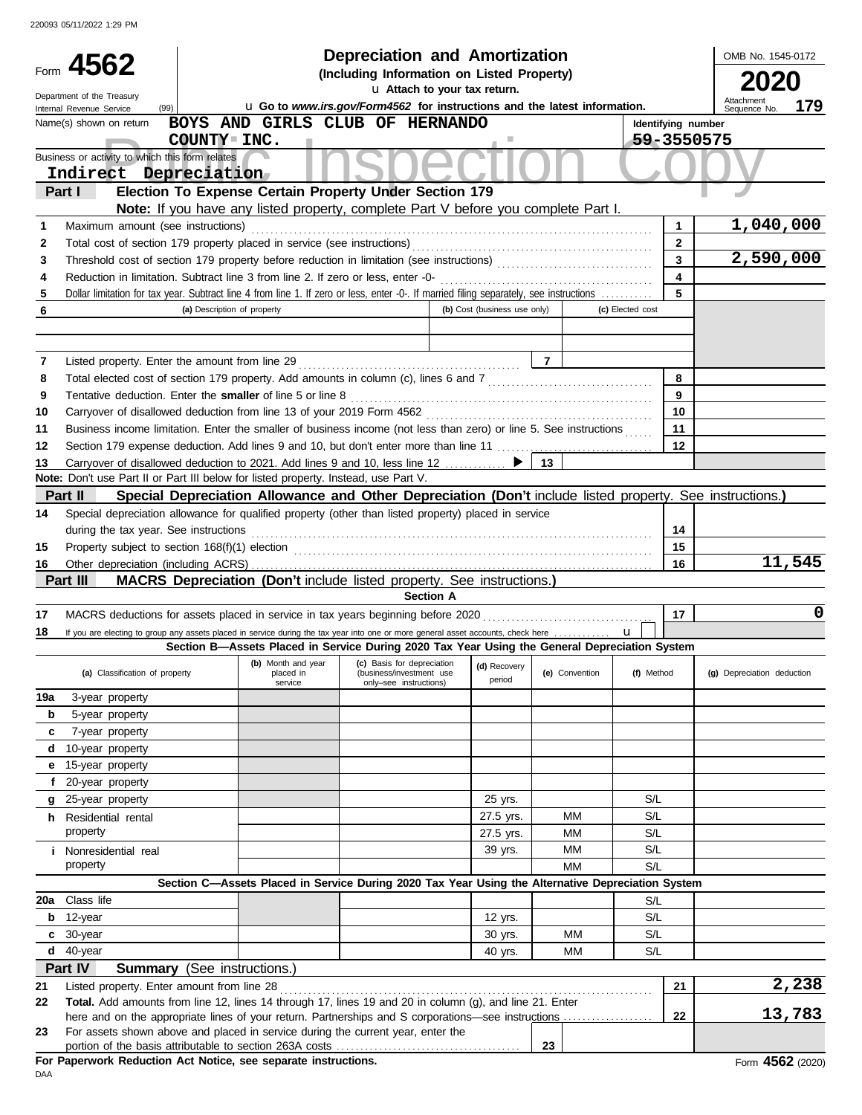|                                                         |                                                                                     |                                    |                      | Depreciation and Amortization                                                                                                                                |                              |                |                    | OMB No. 1545-0172          |
|---------------------------------------------------------|-------------------------------------------------------------------------------------|------------------------------------|----------------------|--------------------------------------------------------------------------------------------------------------------------------------------------------------|------------------------------|----------------|--------------------|----------------------------|
| Form 4562<br>(Including Information on Listed Property) |                                                                                     |                                    |                      |                                                                                                                                                              |                              |                |                    | 2020                       |
|                                                         | Department of the Treasury                                                          |                                    |                      |                                                                                                                                                              | Attachment                   |                |                    |                            |
|                                                         | (99)<br>Internal Revenue Service                                                    |                                    |                      | u Go to www.irs.gov/Form4562 for instructions and the latest information.                                                                                    |                              |                |                    | 179<br>Sequence No.        |
|                                                         | Name(s) shown on return                                                             |                                    |                      | BOYS AND GIRLS CLUB OF HERNANDO                                                                                                                              |                              |                | Identifying number |                            |
|                                                         |                                                                                     | COUNTY INC.                        |                      |                                                                                                                                                              |                              |                | 59-3550575         |                            |
|                                                         | Business or activity to which this form relates<br>Indirect Depreciation            |                                    |                      |                                                                                                                                                              |                              |                |                    |                            |
|                                                         | Part I                                                                              |                                    |                      | Election To Expense Certain Property Under Section 179                                                                                                       |                              |                |                    |                            |
|                                                         |                                                                                     |                                    |                      | Note: If you have any listed property, complete Part V before you complete Part I.                                                                           |                              |                |                    |                            |
| 1                                                       | Maximum amount (see instructions)                                                   |                                    |                      |                                                                                                                                                              |                              |                | 1                  | 1,040,000                  |
| 2                                                       | Total cost of section 179 property placed in service (see instructions)             |                                    |                      |                                                                                                                                                              |                              |                | $\mathbf{2}$       |                            |
| 3                                                       |                                                                                     |                                    |                      |                                                                                                                                                              |                              |                | $\mathbf{3}$       | 2,590,000                  |
| 4                                                       | Reduction in limitation. Subtract line 3 from line 2. If zero or less, enter -0-    |                                    |                      |                                                                                                                                                              |                              |                | 4                  |                            |
| 5                                                       |                                                                                     |                                    |                      | Dollar limitation for tax year. Subtract line 4 from line 1. If zero or less, enter -0-. If married filing separately, see instructions                      |                              |                | 5                  |                            |
| 6                                                       |                                                                                     | (a) Description of property        |                      |                                                                                                                                                              | (b) Cost (business use only) |                | (c) Elected cost   |                            |
|                                                         |                                                                                     |                                    |                      |                                                                                                                                                              |                              |                |                    |                            |
|                                                         |                                                                                     |                                    |                      |                                                                                                                                                              |                              |                |                    |                            |
| 7                                                       | Listed property. Enter the amount from line 29                                      |                                    |                      |                                                                                                                                                              |                              | $\overline{7}$ |                    |                            |
| 8                                                       |                                                                                     |                                    |                      |                                                                                                                                                              |                              |                | 8                  |                            |
| 9                                                       | Tentative deduction. Enter the smaller of line 5 or line 8                          |                                    |                      |                                                                                                                                                              |                              |                | 9                  |                            |
| 10                                                      |                                                                                     |                                    |                      |                                                                                                                                                              |                              |                | 10                 |                            |
| 11                                                      |                                                                                     |                                    |                      | Business income limitation. Enter the smaller of business income (not less than zero) or line 5. See instructions                                            |                              |                | 11                 |                            |
| 12                                                      |                                                                                     |                                    |                      | Section 179 expense deduction. Add lines 9 and 10, but don't enter more than line 11                                                                         |                              |                | 12                 |                            |
| 13                                                      | Note: Don't use Part II or Part III below for listed property. Instead, use Part V. |                                    |                      | Carryover of disallowed deduction to 2021. Add lines 9 and 10, less line 12  ▶                                                                               |                              | 13             |                    |                            |
|                                                         | Part II                                                                             |                                    |                      | Special Depreciation Allowance and Other Depreciation (Don't include listed property. See instructions.)                                                     |                              |                |                    |                            |
|                                                         |                                                                                     |                                    |                      | Special depreciation allowance for qualified property (other than listed property) placed in service                                                         |                              |                |                    |                            |
| 14                                                      |                                                                                     |                                    |                      |                                                                                                                                                              |                              |                |                    |                            |
|                                                         | during the tax year. See instructions                                               |                                    |                      |                                                                                                                                                              |                              |                | 14                 |                            |
| 15                                                      |                                                                                     |                                    |                      | Property subject to section 168(f)(1) election <i>contained a contained a contained a contained a contained a contained a</i>                                |                              |                | 15                 | 11,545                     |
| 16                                                      | Part III                                                                            |                                    |                      | <b>MACRS Depreciation (Don't include listed property. See instructions.)</b>                                                                                 |                              |                | 16                 |                            |
|                                                         |                                                                                     |                                    |                      | <b>Section A</b>                                                                                                                                             |                              |                |                    |                            |
| 17                                                      |                                                                                     |                                    |                      | MACRS deductions for assets placed in service in tax years beginning before 2020                                                                             |                              |                | 17                 | 0                          |
| 18                                                      |                                                                                     |                                    |                      | If you are electing to group any assets placed in service during the tax year into one or more general asset accounts, check here                            |                              |                | $\mathbf{u}$       |                            |
|                                                         |                                                                                     |                                    |                      | Section B—Assets Placed in Service During 2020 Tax Year Using the General Depreciation System                                                                |                              |                |                    |                            |
|                                                         |                                                                                     |                                    |                      | (b) Month and year $\begin{vmatrix} \text{c} \\ \text{d} \end{vmatrix}$ Basis for depreciation $\begin{vmatrix} \text{d} \\ \text{e} \end{vmatrix}$ Recovery |                              |                |                    |                            |
|                                                         | (a) Classification of property                                                      |                                    | placed in<br>service | (business/investment use<br>only-see instructions)                                                                                                           | period                       | (e) Convention | (f) Method         | (g) Depreciation deduction |
| 19a                                                     | 3-year property                                                                     |                                    |                      |                                                                                                                                                              |                              |                |                    |                            |
| b                                                       | 5-year property                                                                     |                                    |                      |                                                                                                                                                              |                              |                |                    |                            |
| c                                                       | 7-year property                                                                     |                                    |                      |                                                                                                                                                              |                              |                |                    |                            |
| d                                                       | 10-year property                                                                    |                                    |                      |                                                                                                                                                              |                              |                |                    |                            |
| е                                                       | 15-year property                                                                    |                                    |                      |                                                                                                                                                              |                              |                |                    |                            |
| f.                                                      | 20-year property                                                                    |                                    |                      |                                                                                                                                                              |                              |                |                    |                            |
| g                                                       | 25-year property                                                                    |                                    |                      |                                                                                                                                                              | 25 yrs.                      |                | S/L                |                            |
|                                                         | <b>h</b> Residential rental                                                         |                                    |                      |                                                                                                                                                              | 27.5 yrs.                    | МM             | S/L                |                            |
|                                                         | property                                                                            |                                    |                      |                                                                                                                                                              | 27.5 yrs.                    | МM             | S/L                |                            |
|                                                         | <i>i</i> Nonresidential real                                                        |                                    |                      |                                                                                                                                                              | 39 yrs.                      | МM             | S/L                |                            |
|                                                         | property                                                                            |                                    |                      |                                                                                                                                                              |                              | MМ             | S/L                |                            |
|                                                         |                                                                                     |                                    |                      | Section C-Assets Placed in Service During 2020 Tax Year Using the Alternative Depreciation System                                                            |                              |                |                    |                            |
|                                                         | 20a Class life                                                                      |                                    |                      |                                                                                                                                                              |                              |                | S/L                |                            |
| b                                                       | 12-year                                                                             |                                    |                      |                                                                                                                                                              | 12 yrs.                      |                | S/L                |                            |
| c                                                       | 30-year                                                                             |                                    |                      |                                                                                                                                                              | 30 yrs.                      | MМ             | S/L                |                            |
| d                                                       | 40-year                                                                             |                                    |                      |                                                                                                                                                              | 40 yrs.                      | MМ             | S/L                |                            |
|                                                         | Part IV                                                                             | <b>Summary</b> (See instructions.) |                      |                                                                                                                                                              |                              |                |                    |                            |
| 21                                                      | Listed property. Enter amount from line 28                                          |                                    |                      |                                                                                                                                                              |                              |                | 21                 | 2,238                      |
| 22                                                      |                                                                                     |                                    |                      | Total. Add amounts from line 12, lines 14 through 17, lines 19 and 20 in column (g), and line 21. Enter                                                      |                              |                |                    |                            |
|                                                         |                                                                                     |                                    |                      | here and on the appropriate lines of your return. Partnerships and S corporations—see instructions                                                           |                              |                | 22                 | 13,783                     |
| 23                                                      |                                                                                     |                                    |                      | For assets shown above and placed in service during the current year, enter the                                                                              |                              |                |                    |                            |
|                                                         |                                                                                     |                                    |                      |                                                                                                                                                              |                              | 23             |                    |                            |
|                                                         | For Paperwork Reduction Act Notice, see separate instructions.                      |                                    |                      |                                                                                                                                                              |                              |                |                    | Form 4562 (2020)           |